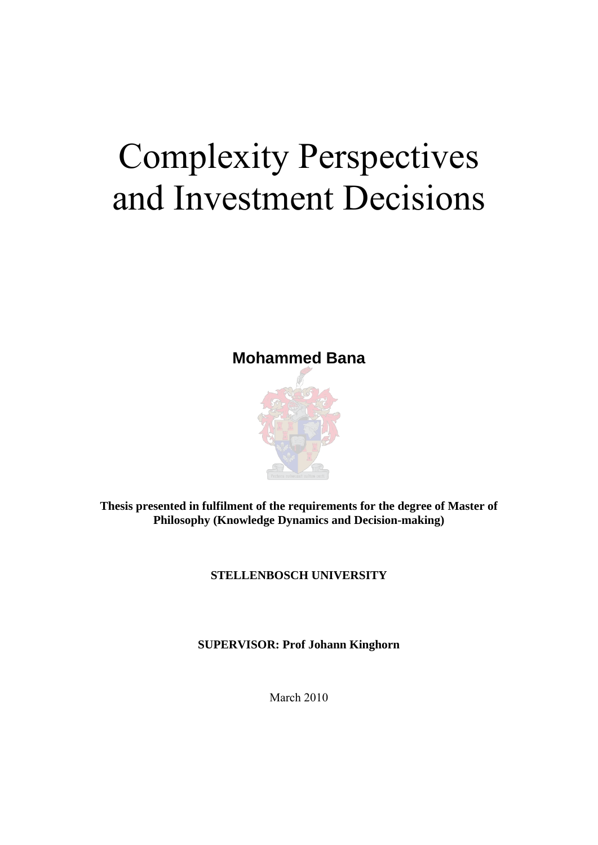# Complexity Perspectives and Investment Decisions

### **Mohammed Bana**



**Thesis presented in fulfilment of the requirements for the degree of Master of Philosophy (Knowledge Dynamics and Decision-making)** 

### **STELLENBOSCH UNIVERSITY**

**SUPERVISOR: Prof Johann Kinghorn** 

March 2010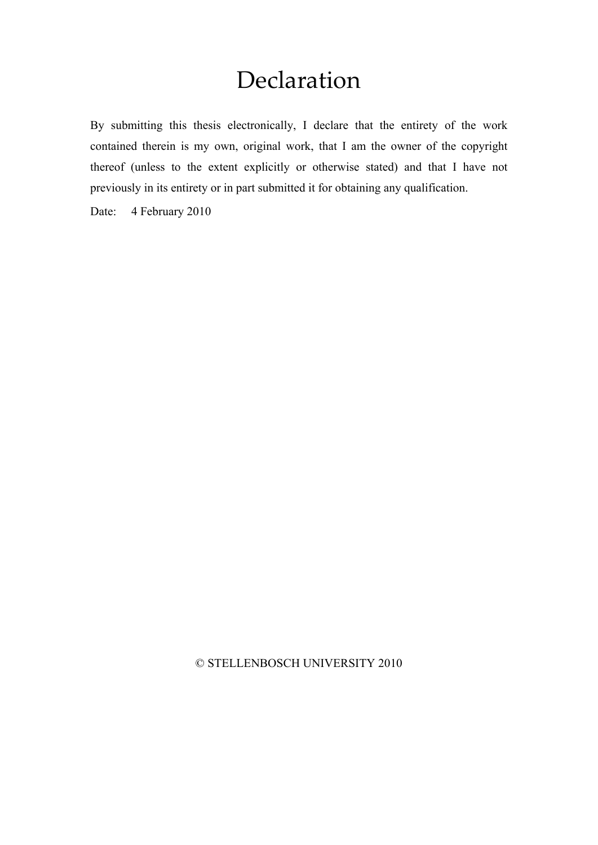## Declaration

By submitting this thesis electronically, I declare that the entirety of the work contained therein is my own, original work, that I am the owner of the copyright thereof (unless to the extent explicitly or otherwise stated) and that I have not previously in its entirety or in part submitted it for obtaining any qualification.

Date: 4 February 2010

#### © STELLENBOSCH UNIVERSITY 2010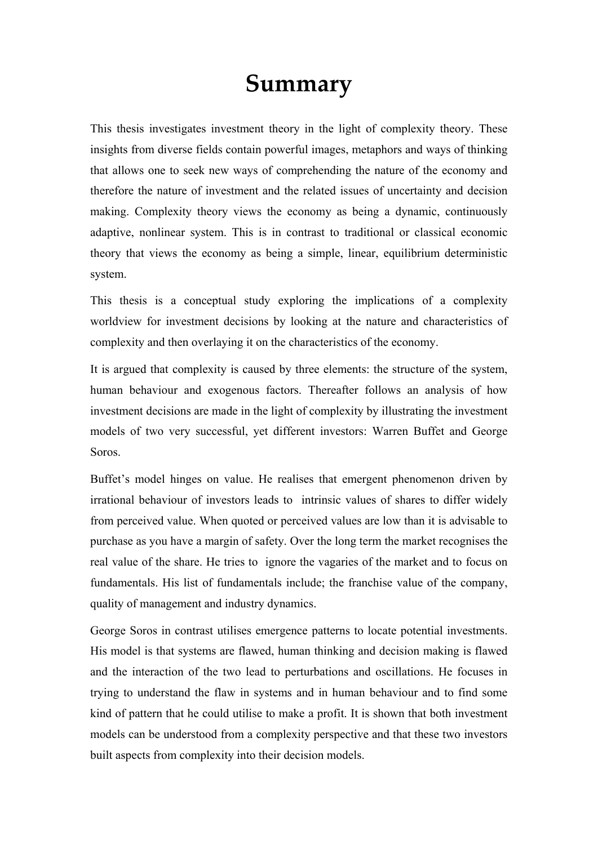## **Summary**

This thesis investigates investment theory in the light of complexity theory. These insights from diverse fields contain powerful images, metaphors and ways of thinking that allows one to seek new ways of comprehending the nature of the economy and therefore the nature of investment and the related issues of uncertainty and decision making. Complexity theory views the economy as being a dynamic, continuously adaptive, nonlinear system. This is in contrast to traditional or classical economic theory that views the economy as being a simple, linear, equilibrium deterministic system.

This thesis is a conceptual study exploring the implications of a complexity worldview for investment decisions by looking at the nature and characteristics of complexity and then overlaying it on the characteristics of the economy.

It is argued that complexity is caused by three elements: the structure of the system, human behaviour and exogenous factors. Thereafter follows an analysis of how investment decisions are made in the light of complexity by illustrating the investment models of two very successful, yet different investors: Warren Buffet and George Soros.

Buffet's model hinges on value. He realises that emergent phenomenon driven by irrational behaviour of investors leads to intrinsic values of shares to differ widely from perceived value. When quoted or perceived values are low than it is advisable to purchase as you have a margin of safety. Over the long term the market recognises the real value of the share. He tries to ignore the vagaries of the market and to focus on fundamentals. His list of fundamentals include; the franchise value of the company, quality of management and industry dynamics.

George Soros in contrast utilises emergence patterns to locate potential investments. His model is that systems are flawed, human thinking and decision making is flawed and the interaction of the two lead to perturbations and oscillations. He focuses in trying to understand the flaw in systems and in human behaviour and to find some kind of pattern that he could utilise to make a profit. It is shown that both investment models can be understood from a complexity perspective and that these two investors built aspects from complexity into their decision models.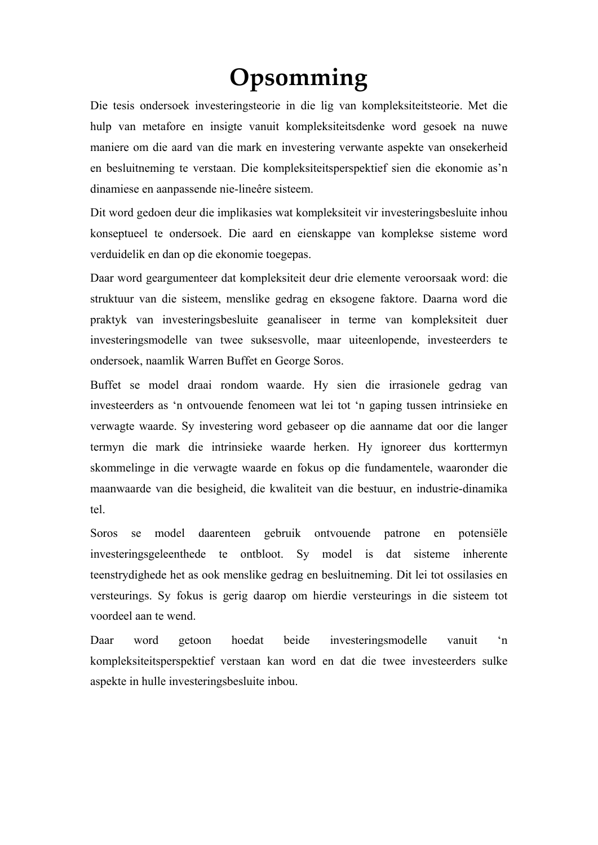# **Opsomming**

Die tesis ondersoek investeringsteorie in die lig van kompleksiteitsteorie. Met die hulp van metafore en insigte vanuit kompleksiteitsdenke word gesoek na nuwe maniere om die aard van die mark en investering verwante aspekte van onsekerheid en besluitneming te verstaan. Die kompleksiteitsperspektief sien die ekonomie as'n dinamiese en aanpassende nie-lineêre sisteem.

Dit word gedoen deur die implikasies wat kompleksiteit vir investeringsbesluite inhou konseptueel te ondersoek. Die aard en eienskappe van komplekse sisteme word verduidelik en dan op die ekonomie toegepas.

Daar word geargumenteer dat kompleksiteit deur drie elemente veroorsaak word: die struktuur van die sisteem, menslike gedrag en eksogene faktore. Daarna word die praktyk van investeringsbesluite geanaliseer in terme van kompleksiteit duer investeringsmodelle van twee suksesvolle, maar uiteenlopende, investeerders te ondersoek, naamlik Warren Buffet en George Soros.

Buffet se model draai rondom waarde. Hy sien die irrasionele gedrag van investeerders as 'n ontvouende fenomeen wat lei tot 'n gaping tussen intrinsieke en verwagte waarde. Sy investering word gebaseer op die aanname dat oor die langer termyn die mark die intrinsieke waarde herken. Hy ignoreer dus korttermyn skommelinge in die verwagte waarde en fokus op die fundamentele, waaronder die maanwaarde van die besigheid, die kwaliteit van die bestuur, en industrie-dinamika tel.

Soros se model daarenteen gebruik ontvouende patrone en potensiële investeringsgeleenthede te ontbloot. Sy model is dat sisteme inherente teenstrydighede het as ook menslike gedrag en besluitneming. Dit lei tot ossilasies en versteurings. Sy fokus is gerig daarop om hierdie versteurings in die sisteem tot voordeel aan te wend.

Daar word getoon hoedat beide investeringsmodelle vanuit 'n kompleksiteitsperspektief verstaan kan word en dat die twee investeerders sulke aspekte in hulle investeringsbesluite inbou.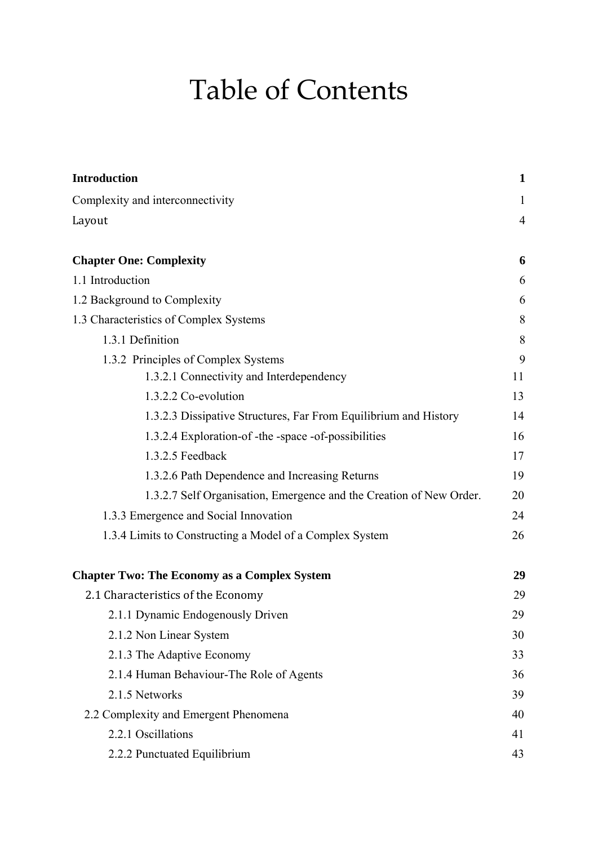# Table of Contents

| <b>Introduction</b>                                                 | 1              |
|---------------------------------------------------------------------|----------------|
| Complexity and interconnectivity                                    | 1              |
| Layout                                                              | $\overline{4}$ |
| <b>Chapter One: Complexity</b>                                      | 6              |
| 1.1 Introduction                                                    | 6              |
| 1.2 Background to Complexity                                        | 6              |
| 1.3 Characteristics of Complex Systems                              | 8              |
| 1.3.1 Definition                                                    | 8              |
| 1.3.2 Principles of Complex Systems                                 | 9              |
| 1.3.2.1 Connectivity and Interdependency                            | 11             |
| 1.3.2.2 Co-evolution                                                | 13             |
| 1.3.2.3 Dissipative Structures, Far From Equilibrium and History    | 14             |
| 1.3.2.4 Exploration-of-the-space-of-possibilities                   | 16             |
| 1.3.2.5 Feedback                                                    | 17             |
| 1.3.2.6 Path Dependence and Increasing Returns                      | 19             |
| 1.3.2.7 Self Organisation, Emergence and the Creation of New Order. | 20             |
| 1.3.3 Emergence and Social Innovation                               | 24             |
| 1.3.4 Limits to Constructing a Model of a Complex System            | 26             |
| <b>Chapter Two: The Economy as a Complex System</b>                 | 29             |
| 2.1 Characteristics of the Economy                                  | 29             |
| 2.1.1 Dynamic Endogenously Driven                                   | 29             |
| 2.1.2 Non Linear System                                             | 30             |
| 2.1.3 The Adaptive Economy                                          | 33             |
| 2.1.4 Human Behaviour-The Role of Agents                            | 36             |
| 2.1.5 Networks                                                      | 39             |
| 2.2 Complexity and Emergent Phenomena                               | 40             |
| 2.2.1 Oscillations                                                  | 41             |
| 2.2.2 Punctuated Equilibrium                                        | 43             |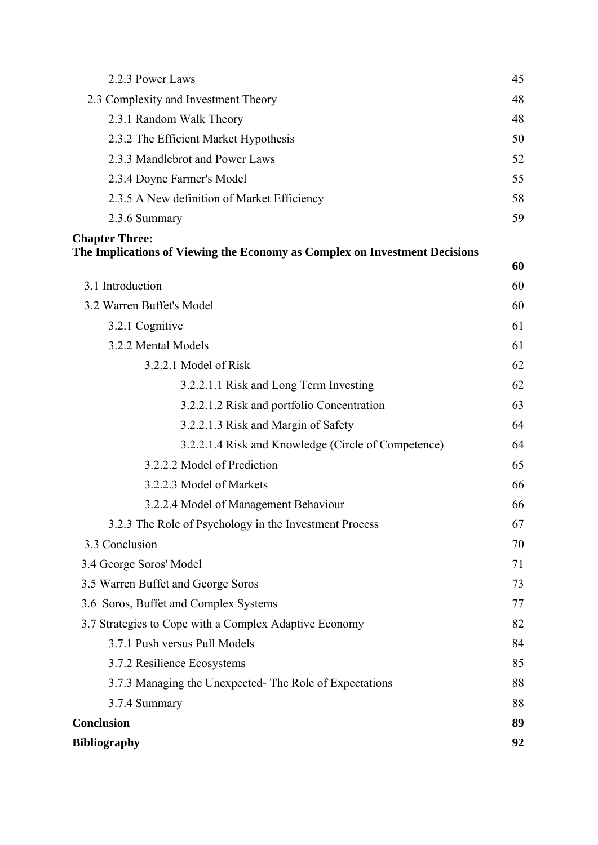| 2.2.3 Power Laws                                                           | 45 |
|----------------------------------------------------------------------------|----|
| 2.3 Complexity and Investment Theory                                       | 48 |
| 2.3.1 Random Walk Theory                                                   | 48 |
| 2.3.2 The Efficient Market Hypothesis                                      | 50 |
| 2.3.3 Mandlebrot and Power Laws                                            | 52 |
| 2.3.4 Doyne Farmer's Model                                                 | 55 |
| 2.3.5 A New definition of Market Efficiency                                | 58 |
| 2.3.6 Summary                                                              | 59 |
| <b>Chapter Three:</b>                                                      |    |
| The Implications of Viewing the Economy as Complex on Investment Decisions | 60 |
| 3.1 Introduction                                                           | 60 |
| 3.2 Warren Buffet's Model                                                  | 60 |
| 3.2.1 Cognitive                                                            | 61 |
| 3.2.2 Mental Models                                                        | 61 |
| 3.2.2.1 Model of Risk                                                      | 62 |
| 3.2.2.1.1 Risk and Long Term Investing                                     | 62 |
| 3.2.2.1.2 Risk and portfolio Concentration                                 | 63 |
| 3.2.2.1.3 Risk and Margin of Safety                                        | 64 |
| 3.2.2.1.4 Risk and Knowledge (Circle of Competence)                        | 64 |
| 3.2.2.2 Model of Prediction                                                | 65 |
| 3.2.2.3 Model of Markets                                                   | 66 |
| 3.2.2.4 Model of Management Behaviour                                      | 66 |
| 3.2.3 The Role of Psychology in the Investment Process                     | 67 |
| 3.3 Conclusion                                                             | 70 |
| 3.4 George Soros' Model                                                    | 71 |
| 3.5 Warren Buffet and George Soros                                         | 73 |
| 3.6 Soros, Buffet and Complex Systems                                      | 77 |
| 3.7 Strategies to Cope with a Complex Adaptive Economy                     | 82 |
| 3.7.1 Push versus Pull Models                                              | 84 |
| 3.7.2 Resilience Ecosystems                                                | 85 |
| 3.7.3 Managing the Unexpected-The Role of Expectations                     | 88 |
| 3.7.4 Summary                                                              | 88 |
| <b>Conclusion</b>                                                          | 89 |
| <b>Bibliography</b>                                                        | 92 |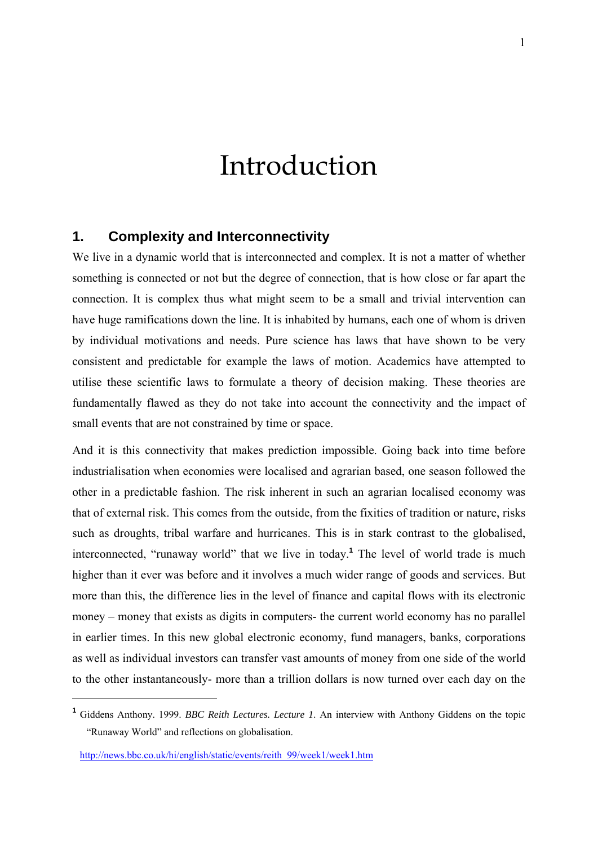# Introduction

### **1. Complexity and Interconnectivity**

We live in a dynamic world that is interconnected and complex. It is not a matter of whether something is connected or not but the degree of connection, that is how close or far apart the connection. It is complex thus what might seem to be a small and trivial intervention can have huge ramifications down the line. It is inhabited by humans, each one of whom is driven by individual motivations and needs. Pure science has laws that have shown to be very consistent and predictable for example the laws of motion. Academics have attempted to utilise these scientific laws to formulate a theory of decision making. These theories are fundamentally flawed as they do not take into account the connectivity and the impact of small events that are not constrained by time or space.

And it is this connectivity that makes prediction impossible. Going back into time before industrialisation when economies were localised and agrarian based, one season followed the other in a predictable fashion. The risk inherent in such an agrarian localised economy was that of external risk. This comes from the outside, from the fixities of tradition or nature, risks such as droughts, tribal warfare and hurricanes. This is in stark contrast to the globalised, interconnected, "runaway world" that we live in today.**<sup>1</sup>** The level of world trade is much higher than it ever was before and it involves a much wider range of goods and services. But more than this, the difference lies in the level of finance and capital flows with its electronic money – money that exists as digits in computers- the current world economy has no parallel in earlier times. In this new global electronic economy, fund managers, banks, corporations as well as individual investors can transfer vast amounts of money from one side of the world to the other instantaneously- more than a trillion dollars is now turned over each day on the

**<sup>1</sup>** Giddens Anthony. 1999. *BBC Reith Lectures. Lecture 1*. An interview with Anthony Giddens on the topic "Runaway World" and reflections on globalisation.

http://news.bbc.co.uk/hi/english/static/events/reith\_99/week1/week1.htm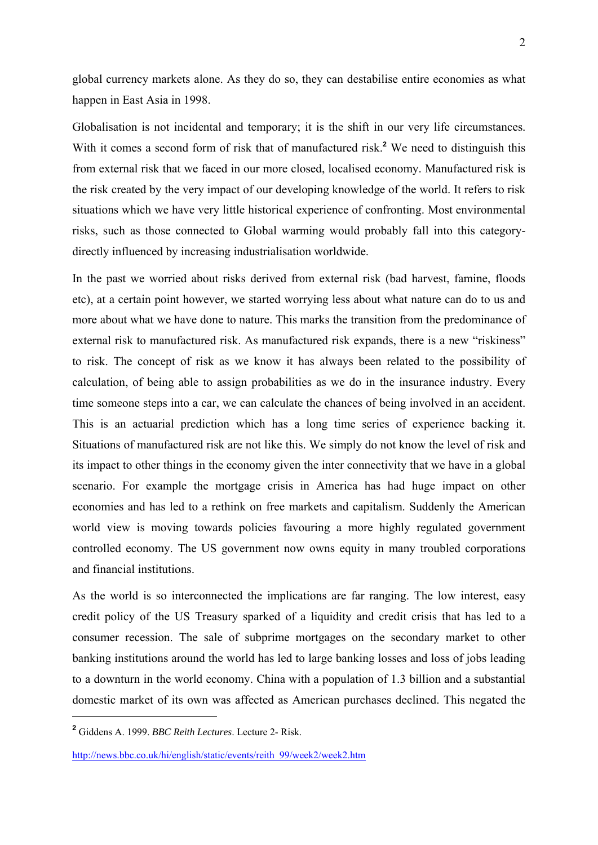global currency markets alone. As they do so, they can destabilise entire economies as what happen in East Asia in 1998.

Globalisation is not incidental and temporary; it is the shift in our very life circumstances. With it comes a second form of risk that of manufactured risk.<sup>2</sup> We need to distinguish this from external risk that we faced in our more closed, localised economy. Manufactured risk is the risk created by the very impact of our developing knowledge of the world. It refers to risk situations which we have very little historical experience of confronting. Most environmental risks, such as those connected to Global warming would probably fall into this categorydirectly influenced by increasing industrialisation worldwide.

In the past we worried about risks derived from external risk (bad harvest, famine, floods etc), at a certain point however, we started worrying less about what nature can do to us and more about what we have done to nature. This marks the transition from the predominance of external risk to manufactured risk. As manufactured risk expands, there is a new "riskiness" to risk. The concept of risk as we know it has always been related to the possibility of calculation, of being able to assign probabilities as we do in the insurance industry. Every time someone steps into a car, we can calculate the chances of being involved in an accident. This is an actuarial prediction which has a long time series of experience backing it. Situations of manufactured risk are not like this. We simply do not know the level of risk and its impact to other things in the economy given the inter connectivity that we have in a global scenario. For example the mortgage crisis in America has had huge impact on other economies and has led to a rethink on free markets and capitalism. Suddenly the American world view is moving towards policies favouring a more highly regulated government controlled economy. The US government now owns equity in many troubled corporations and financial institutions.

As the world is so interconnected the implications are far ranging. The low interest, easy credit policy of the US Treasury sparked of a liquidity and credit crisis that has led to a consumer recession. The sale of subprime mortgages on the secondary market to other banking institutions around the world has led to large banking losses and loss of jobs leading to a downturn in the world economy. China with a population of 1.3 billion and a substantial domestic market of its own was affected as American purchases declined. This negated the

**<sup>2</sup>** Giddens A. 1999. *BBC Reith Lectures*. Lecture 2- Risk.

http://news.bbc.co.uk/hi/english/static/events/reith\_99/week2/week2.htm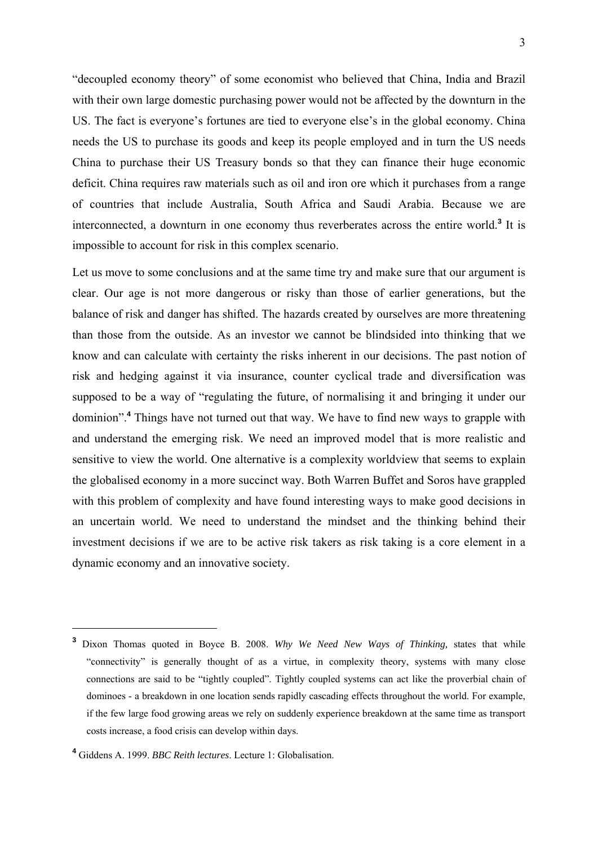"decoupled economy theory" of some economist who believed that China, India and Brazil with their own large domestic purchasing power would not be affected by the downturn in the US. The fact is everyone's fortunes are tied to everyone else's in the global economy. China needs the US to purchase its goods and keep its people employed and in turn the US needs China to purchase their US Treasury bonds so that they can finance their huge economic deficit. China requires raw materials such as oil and iron ore which it purchases from a range of countries that include Australia, South Africa and Saudi Arabia. Because we are interconnected, a downturn in one economy thus reverberates across the entire world.**<sup>3</sup>** It is impossible to account for risk in this complex scenario.

Let us move to some conclusions and at the same time try and make sure that our argument is clear. Our age is not more dangerous or risky than those of earlier generations, but the balance of risk and danger has shifted. The hazards created by ourselves are more threatening than those from the outside. As an investor we cannot be blindsided into thinking that we know and can calculate with certainty the risks inherent in our decisions. The past notion of risk and hedging against it via insurance, counter cyclical trade and diversification was supposed to be a way of "regulating the future, of normalising it and bringing it under our dominion".**<sup>4</sup>** Things have not turned out that way. We have to find new ways to grapple with and understand the emerging risk. We need an improved model that is more realistic and sensitive to view the world. One alternative is a complexity worldview that seems to explain the globalised economy in a more succinct way. Both Warren Buffet and Soros have grappled with this problem of complexity and have found interesting ways to make good decisions in an uncertain world. We need to understand the mindset and the thinking behind their investment decisions if we are to be active risk takers as risk taking is a core element in a dynamic economy and an innovative society.

**<sup>3</sup>** Dixon Thomas quoted in Boyce B. 2008. *Why We Need New Ways of Thinking,* states that while "connectivity" is generally thought of as a virtue, in complexity theory, systems with many close connections are said to be "tightly coupled". Tightly coupled systems can act like the proverbial chain of dominoes - a breakdown in one location sends rapidly cascading effects throughout the world. For example, if the few large food growing areas we rely on suddenly experience breakdown at the same time as transport costs increase, a food crisis can develop within days.

**<sup>4</sup>** Giddens A. 1999. *BBC Reith lectures*. Lecture 1: Globalisation.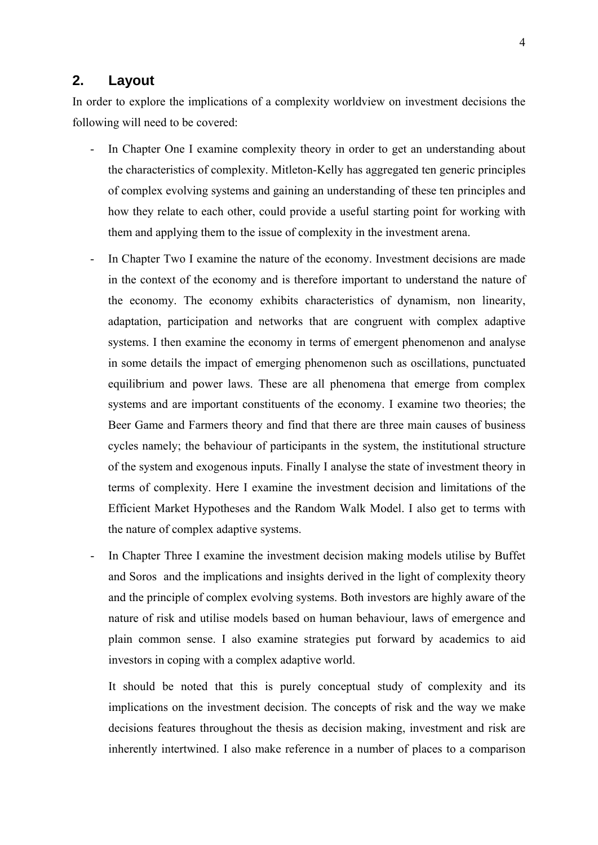#### **2. Layout**

In order to explore the implications of a complexity worldview on investment decisions the following will need to be covered:

- In Chapter One I examine complexity theory in order to get an understanding about the characteristics of complexity. Mitleton-Kelly has aggregated ten generic principles of complex evolving systems and gaining an understanding of these ten principles and how they relate to each other, could provide a useful starting point for working with them and applying them to the issue of complexity in the investment arena.
- In Chapter Two I examine the nature of the economy. Investment decisions are made in the context of the economy and is therefore important to understand the nature of the economy. The economy exhibits characteristics of dynamism, non linearity, adaptation, participation and networks that are congruent with complex adaptive systems. I then examine the economy in terms of emergent phenomenon and analyse in some details the impact of emerging phenomenon such as oscillations, punctuated equilibrium and power laws. These are all phenomena that emerge from complex systems and are important constituents of the economy. I examine two theories; the Beer Game and Farmers theory and find that there are three main causes of business cycles namely; the behaviour of participants in the system, the institutional structure of the system and exogenous inputs. Finally I analyse the state of investment theory in terms of complexity. Here I examine the investment decision and limitations of the Efficient Market Hypotheses and the Random Walk Model. I also get to terms with the nature of complex adaptive systems.
- In Chapter Three I examine the investment decision making models utilise by Buffet and Soros and the implications and insights derived in the light of complexity theory and the principle of complex evolving systems. Both investors are highly aware of the nature of risk and utilise models based on human behaviour, laws of emergence and plain common sense. I also examine strategies put forward by academics to aid investors in coping with a complex adaptive world.

It should be noted that this is purely conceptual study of complexity and its implications on the investment decision. The concepts of risk and the way we make decisions features throughout the thesis as decision making, investment and risk are inherently intertwined. I also make reference in a number of places to a comparison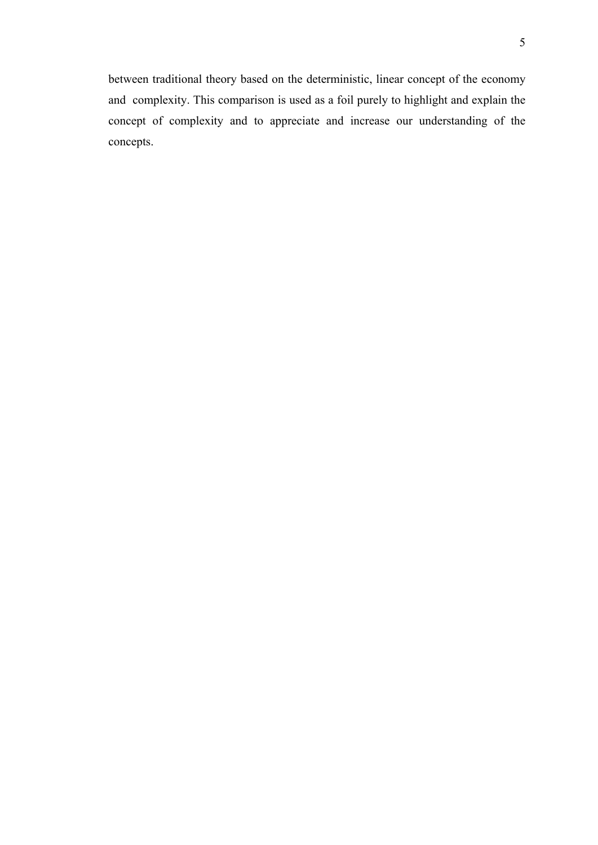between traditional theory based on the deterministic, linear concept of the economy and complexity. This comparison is used as a foil purely to highlight and explain the concept of complexity and to appreciate and increase our understanding of the concepts.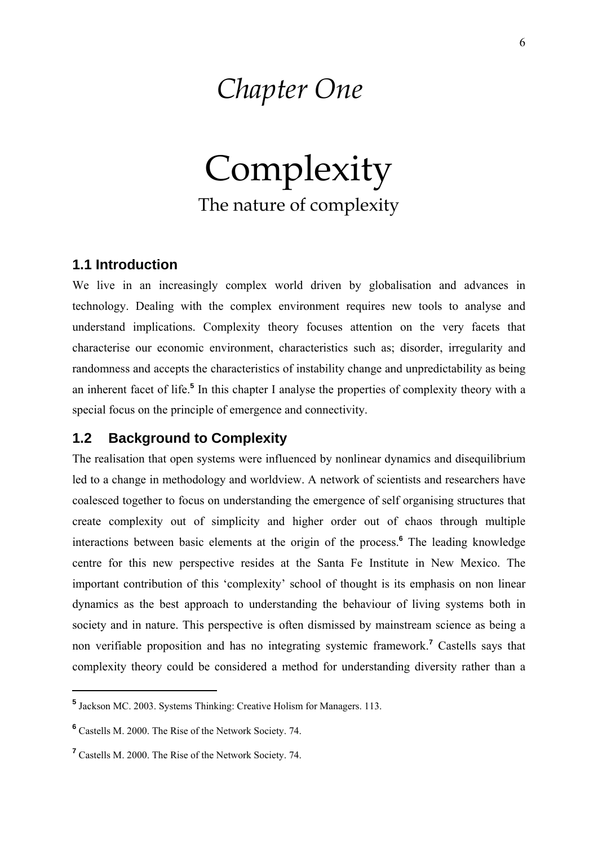# *Chapter One*

Complexity The nature of complexity

### **1.1 Introduction**

We live in an increasingly complex world driven by globalisation and advances in technology. Dealing with the complex environment requires new tools to analyse and understand implications. Complexity theory focuses attention on the very facets that characterise our economic environment, characteristics such as; disorder, irregularity and randomness and accepts the characteristics of instability change and unpredictability as being an inherent facet of life.<sup>5</sup> In this chapter I analyse the properties of complexity theory with a special focus on the principle of emergence and connectivity.

### **1.2 Background to Complexity**

The realisation that open systems were influenced by nonlinear dynamics and disequilibrium led to a change in methodology and worldview. A network of scientists and researchers have coalesced together to focus on understanding the emergence of self organising structures that create complexity out of simplicity and higher order out of chaos through multiple interactions between basic elements at the origin of the process.**<sup>6</sup>** The leading knowledge centre for this new perspective resides at the Santa Fe Institute in New Mexico. The important contribution of this 'complexity' school of thought is its emphasis on non linear dynamics as the best approach to understanding the behaviour of living systems both in society and in nature. This perspective is often dismissed by mainstream science as being a non verifiable proposition and has no integrating systemic framework.**<sup>7</sup>** Castells says that complexity theory could be considered a method for understanding diversity rather than a

**<sup>5</sup>** Jackson MC. 2003. Systems Thinking: Creative Holism for Managers. 113.

**<sup>6</sup>** Castells M. 2000. The Rise of the Network Society. 74.

**<sup>7</sup>** Castells M. 2000. The Rise of the Network Society. 74.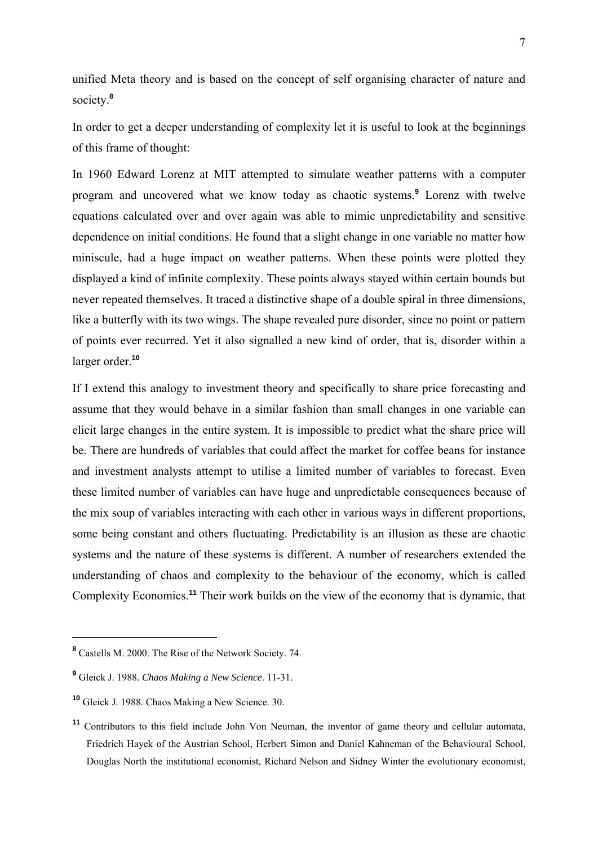unified Meta theory and is based on the concept of self organising character of nature and society.**<sup>8</sup>**

In order to get a deeper understanding of complexity let it is useful to look at the beginnings of this frame of thought:

In 1960 Edward Lorenz at MIT attempted to simulate weather patterns with a computer program and uncovered what we know today as chaotic systems.**<sup>9</sup>** Lorenz with twelve equations calculated over and over again was able to mimic unpredictability and sensitive dependence on initial conditions. He found that a slight change in one variable no matter how miniscule, had a huge impact on weather patterns. When these points were plotted they displayed a kind of infinite complexity. These points always stayed within certain bounds but never repeated themselves. It traced a distinctive shape of a double spiral in three dimensions, like a butterfly with its two wings. The shape revealed pure disorder, since no point or pattern of points ever recurred. Yet it also signalled a new kind of order, that is, disorder within a larger order.**<sup>10</sup>**

If I extend this analogy to investment theory and specifically to share price forecasting and assume that they would behave in a similar fashion than small changes in one variable can elicit large changes in the entire system. It is impossible to predict what the share price will be. There are hundreds of variables that could affect the market for coffee beans for instance and investment analysts attempt to utilise a limited number of variables to forecast. Even these limited number of variables can have huge and unpredictable consequences because of the mix soup of variables interacting with each other in various ways in different proportions, some being constant and others fluctuating. Predictability is an illusion as these are chaotic systems and the nature of these systems is different. A number of researchers extended the understanding of chaos and complexity to the behaviour of the economy, which is called Complexity Economics.**<sup>11</sup>** Their work builds on the view of the economy that is dynamic, that

**<sup>8</sup>** Castells M. 2000. The Rise of the Network Society. 74.

**<sup>9</sup>** Gleick J. 1988. *Chaos Making a New Science*. 11-31.

**<sup>10</sup>** Gleick J. 1988. Chaos Making a New Science. 30.

**<sup>11</sup>** Contributors to this field include John Von Neuman, the inventor of game theory and cellular automata, Friedrich Hayek of the Austrian School, Herbert Simon and Daniel Kahneman of the Behavioural School, Douglas North the institutional economist, Richard Nelson and Sidney Winter the evolutionary economist,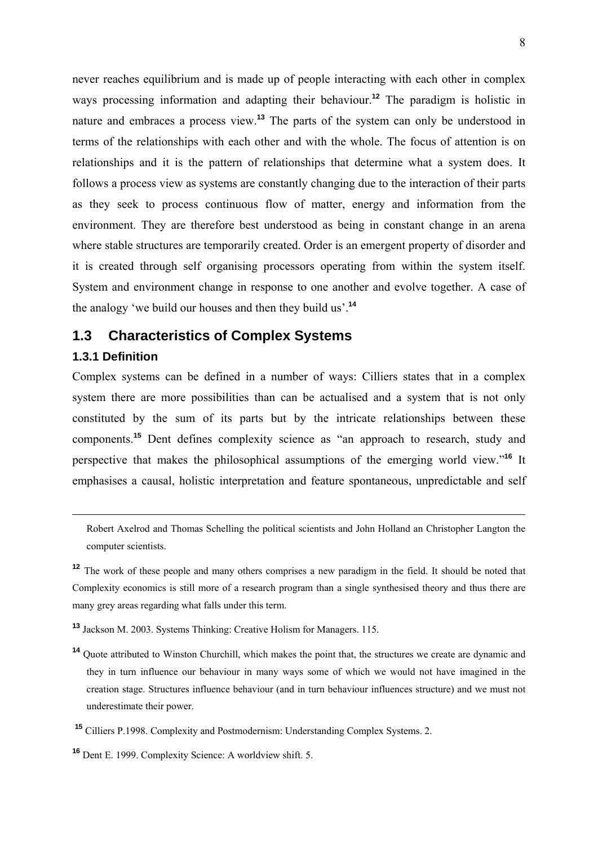never reaches equilibrium and is made up of people interacting with each other in complex ways processing information and adapting their behaviour.**<sup>12</sup>** The paradigm is holistic in nature and embraces a process view.**<sup>13</sup>** The parts of the system can only be understood in terms of the relationships with each other and with the whole. The focus of attention is on relationships and it is the pattern of relationships that determine what a system does. It follows a process view as systems are constantly changing due to the interaction of their parts as they seek to process continuous flow of matter, energy and information from the environment. They are therefore best understood as being in constant change in an arena where stable structures are temporarily created. Order is an emergent property of disorder and it is created through self organising processors operating from within the system itself. System and environment change in response to one another and evolve together. A case of the analogy 'we build our houses and then they build us'.**<sup>14</sup>**

### **1.3 Characteristics of Complex Systems**

#### **1.3.1 Definition**

1

Complex systems can be defined in a number of ways: Cilliers states that in a complex system there are more possibilities than can be actualised and a system that is not only constituted by the sum of its parts but by the intricate relationships between these components.**<sup>15</sup>** Dent defines complexity science as "an approach to research, study and perspective that makes the philosophical assumptions of the emerging world view."**<sup>16</sup>** It emphasises a causal, holistic interpretation and feature spontaneous, unpredictable and self

Robert Axelrod and Thomas Schelling the political scientists and John Holland an Christopher Langton the computer scientists.

**<sup>12</sup>** The work of these people and many others comprises a new paradigm in the field. It should be noted that Complexity economics is still more of a research program than a single synthesised theory and thus there are many grey areas regarding what falls under this term.

**<sup>13</sup>** Jackson M. 2003. Systems Thinking: Creative Holism for Managers. 115.

**<sup>14</sup>** Quote attributed to Winston Churchill, which makes the point that, the structures we create are dynamic and they in turn influence our behaviour in many ways some of which we would not have imagined in the creation stage. Structures influence behaviour (and in turn behaviour influences structure) and we must not underestimate their power.

**<sup>15</sup>** Cilliers P.1998. Complexity and Postmodernism: Understanding Complex Systems. 2.

**<sup>16</sup>** Dent E. 1999. Complexity Science: A worldview shift. 5.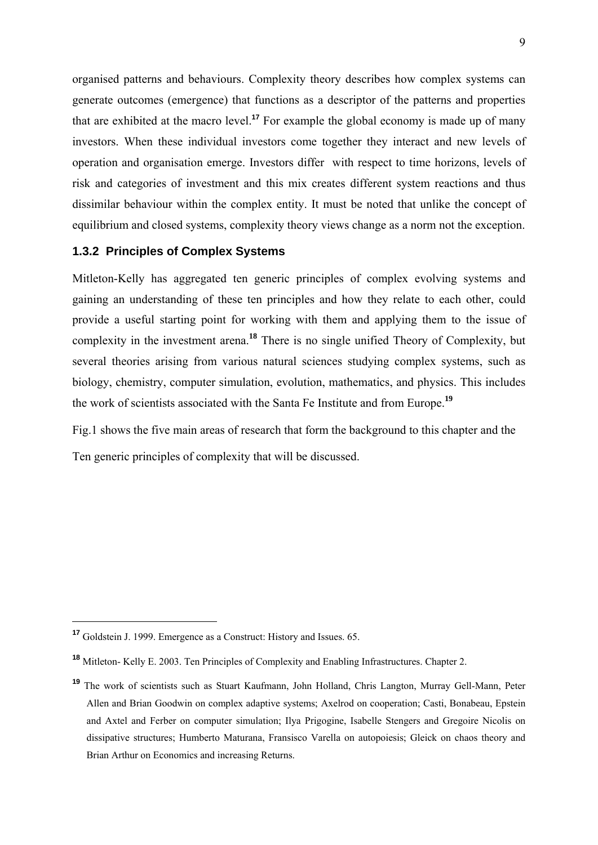organised patterns and behaviours. Complexity theory describes how complex systems can generate outcomes (emergence) that functions as a descriptor of the patterns and properties that are exhibited at the macro level.**<sup>17</sup>** For example the global economy is made up of many investors. When these individual investors come together they interact and new levels of operation and organisation emerge. Investors differ with respect to time horizons, levels of risk and categories of investment and this mix creates different system reactions and thus dissimilar behaviour within the complex entity. It must be noted that unlike the concept of equilibrium and closed systems, complexity theory views change as a norm not the exception.

#### **1.3.2 Principles of Complex Systems**

Mitleton-Kelly has aggregated ten generic principles of complex evolving systems and gaining an understanding of these ten principles and how they relate to each other, could provide a useful starting point for working with them and applying them to the issue of complexity in the investment arena.**<sup>18</sup>** There is no single unified Theory of Complexity, but several theories arising from various natural sciences studying complex systems, such as biology, chemistry, computer simulation, evolution, mathematics, and physics. This includes the work of scientists associated with the Santa Fe Institute and from Europe.**<sup>19</sup>**

Fig.1 shows the five main areas of research that form the background to this chapter and the Ten generic principles of complexity that will be discussed.

**<sup>17</sup>** Goldstein J. 1999. Emergence as a Construct: History and Issues. 65.

**<sup>18</sup>** Mitleton- Kelly E. 2003. Ten Principles of Complexity and Enabling Infrastructures. Chapter 2.

**<sup>19</sup>** The work of scientists such as Stuart Kaufmann, John Holland, Chris Langton, Murray Gell-Mann, Peter Allen and Brian Goodwin on complex adaptive systems; Axelrod on cooperation; Casti, Bonabeau, Epstein and Axtel and Ferber on computer simulation; Ilya Prigogine, Isabelle Stengers and Gregoire Nicolis on dissipative structures; Humberto Maturana, Fransisco Varella on autopoiesis; Gleick on chaos theory and Brian Arthur on Economics and increasing Returns.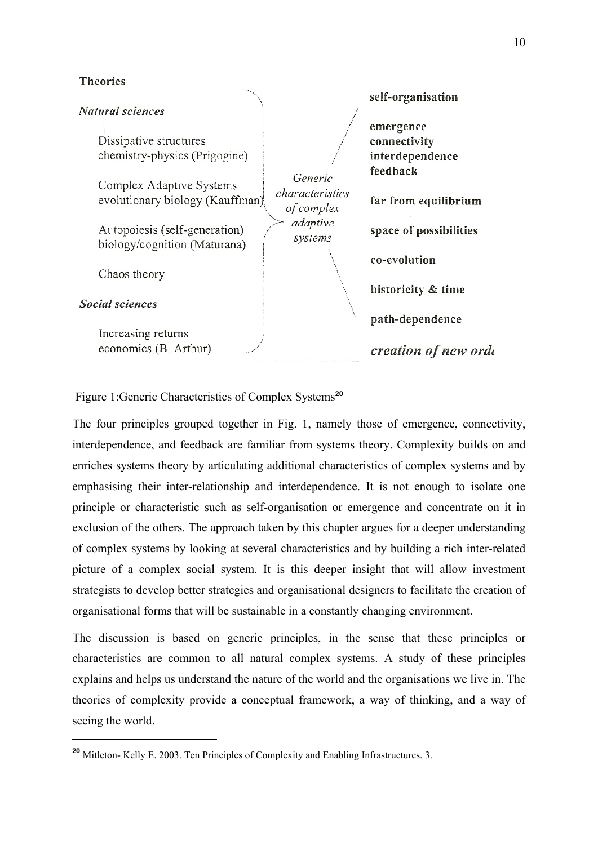#### **Theories**

#### **Natural sciences**

Dissipative structures chemistry-physics (Prigogine)

**Complex Adaptive Systems** evolutionary biology (Kauffman)

Autopoiesis (self-generation) biology/cognition (Maturana)

Chaos theory

**Social sciences** 

1

Increasing returns economics (B. Arthur)

Generic characteristics of complex adaptive systems

emergence connectivity interdependence feedback far from equilibrium space of possibilities co-evolution historicity & time path-dependence creation of new orde

self-organisation

#### Figure 1:Generic Characteristics of Complex Systems**<sup>20</sup>**

The four principles grouped together in Fig. 1, namely those of emergence, connectivity, interdependence, and feedback are familiar from systems theory. Complexity builds on and enriches systems theory by articulating additional characteristics of complex systems and by emphasising their inter-relationship and interdependence. It is not enough to isolate one principle or characteristic such as self-organisation or emergence and concentrate on it in exclusion of the others. The approach taken by this chapter argues for a deeper understanding of complex systems by looking at several characteristics and by building a rich inter-related picture of a complex social system. It is this deeper insight that will allow investment strategists to develop better strategies and organisational designers to facilitate the creation of organisational forms that will be sustainable in a constantly changing environment.

The discussion is based on generic principles, in the sense that these principles or characteristics are common to all natural complex systems. A study of these principles explains and helps us understand the nature of the world and the organisations we live in. The theories of complexity provide a conceptual framework, a way of thinking, and a way of seeing the world.

**<sup>20</sup>** Mitleton- Kelly E. 2003. Ten Principles of Complexity and Enabling Infrastructures. 3.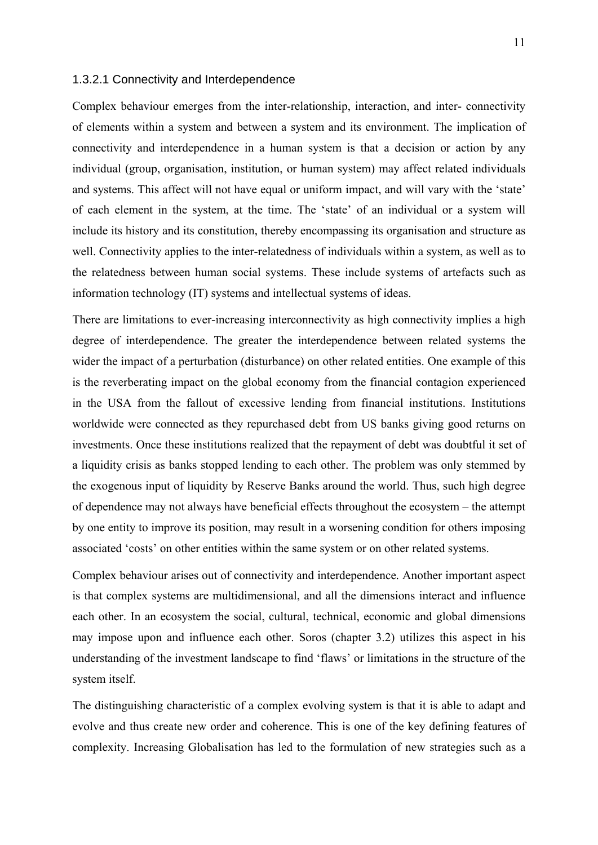#### 1.3.2.1 Connectivity and Interdependence

Complex behaviour emerges from the inter-relationship, interaction, and inter- connectivity of elements within a system and between a system and its environment. The implication of connectivity and interdependence in a human system is that a decision or action by any individual (group, organisation, institution, or human system) may affect related individuals and systems. This affect will not have equal or uniform impact, and will vary with the 'state' of each element in the system, at the time. The 'state' of an individual or a system will include its history and its constitution, thereby encompassing its organisation and structure as well. Connectivity applies to the inter-relatedness of individuals within a system, as well as to the relatedness between human social systems. These include systems of artefacts such as information technology (IT) systems and intellectual systems of ideas.

There are limitations to ever-increasing interconnectivity as high connectivity implies a high degree of interdependence. The greater the interdependence between related systems the wider the impact of a perturbation (disturbance) on other related entities. One example of this is the reverberating impact on the global economy from the financial contagion experienced in the USA from the fallout of excessive lending from financial institutions. Institutions worldwide were connected as they repurchased debt from US banks giving good returns on investments. Once these institutions realized that the repayment of debt was doubtful it set of a liquidity crisis as banks stopped lending to each other. The problem was only stemmed by the exogenous input of liquidity by Reserve Banks around the world. Thus, such high degree of dependence may not always have beneficial effects throughout the ecosystem – the attempt by one entity to improve its position, may result in a worsening condition for others imposing associated 'costs' on other entities within the same system or on other related systems.

Complex behaviour arises out of connectivity and interdependence*.* Another important aspect is that complex systems are multidimensional, and all the dimensions interact and influence each other. In an ecosystem the social, cultural, technical, economic and global dimensions may impose upon and influence each other. Soros (chapter 3.2) utilizes this aspect in his understanding of the investment landscape to find 'flaws' or limitations in the structure of the system itself.

The distinguishing characteristic of a complex evolving system is that it is able to adapt and evolve and thus create new order and coherence. This is one of the key defining features of complexity. Increasing Globalisation has led to the formulation of new strategies such as a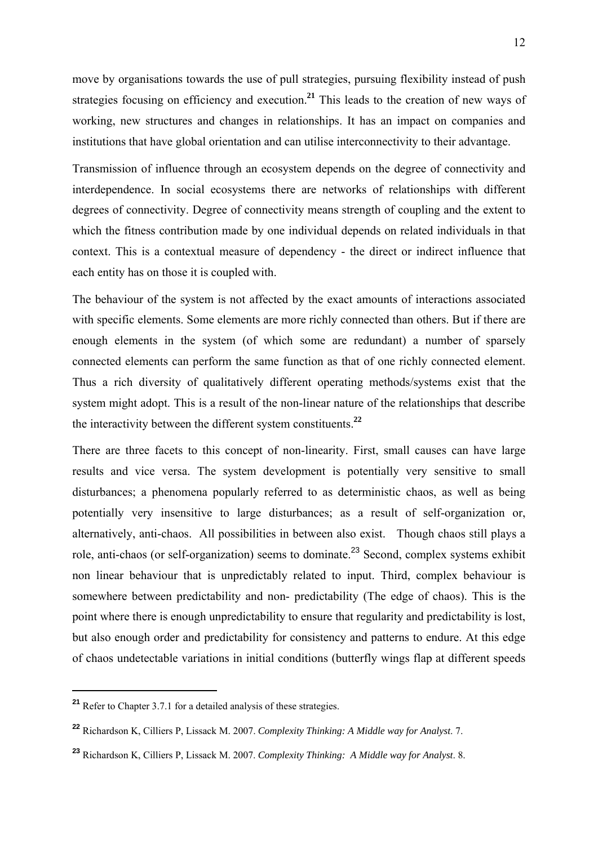move by organisations towards the use of pull strategies, pursuing flexibility instead of push strategies focusing on efficiency and execution.**<sup>21</sup>** This leads to the creation of new ways of working, new structures and changes in relationships. It has an impact on companies and institutions that have global orientation and can utilise interconnectivity to their advantage.

Transmission of influence through an ecosystem depends on the degree of connectivity and interdependence. In social ecosystems there are networks of relationships with different degrees of connectivity. Degree of connectivity means strength of coupling and the extent to which the fitness contribution made by one individual depends on related individuals in that context. This is a contextual measure of dependency - the direct or indirect influence that each entity has on those it is coupled with.

The behaviour of the system is not affected by the exact amounts of interactions associated with specific elements. Some elements are more richly connected than others. But if there are enough elements in the system (of which some are redundant) a number of sparsely connected elements can perform the same function as that of one richly connected element. Thus a rich diversity of qualitatively different operating methods/systems exist that the system might adopt. This is a result of the non-linear nature of the relationships that describe the interactivity between the different system constituents.**<sup>22</sup>**

There are three facets to this concept of non-linearity. First, small causes can have large results and vice versa. The system development is potentially very sensitive to small disturbances; a phenomena popularly referred to as deterministic chaos, as well as being potentially very insensitive to large disturbances; as a result of self-organization or, alternatively, anti-chaos.All possibilities in between also exist. Though chaos still plays a role, anti-chaos (or self-organization) seems to dominate.<sup>23</sup> Second, complex systems exhibit non linear behaviour that is unpredictably related to input. Third, complex behaviour is somewhere between predictability and non- predictability (The edge of chaos). This is the point where there is enough unpredictability to ensure that regularity and predictability is lost, but also enough order and predictability for consistency and patterns to endure. At this edge of chaos undetectable variations in initial conditions (butterfly wings flap at different speeds

**<sup>21</sup>** Refer to Chapter 3.7.1 for a detailed analysis of these strategies.

**<sup>22</sup>** Richardson K, Cilliers P, Lissack M. 2007. *Complexity Thinking: A Middle way for Analyst*. 7.

**<sup>23</sup>** Richardson K, Cilliers P, Lissack M. 2007. *Complexity Thinking: A Middle way for Analyst*. 8.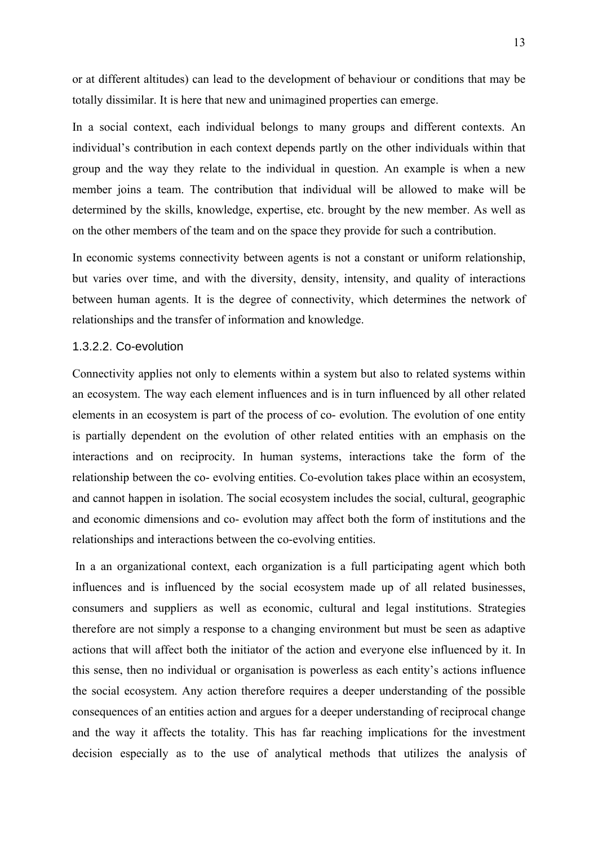or at different altitudes) can lead to the development of behaviour or conditions that may be totally dissimilar. It is here that new and unimagined properties can emerge.

In a social context, each individual belongs to many groups and different contexts. An individual's contribution in each context depends partly on the other individuals within that group and the way they relate to the individual in question. An example is when a new member joins a team. The contribution that individual will be allowed to make will be determined by the skills, knowledge, expertise, etc. brought by the new member. As well as on the other members of the team and on the space they provide for such a contribution.

In economic systems connectivity between agents is not a constant or uniform relationship, but varies over time, and with the diversity, density, intensity, and quality of interactions between human agents. It is the degree of connectivity, which determines the network of relationships and the transfer of information and knowledge.

#### 1.3.2.2. Co-evolution

Connectivity applies not only to elements within a system but also to related systems within an ecosystem. The way each element influences and is in turn influenced by all other related elements in an ecosystem is part of the process of co- evolution. The evolution of one entity is partially dependent on the evolution of other related entities with an emphasis on the interactions and on reciprocity*.* In human systems, interactions take the form of the relationship between the co- evolving entities. Co-evolution takes place within an ecosystem, and cannot happen in isolation. The social ecosystem includes the social, cultural, geographic and economic dimensions and co- evolution may affect both the form of institutions and the relationships and interactions between the co-evolving entities.

 In a an organizational context, each organization is a full participating agent which both influences and is influenced by the social ecosystem made up of all related businesses, consumers and suppliers as well as economic, cultural and legal institutions. Strategies therefore are not simply a response to a changing environment but must be seen as adaptive actions that will affect both the initiator of the action and everyone else influenced by it. In this sense, then no individual or organisation is powerless as each entity's actions influence the social ecosystem. Any action therefore requires a deeper understanding of the possible consequences of an entities action and argues for a deeper understanding of reciprocal change and the way it affects the totality. This has far reaching implications for the investment decision especially as to the use of analytical methods that utilizes the analysis of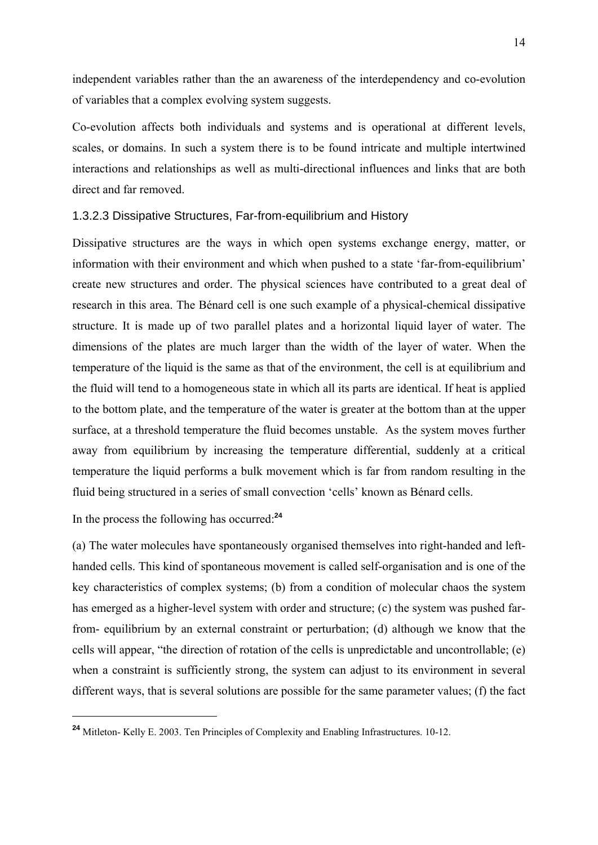independent variables rather than the an awareness of the interdependency and co-evolution of variables that a complex evolving system suggests.

Co-evolution affects both individuals and systems and is operational at different levels, scales, or domains. In such a system there is to be found intricate and multiple intertwined interactions and relationships as well as multi-directional influences and links that are both direct and far removed.

#### 1.3.2.3 Dissipative Structures, Far-from-equilibrium and History

Dissipative structures are the ways in which open systems exchange energy, matter, or information with their environment and which when pushed to a state 'far-from-equilibrium' create new structures and order. The physical sciences have contributed to a great deal of research in this area. The Bénard cell is one such example of a physical-chemical dissipative structure. It is made up of two parallel plates and a horizontal liquid layer of water. The dimensions of the plates are much larger than the width of the layer of water. When the temperature of the liquid is the same as that of the environment, the cell is at equilibrium and the fluid will tend to a homogeneous state in which all its parts are identical. If heat is applied to the bottom plate, and the temperature of the water is greater at the bottom than at the upper surface, at a threshold temperature the fluid becomes unstable. As the system moves further away from equilibrium by increasing the temperature differential, suddenly at a critical temperature the liquid performs a bulk movement which is far from random resulting in the fluid being structured in a series of small convection 'cells' known as Bénard cells.

In the process the following has occurred:**<sup>24</sup>**

1

(a) The water molecules have spontaneously organised themselves into right-handed and lefthanded cells. This kind of spontaneous movement is called self-organisation and is one of the key characteristics of complex systems; (b) from a condition of molecular chaos the system has emerged as a higher-level system with order and structure; (c) the system was pushed farfrom- equilibrium by an external constraint or perturbation; (d) although we know that the cells will appear, "the direction of rotation of the cells is unpredictable and uncontrollable; (e) when a constraint is sufficiently strong, the system can adjust to its environment in several different ways, that is several solutions are possible for the same parameter values; (f) the fact

**<sup>24</sup>** Mitleton- Kelly E. 2003. Ten Principles of Complexity and Enabling Infrastructures. 10-12.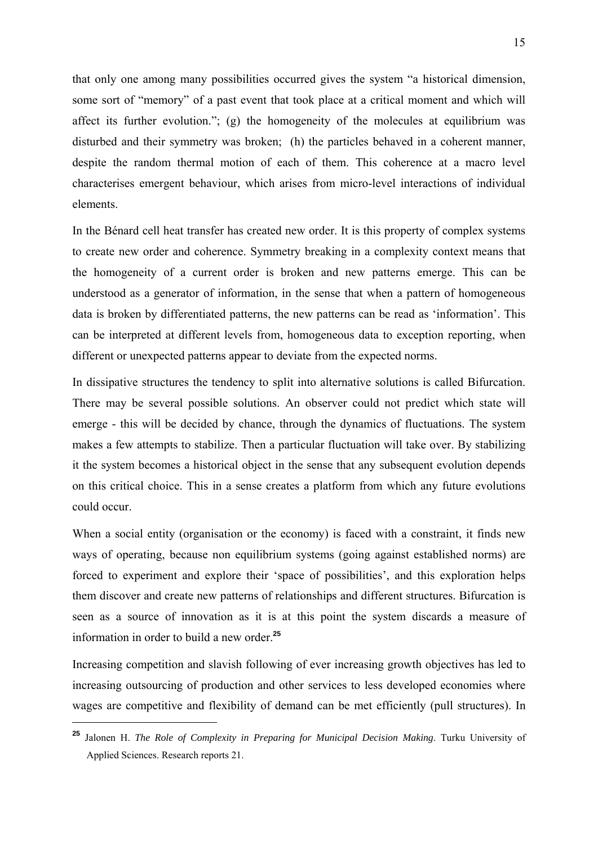that only one among many possibilities occurred gives the system "a historical dimension, some sort of "memory" of a past event that took place at a critical moment and which will affect its further evolution."; (g) the homogeneity of the molecules at equilibrium was disturbed and their symmetry was broken; (h) the particles behaved in a coherent manner, despite the random thermal motion of each of them. This coherence at a macro level characterises emergent behaviour, which arises from micro-level interactions of individual elements.

In the Bénard cell heat transfer has created new order. It is this property of complex systems to create new order and coherence. Symmetry breaking in a complexity context means that the homogeneity of a current order is broken and new patterns emerge. This can be understood as a generator of information, in the sense that when a pattern of homogeneous data is broken by differentiated patterns, the new patterns can be read as 'information'. This can be interpreted at different levels from, homogeneous data to exception reporting, when different or unexpected patterns appear to deviate from the expected norms.

In dissipative structures the tendency to split into alternative solutions is called Bifurcation. There may be several possible solutions. An observer could not predict which state will emerge - this will be decided by chance, through the dynamics of fluctuations. The system makes a few attempts to stabilize. Then a particular fluctuation will take over. By stabilizing it the system becomes a historical object in the sense that any subsequent evolution depends on this critical choice. This in a sense creates a platform from which any future evolutions could occur.

When a social entity (organisation or the economy) is faced with a constraint, it finds new ways of operating, because non equilibrium systems (going against established norms) are forced to experiment and explore their 'space of possibilities', and this exploration helps them discover and create new patterns of relationships and different structures. Bifurcation is seen as a source of innovation as it is at this point the system discards a measure of information in order to build a new order.**<sup>25</sup>**

Increasing competition and slavish following of ever increasing growth objectives has led to increasing outsourcing of production and other services to less developed economies where wages are competitive and flexibility of demand can be met efficiently (pull structures). In

**<sup>25</sup>** Jalonen H. *The Role of Complexity in Preparing for Municipal Decision Making*. Turku University of Applied Sciences. Research reports 21.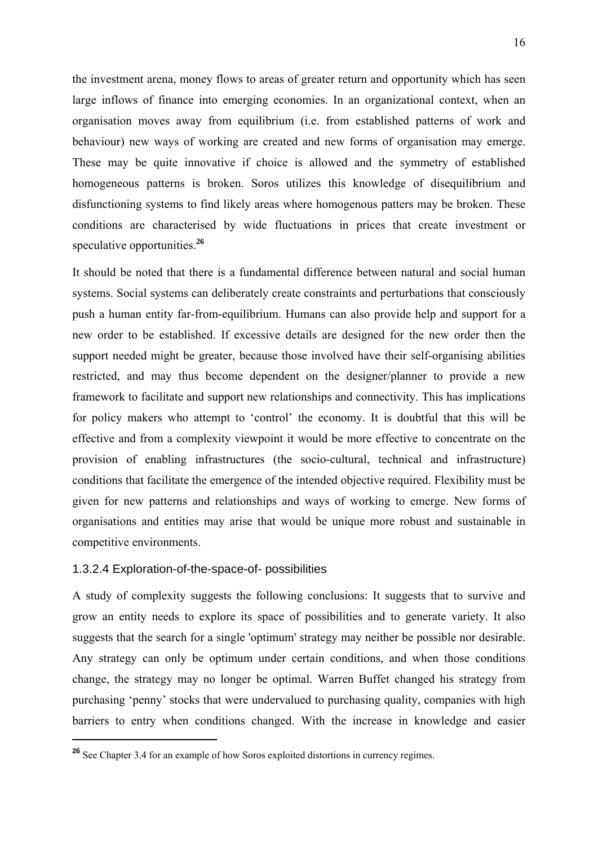the investment arena, money flows to areas of greater return and opportunity which has seen large inflows of finance into emerging economies. In an organizational context, when an organisation moves away from equilibrium (i.e. from established patterns of work and behaviour) new ways of working are created and new forms of organisation may emerge. These may be quite innovative if choice is allowed and the symmetry of established homogeneous patterns is broken. Soros utilizes this knowledge of disequilibrium and disfunctioning systems to find likely areas where homogenous patters may be broken. These conditions are characterised by wide fluctuations in prices that create investment or speculative opportunities.**<sup>26</sup>**

It should be noted that there is a fundamental difference between natural and social human systems. Social systems can deliberately create constraints and perturbations that consciously push a human entity far-from-equilibrium. Humans can also provide help and support for a new order to be established. If excessive details are designed for the new order then the support needed might be greater, because those involved have their self-organising abilities restricted, and may thus become dependent on the designer/planner to provide a new framework to facilitate and support new relationships and connectivity. This has implications for policy makers who attempt to 'control' the economy. It is doubtful that this will be effective and from a complexity viewpoint it would be more effective to concentrate on the provision of enabling infrastructures (the socio-cultural, technical and infrastructure) conditions that facilitate the emergence of the intended objective required. Flexibility must be given for new patterns and relationships and ways of working to emerge. New forms of organisations and entities may arise that would be unique more robust and sustainable in competitive environments.

#### 1.3.2.4 Exploration-of-the-space-of- possibilities

1

A study of complexity suggests the following conclusions: It suggests that to survive and grow an entity needs to explore its space of possibilities and to generate variety. It also suggests that the search for a single 'optimum' strategy may neither be possible nor desirable. Any strategy can only be optimum under certain conditions, and when those conditions change, the strategy may no longer be optimal. Warren Buffet changed his strategy from purchasing 'penny' stocks that were undervalued to purchasing quality, companies with high barriers to entry when conditions changed. With the increase in knowledge and easier

<sup>&</sup>lt;sup>26</sup> See Chapter 3.4 for an example of how Soros exploited distortions in currency regimes.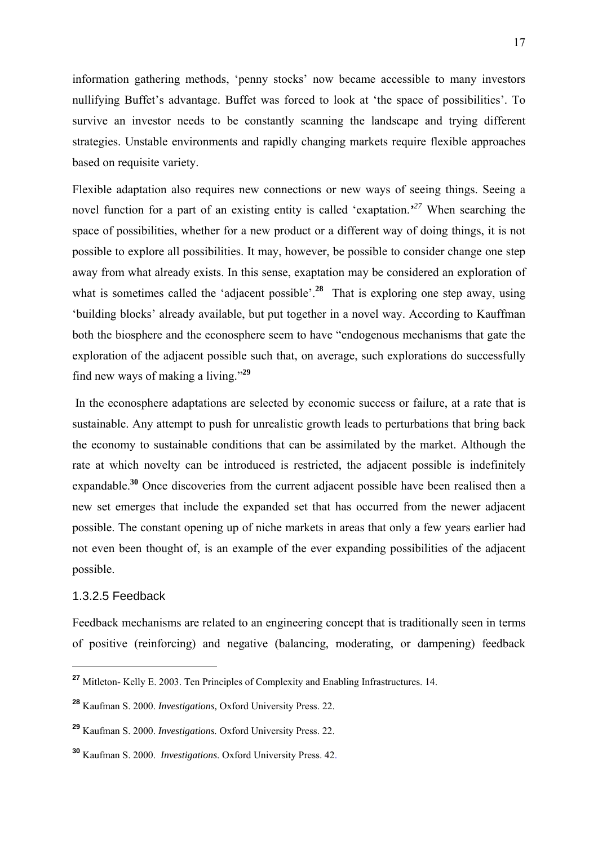information gathering methods, 'penny stocks' now became accessible to many investors nullifying Buffet's advantage. Buffet was forced to look at 'the space of possibilities'. To survive an investor needs to be constantly scanning the landscape and trying different strategies. Unstable environments and rapidly changing markets require flexible approaches based on requisite variety.

Flexible adaptation also requires new connections or new ways of seeing things. Seeing a novel function for a part of an existing entity is called 'exaptation.*' <sup>27</sup>* When searching the space of possibilities, whether for a new product or a different way of doing things, it is not possible to explore all possibilities. It may, however, be possible to consider change one step away from what already exists. In this sense, exaptation may be considered an exploration of what is sometimes called the 'adjacent possible'.<sup>28</sup> That is exploring one step away, using 'building blocks' already available, but put together in a novel way. According to Kauffman both the biosphere and the econosphere seem to have "endogenous mechanisms that gate the exploration of the adjacent possible such that, on average, such explorations do successfully find new ways of making a living."**<sup>29</sup>**

 In the econosphere adaptations are selected by economic success or failure, at a rate that is sustainable. Any attempt to push for unrealistic growth leads to perturbations that bring back the economy to sustainable conditions that can be assimilated by the market. Although the rate at which novelty can be introduced is restricted, the adjacent possible is indefinitely expandable.<sup>30</sup> Once discoveries from the current adjacent possible have been realised then a new set emerges that include the expanded set that has occurred from the newer adjacent possible. The constant opening up of niche markets in areas that only a few years earlier had not even been thought of, is an example of the ever expanding possibilities of the adjacent possible.

#### 1.3.2.5 Feedback

1

Feedback mechanisms are related to an engineering concept that is traditionally seen in terms of positive (reinforcing) and negative (balancing, moderating, or dampening) feedback

**<sup>27</sup>** Mitleton- Kelly E. 2003. Ten Principles of Complexity and Enabling Infrastructures. 14.

**<sup>28</sup>** Kaufman S. 2000. *Investigations,* Oxford University Press. 22.

**<sup>29</sup>** Kaufman S. 2000. *Investigations.* Oxford University Press. 22.

**<sup>30</sup>** Kaufman S. 2000. *Investigations*. Oxford University Press. 42.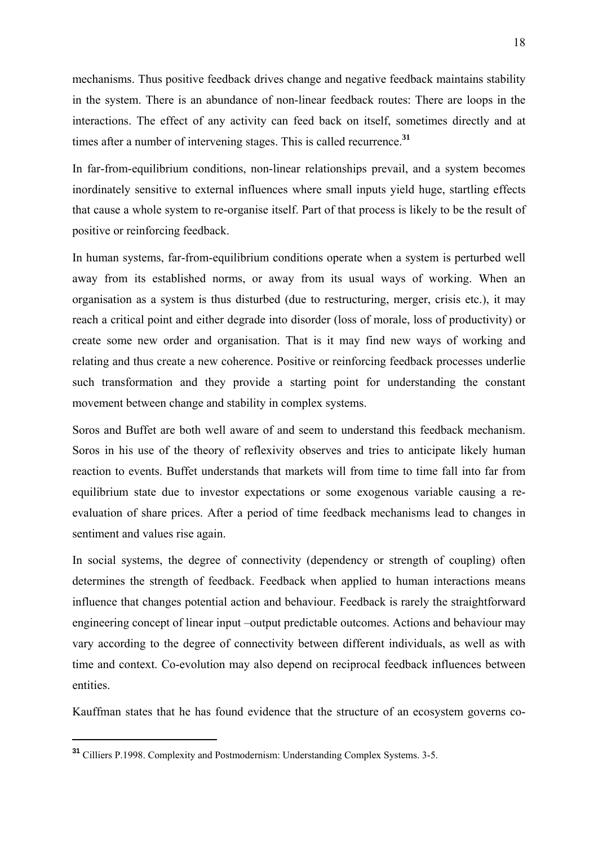mechanisms. Thus positive feedback drives change and negative feedback maintains stability in the system. There is an abundance of non-linear feedback routes: There are loops in the interactions. The effect of any activity can feed back on itself, sometimes directly and at times after a number of intervening stages. This is called recurrence.**<sup>31</sup>**

In far-from-equilibrium conditions, non-linear relationships prevail, and a system becomes inordinately sensitive to external influences where small inputs yield huge, startling effects that cause a whole system to re-organise itself. Part of that process is likely to be the result of positive or reinforcing feedback.

In human systems, far-from-equilibrium conditions operate when a system is perturbed well away from its established norms, or away from its usual ways of working. When an organisation as a system is thus disturbed (due to restructuring, merger, crisis etc.), it may reach a critical point and either degrade into disorder (loss of morale, loss of productivity) or create some new order and organisation. That is it may find new ways of working and relating and thus create a new coherence. Positive or reinforcing feedback processes underlie such transformation and they provide a starting point for understanding the constant movement between change and stability in complex systems.

Soros and Buffet are both well aware of and seem to understand this feedback mechanism. Soros in his use of the theory of reflexivity observes and tries to anticipate likely human reaction to events. Buffet understands that markets will from time to time fall into far from equilibrium state due to investor expectations or some exogenous variable causing a reevaluation of share prices. After a period of time feedback mechanisms lead to changes in sentiment and values rise again.

In social systems, the degree of connectivity (dependency or strength of coupling) often determines the strength of feedback. Feedback when applied to human interactions means influence that changes potential action and behaviour. Feedback is rarely the straightforward engineering concept of linear input –output predictable outcomes. Actions and behaviour may vary according to the degree of connectivity between different individuals, as well as with time and context. Co-evolution may also depend on reciprocal feedback influences between entities.

Kauffman states that he has found evidence that the structure of an ecosystem governs co-

**<sup>31</sup>** Cilliers P.1998. Complexity and Postmodernism: Understanding Complex Systems. 3-5.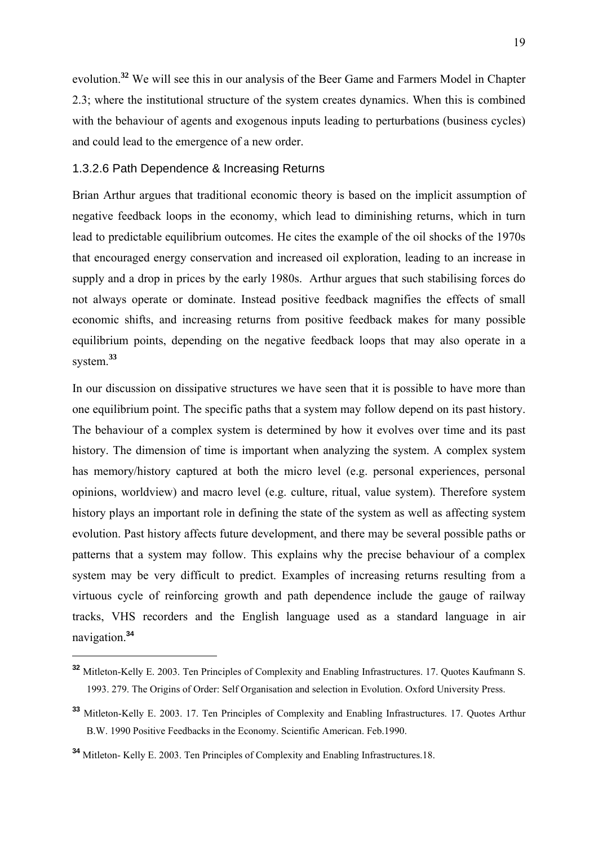evolution.**<sup>32</sup>** We will see this in our analysis of the Beer Game and Farmers Model in Chapter 2.3; where the institutional structure of the system creates dynamics. When this is combined with the behaviour of agents and exogenous inputs leading to perturbations (business cycles) and could lead to the emergence of a new order.

#### 1.3.2.6 Path Dependence & Increasing Returns

Brian Arthur argues that traditional economic theory is based on the implicit assumption of negative feedback loops in the economy, which lead to diminishing returns, which in turn lead to predictable equilibrium outcomes. He cites the example of the oil shocks of the 1970s that encouraged energy conservation and increased oil exploration, leading to an increase in supply and a drop in prices by the early 1980s. Arthur argues that such stabilising forces do not always operate or dominate. Instead positive feedback magnifies the effects of small economic shifts, and increasing returns from positive feedback makes for many possible equilibrium points, depending on the negative feedback loops that may also operate in a system.**<sup>33</sup>**

In our discussion on dissipative structures we have seen that it is possible to have more than one equilibrium point. The specific paths that a system may follow depend on its past history. The behaviour of a complex system is determined by how it evolves over time and its past history. The dimension of time is important when analyzing the system. A complex system has memory/history captured at both the micro level (e.g. personal experiences, personal opinions, worldview) and macro level (e.g. culture, ritual, value system). Therefore system history plays an important role in defining the state of the system as well as affecting system evolution. Past history affects future development, and there may be several possible paths or patterns that a system may follow. This explains why the precise behaviour of a complex system may be very difficult to predict. Examples of increasing returns resulting from a virtuous cycle of reinforcing growth and path dependence include the gauge of railway tracks, VHS recorders and the English language used as a standard language in air navigation.**<sup>34</sup>**

**<sup>32</sup>** Mitleton-Kelly E. 2003. Ten Principles of Complexity and Enabling Infrastructures. 17. Quotes Kaufmann S. 1993. 279. The Origins of Order: Self Organisation and selection in Evolution. Oxford University Press.

**<sup>33</sup>** Mitleton-Kelly E. 2003. 17. Ten Principles of Complexity and Enabling Infrastructures. 17. Quotes Arthur B.W. 1990 Positive Feedbacks in the Economy. Scientific American. Feb.1990.

**<sup>34</sup>** Mitleton- Kelly E. 2003. Ten Principles of Complexity and Enabling Infrastructures.18.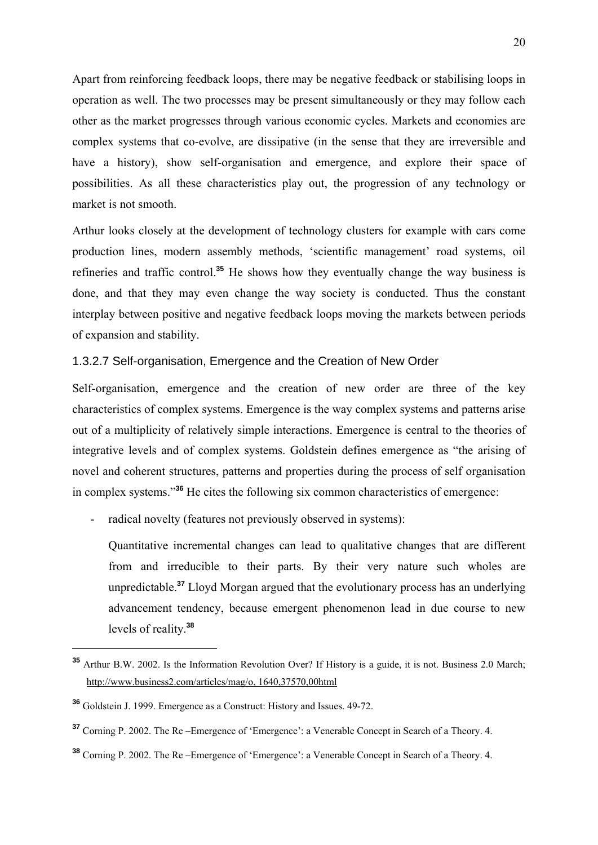Apart from reinforcing feedback loops, there may be negative feedback or stabilising loops in operation as well. The two processes may be present simultaneously or they may follow each other as the market progresses through various economic cycles. Markets and economies are complex systems that co-evolve, are dissipative (in the sense that they are irreversible and have a history), show self-organisation and emergence, and explore their space of possibilities. As all these characteristics play out, the progression of any technology or market is not smooth.

Arthur looks closely at the development of technology clusters for example with cars come production lines, modern assembly methods, 'scientific management' road systems, oil refineries and traffic control.**<sup>35</sup>** He shows how they eventually change the way business is done, and that they may even change the way society is conducted. Thus the constant interplay between positive and negative feedback loops moving the markets between periods of expansion and stability.

#### 1.3.2.7 Self-organisation, Emergence and the Creation of New Order

Self-organisation, emergence and the creation of new order are three of the key characteristics of complex systems. Emergence is the way complex systems and patterns arise out of a multiplicity of relatively simple interactions. Emergence is central to the theories of integrative levels and of complex systems. Goldstein defines emergence as "the arising of novel and coherent structures, patterns and properties during the process of self organisation in complex systems."**<sup>36</sup>** He cites the following six common characteristics of emergence:

- radical novelty (features not previously observed in systems):

Quantitative incremental changes can lead to qualitative changes that are different from and irreducible to their parts. By their very nature such wholes are unpredictable.**<sup>37</sup>** Lloyd Morgan argued that the evolutionary process has an underlying advancement tendency, because emergent phenomenon lead in due course to new levels of reality.**<sup>38</sup>**

**<sup>35</sup>** Arthur B.W. 2002. Is the Information Revolution Over? If History is a guide, it is not. Business 2.0 March; http://www.business2.com/articles/mag/o, 1640,37570,00html

**<sup>36</sup>** Goldstein J. 1999. Emergence as a Construct: History and Issues. 49-72.

**<sup>37</sup>** Corning P. 2002. The Re –Emergence of 'Emergence': a Venerable Concept in Search of a Theory. 4.

**<sup>38</sup>** Corning P. 2002. The Re –Emergence of 'Emergence': a Venerable Concept in Search of a Theory. 4.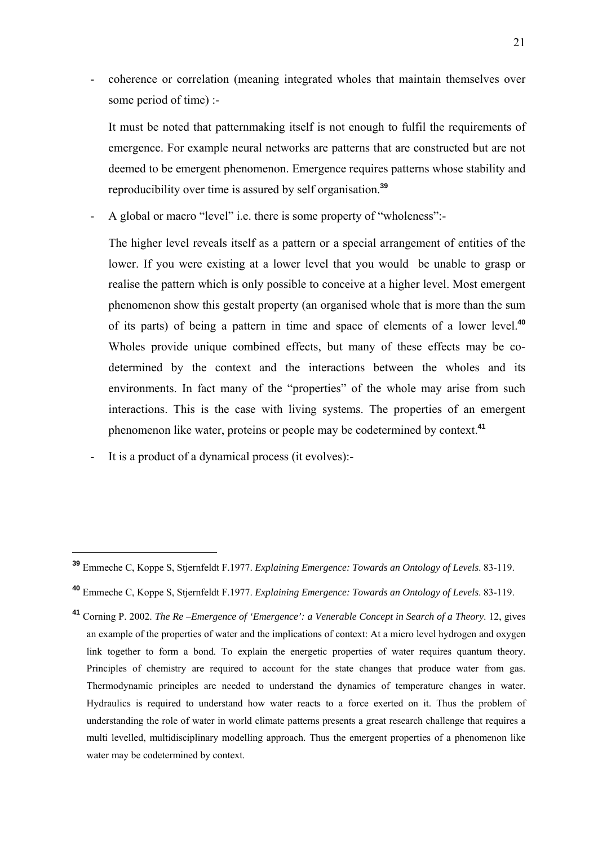- coherence or correlation (meaning integrated wholes that maintain themselves over some period of time) :-

It must be noted that patternmaking itself is not enough to fulfil the requirements of emergence. For example neural networks are patterns that are constructed but are not deemed to be emergent phenomenon. Emergence requires patterns whose stability and reproducibility over time is assured by self organisation.**<sup>39</sup>**

- A global or macro "level" i.e. there is some property of "wholeness":-

The higher level reveals itself as a pattern or a special arrangement of entities of the lower. If you were existing at a lower level that you would be unable to grasp or realise the pattern which is only possible to conceive at a higher level. Most emergent phenomenon show this gestalt property (an organised whole that is more than the sum of its parts) of being a pattern in time and space of elements of a lower level.**<sup>40</sup>** Wholes provide unique combined effects, but many of these effects may be codetermined by the context and the interactions between the wholes and its environments. In fact many of the "properties" of the whole may arise from such interactions. This is the case with living systems. The properties of an emergent phenomenon like water, proteins or people may be codetermined by context.**<sup>41</sup>**

- It is a product of a dynamical process (it evolves):-

**<sup>39</sup>** Emmeche C, Koppe S, Stjernfeldt F.1977. *Explaining Emergence: Towards an Ontology of Levels*. 83-119.

**<sup>40</sup>** Emmeche C, Koppe S, Stjernfeldt F.1977. *Explaining Emergence: Towards an Ontology of Levels*. 83-119.

**<sup>41</sup>** Corning P. 2002. *The Re –Emergence of 'Emergence': a Venerable Concept in Search of a Theory*. 12, gives an example of the properties of water and the implications of context: At a micro level hydrogen and oxygen link together to form a bond. To explain the energetic properties of water requires quantum theory. Principles of chemistry are required to account for the state changes that produce water from gas. Thermodynamic principles are needed to understand the dynamics of temperature changes in water. Hydraulics is required to understand how water reacts to a force exerted on it. Thus the problem of understanding the role of water in world climate patterns presents a great research challenge that requires a multi levelled, multidisciplinary modelling approach. Thus the emergent properties of a phenomenon like water may be codetermined by context.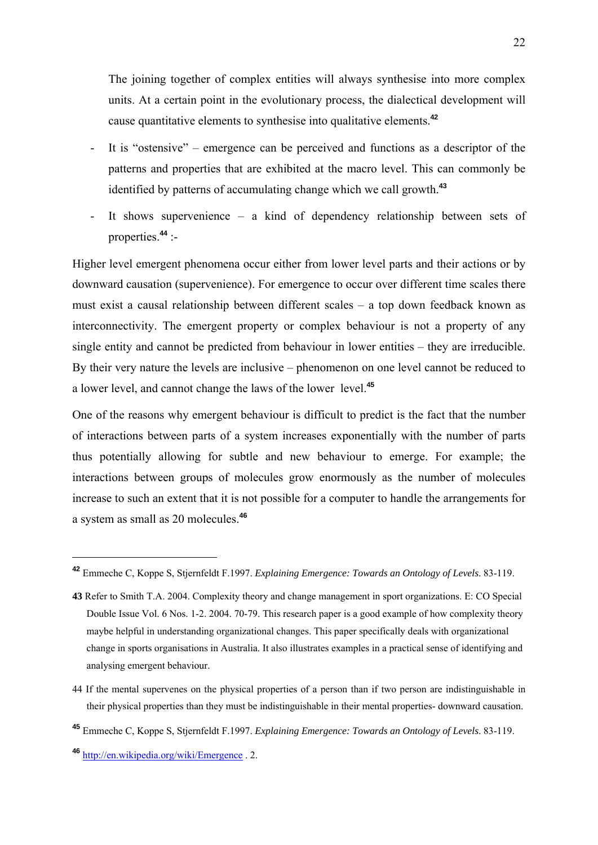The joining together of complex entities will always synthesise into more complex units. At a certain point in the evolutionary process, the dialectical development will cause quantitative elements to synthesise into qualitative elements.**<sup>42</sup>**

- It is "ostensive" emergence can be perceived and functions as a descriptor of the patterns and properties that are exhibited at the macro level. This can commonly be identified by patterns of accumulating change which we call growth.**<sup>43</sup>**
- It shows supervenience a kind of dependency relationship between sets of properties.**<sup>44</sup>** :-

Higher level emergent phenomena occur either from lower level parts and their actions or by downward causation (supervenience). For emergence to occur over different time scales there must exist a causal relationship between different scales – a top down feedback known as interconnectivity. The emergent property or complex behaviour is not a property of any single entity and cannot be predicted from behaviour in lower entities – they are irreducible. By their very nature the levels are inclusive – phenomenon on one level cannot be reduced to a lower level, and cannot change the laws of the lower level.**<sup>45</sup>**

One of the reasons why emergent behaviour is difficult to predict is the fact that the number of interactions between parts of a system increases exponentially with the number of parts thus potentially allowing for subtle and new behaviour to emerge. For example; the interactions between groups of molecules grow enormously as the number of molecules increase to such an extent that it is not possible for a computer to handle the arrangements for a system as small as 20 molecules.**<sup>46</sup>**

44 If the mental supervenes on the physical properties of a person than if two person are indistinguishable in their physical properties than they must be indistinguishable in their mental properties- downward causation.

**<sup>42</sup>** Emmeche C, Koppe S, Stjernfeldt F.1997. *Explaining Emergence: Towards an Ontology of Levels*. 83-119.

**<sup>43</sup>** Refer to Smith T.A. 2004. Complexity theory and change management in sport organizations. E: CO Special Double Issue Vol. 6 Nos. 1-2. 2004. 70-79. This research paper is a good example of how complexity theory maybe helpful in understanding organizational changes. This paper specifically deals with organizational change in sports organisations in Australia. It also illustrates examples in a practical sense of identifying and analysing emergent behaviour.

**<sup>45</sup>** Emmeche C, Koppe S, Stjernfeldt F.1997. *Explaining Emergence: Towards an Ontology of Levels*. 83-119.

**<sup>46</sup>** http://en.wikipedia.org/wiki/Emergence . 2.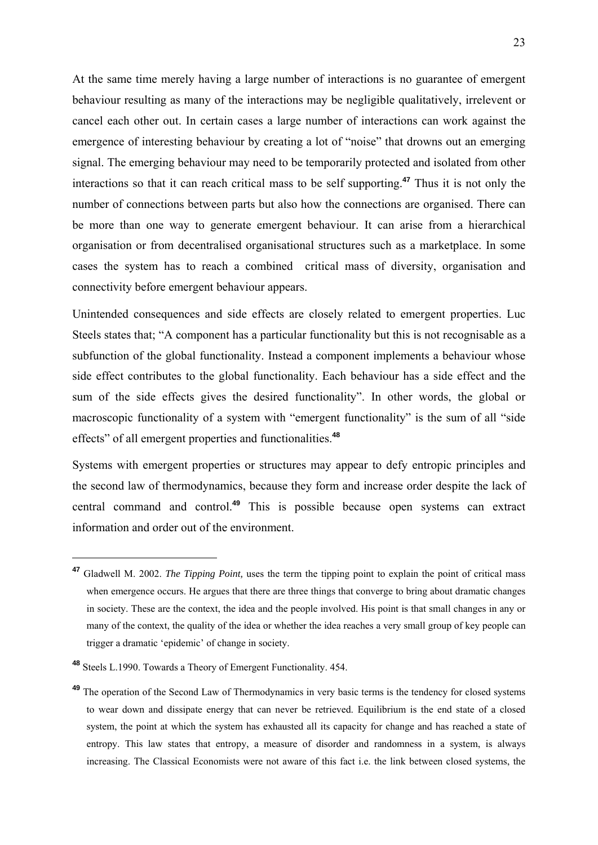At the same time merely having a large number of interactions is no guarantee of emergent behaviour resulting as many of the interactions may be negligible qualitatively, irrelevent or cancel each other out. In certain cases a large number of interactions can work against the emergence of interesting behaviour by creating a lot of "noise" that drowns out an emerging signal. The emerging behaviour may need to be temporarily protected and isolated from other interactions so that it can reach critical mass to be self supporting.**<sup>47</sup>** Thus it is not only the number of connections between parts but also how the connections are organised. There can be more than one way to generate emergent behaviour. It can arise from a hierarchical organisation or from decentralised organisational structures such as a marketplace. In some cases the system has to reach a combined critical mass of diversity, organisation and connectivity before emergent behaviour appears.

Unintended consequences and side effects are closely related to emergent properties. Luc Steels states that; "A component has a particular functionality but this is not recognisable as a subfunction of the global functionality. Instead a component implements a behaviour whose side effect contributes to the global functionality. Each behaviour has a side effect and the sum of the side effects gives the desired functionality". In other words, the global or macroscopic functionality of a system with "emergent functionality" is the sum of all "side effects" of all emergent properties and functionalities.**<sup>48</sup>**

Systems with emergent properties or structures may appear to defy entropic principles and the second law of thermodynamics, because they form and increase order despite the lack of central command and control.**<sup>49</sup>** This is possible because open systems can extract information and order out of the environment.

**<sup>47</sup>** Gladwell M. 2002. *The Tipping Point,* uses the term the tipping point to explain the point of critical mass when emergence occurs. He argues that there are three things that converge to bring about dramatic changes in society. These are the context, the idea and the people involved. His point is that small changes in any or many of the context, the quality of the idea or whether the idea reaches a very small group of key people can trigger a dramatic 'epidemic' of change in society.

**<sup>48</sup>** Steels L.1990. Towards a Theory of Emergent Functionality. 454.

**<sup>49</sup>** The operation of the Second Law of Thermodynamics in very basic terms is the tendency for closed systems to wear down and dissipate energy that can never be retrieved. Equilibrium is the end state of a closed system, the point at which the system has exhausted all its capacity for change and has reached a state of entropy. This law states that entropy, a measure of disorder and randomness in a system, is always increasing. The Classical Economists were not aware of this fact i.e. the link between closed systems, the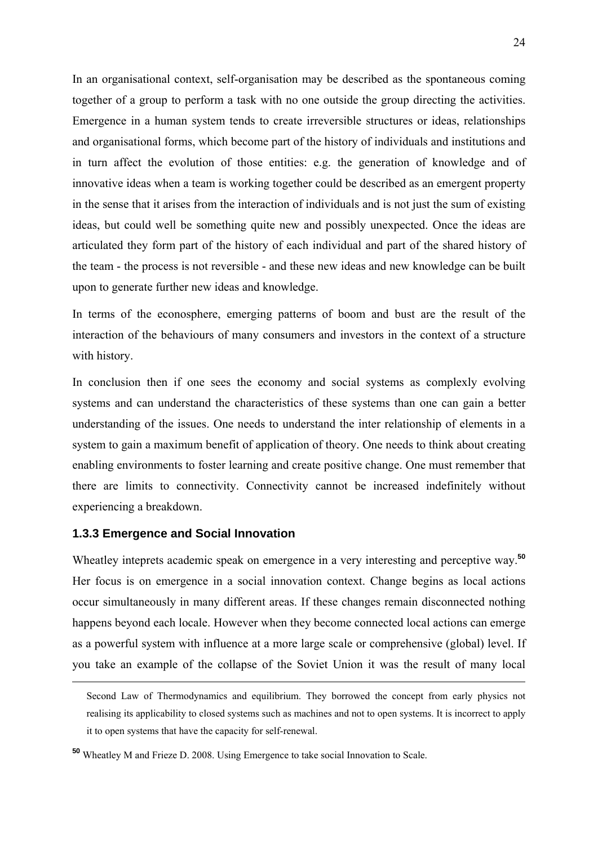In an organisational context, self-organisation may be described as the spontaneous coming together of a group to perform a task with no one outside the group directing the activities. Emergence in a human system tends to create irreversible structures or ideas, relationships and organisational forms, which become part of the history of individuals and institutions and in turn affect the evolution of those entities: e.g. the generation of knowledge and of innovative ideas when a team is working together could be described as an emergent property in the sense that it arises from the interaction of individuals and is not just the sum of existing ideas, but could well be something quite new and possibly unexpected. Once the ideas are articulated they form part of the history of each individual and part of the shared history of the team - the process is not reversible - and these new ideas and new knowledge can be built upon to generate further new ideas and knowledge.

In terms of the econosphere, emerging patterns of boom and bust are the result of the interaction of the behaviours of many consumers and investors in the context of a structure with history.

In conclusion then if one sees the economy and social systems as complexly evolving systems and can understand the characteristics of these systems than one can gain a better understanding of the issues. One needs to understand the inter relationship of elements in a system to gain a maximum benefit of application of theory. One needs to think about creating enabling environments to foster learning and create positive change. One must remember that there are limits to connectivity. Connectivity cannot be increased indefinitely without experiencing a breakdown.

#### **1.3.3 Emergence and Social Innovation**

1

Wheatley inteprets academic speak on emergence in a very interesting and perceptive way.**<sup>50</sup>** Her focus is on emergence in a social innovation context. Change begins as local actions occur simultaneously in many different areas. If these changes remain disconnected nothing happens beyond each locale. However when they become connected local actions can emerge as a powerful system with influence at a more large scale or comprehensive (global) level. If you take an example of the collapse of the Soviet Union it was the result of many local

Second Law of Thermodynamics and equilibrium. They borrowed the concept from early physics not realising its applicability to closed systems such as machines and not to open systems. It is incorrect to apply it to open systems that have the capacity for self-renewal.

**<sup>50</sup>** Wheatley M and Frieze D. 2008. Using Emergence to take social Innovation to Scale.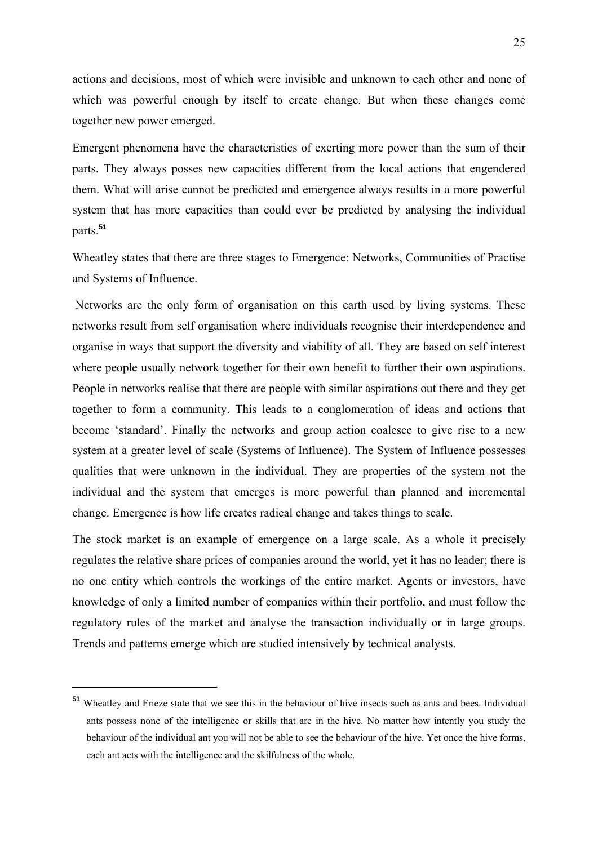actions and decisions, most of which were invisible and unknown to each other and none of which was powerful enough by itself to create change. But when these changes come together new power emerged.

Emergent phenomena have the characteristics of exerting more power than the sum of their parts. They always posses new capacities different from the local actions that engendered them. What will arise cannot be predicted and emergence always results in a more powerful system that has more capacities than could ever be predicted by analysing the individual parts.**<sup>51</sup>**

Wheatley states that there are three stages to Emergence: Networks, Communities of Practise and Systems of Influence.

 Networks are the only form of organisation on this earth used by living systems. These networks result from self organisation where individuals recognise their interdependence and organise in ways that support the diversity and viability of all. They are based on self interest where people usually network together for their own benefit to further their own aspirations. People in networks realise that there are people with similar aspirations out there and they get together to form a community. This leads to a conglomeration of ideas and actions that become 'standard'. Finally the networks and group action coalesce to give rise to a new system at a greater level of scale (Systems of Influence). The System of Influence possesses qualities that were unknown in the individual. They are properties of the system not the individual and the system that emerges is more powerful than planned and incremental change. Emergence is how life creates radical change and takes things to scale.

The stock market is an example of emergence on a large scale. As a whole it precisely regulates the relative share prices of companies around the world, yet it has no leader; there is no one entity which controls the workings of the entire market. Agents or investors, have knowledge of only a limited number of companies within their portfolio, and must follow the regulatory rules of the market and analyse the transaction individually or in large groups. Trends and patterns emerge which are studied intensively by technical analysts.

**<sup>51</sup>** Wheatley and Frieze state that we see this in the behaviour of hive insects such as ants and bees. Individual ants possess none of the intelligence or skills that are in the hive. No matter how intently you study the behaviour of the individual ant you will not be able to see the behaviour of the hive. Yet once the hive forms, each ant acts with the intelligence and the skilfulness of the whole.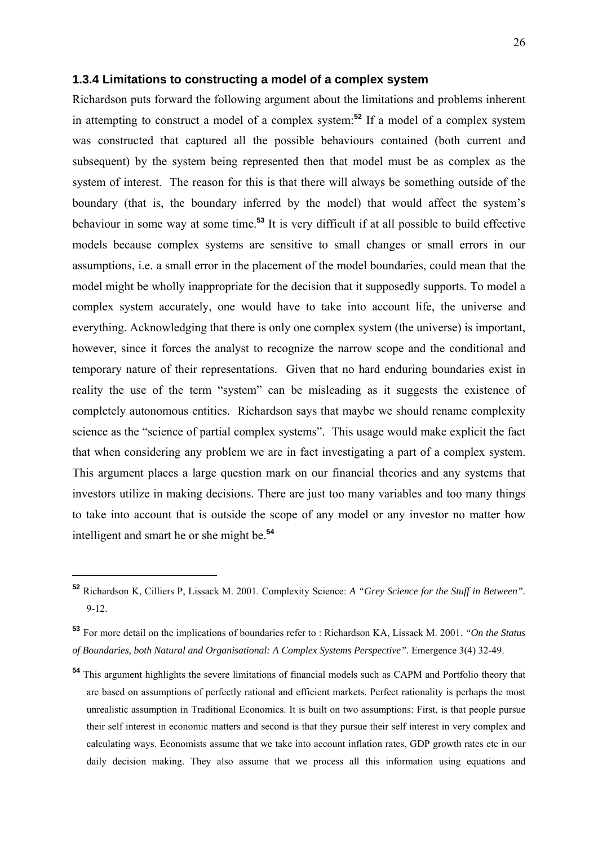#### **1.3.4 Limitations to constructing a model of a complex system**

Richardson puts forward the following argument about the limitations and problems inherent in attempting to construct a model of a complex system:**<sup>52</sup>** If a model of a complex system was constructed that captured all the possible behaviours contained (both current and subsequent) by the system being represented then that model must be as complex as the system of interest. The reason for this is that there will always be something outside of the boundary (that is, the boundary inferred by the model) that would affect the system's behaviour in some way at some time.**<sup>53</sup>** It is very difficult if at all possible to build effective models because complex systems are sensitive to small changes or small errors in our assumptions, i.e. a small error in the placement of the model boundaries, could mean that the model might be wholly inappropriate for the decision that it supposedly supports. To model a complex system accurately, one would have to take into account life, the universe and everything. Acknowledging that there is only one complex system (the universe) is important, however, since it forces the analyst to recognize the narrow scope and the conditional and temporary nature of their representations. Given that no hard enduring boundaries exist in reality the use of the term "system" can be misleading as it suggests the existence of completely autonomous entities. Richardson says that maybe we should rename complexity science as the "science of partial complex systems". This usage would make explicit the fact that when considering any problem we are in fact investigating a part of a complex system. This argument places a large question mark on our financial theories and any systems that investors utilize in making decisions. There are just too many variables and too many things to take into account that is outside the scope of any model or any investor no matter how intelligent and smart he or she might be.**<sup>54</sup>**

**<sup>52</sup>** Richardson K, Cilliers P, Lissack M. 2001. Complexity Science: *A "Grey Science for the Stuff in Between".* 9-12.

**<sup>53</sup>** For more detail on the implications of boundaries refer to : Richardson KA, Lissack M. 2001. *"On the Status of Boundaries, both Natural and Organisational: A Complex Systems Perspective"*. Emergence 3(4) 32-49.

**<sup>54</sup>** This argument highlights the severe limitations of financial models such as CAPM and Portfolio theory that are based on assumptions of perfectly rational and efficient markets. Perfect rationality is perhaps the most unrealistic assumption in Traditional Economics. It is built on two assumptions: First, is that people pursue their self interest in economic matters and second is that they pursue their self interest in very complex and calculating ways. Economists assume that we take into account inflation rates, GDP growth rates etc in our daily decision making. They also assume that we process all this information using equations and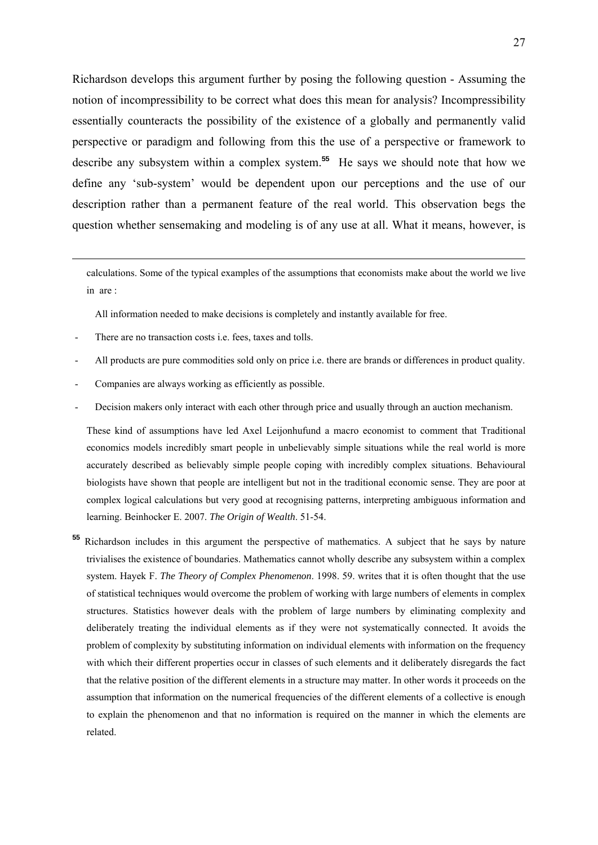Richardson develops this argument further by posing the following question - Assuming the notion of incompressibility to be correct what does this mean for analysis? Incompressibility essentially counteracts the possibility of the existence of a globally and permanently valid perspective or paradigm and following from this the use of a perspective or framework to describe any subsystem within a complex system.**<sup>55</sup>** He says we should note that how we define any 'sub-system' would be dependent upon our perceptions and the use of our description rather than a permanent feature of the real world. This observation begs the question whether sensemaking and modeling is of any use at all. What it means, however, is

calculations. Some of the typical examples of the assumptions that economists make about the world we live in are :

All information needed to make decisions is completely and instantly available for free.

There are no transaction costs i.e. fees, taxes and tolls.

1

- All products are pure commodities sold only on price i.e. there are brands or differences in product quality.
- Companies are always working as efficiently as possible.
- Decision makers only interact with each other through price and usually through an auction mechanism.

 These kind of assumptions have led Axel Leijonhufund a macro economist to comment that Traditional economics models incredibly smart people in unbelievably simple situations while the real world is more accurately described as believably simple people coping with incredibly complex situations. Behavioural biologists have shown that people are intelligent but not in the traditional economic sense. They are poor at complex logical calculations but very good at recognising patterns, interpreting ambiguous information and learning. Beinhocker E. 2007. *The Origin of Wealth*. 51-54.

**<sup>55</sup>** Richardson includes in this argument the perspective of mathematics. A subject that he says by nature trivialises the existence of boundaries. Mathematics cannot wholly describe any subsystem within a complex system. Hayek F. *The Theory of Complex Phenomenon*. 1998. 59. writes that it is often thought that the use of statistical techniques would overcome the problem of working with large numbers of elements in complex structures. Statistics however deals with the problem of large numbers by eliminating complexity and deliberately treating the individual elements as if they were not systematically connected. It avoids the problem of complexity by substituting information on individual elements with information on the frequency with which their different properties occur in classes of such elements and it deliberately disregards the fact that the relative position of the different elements in a structure may matter. In other words it proceeds on the assumption that information on the numerical frequencies of the different elements of a collective is enough to explain the phenomenon and that no information is required on the manner in which the elements are related.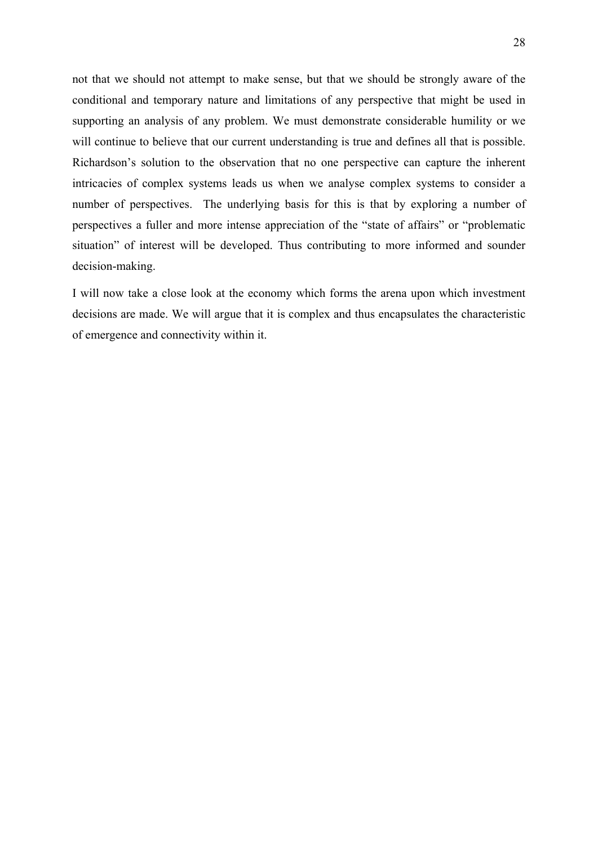not that we should not attempt to make sense, but that we should be strongly aware of the conditional and temporary nature and limitations of any perspective that might be used in supporting an analysis of any problem. We must demonstrate considerable humility or we will continue to believe that our current understanding is true and defines all that is possible. Richardson's solution to the observation that no one perspective can capture the inherent intricacies of complex systems leads us when we analyse complex systems to consider a number of perspectives. The underlying basis for this is that by exploring a number of perspectives a fuller and more intense appreciation of the "state of affairs" or "problematic situation" of interest will be developed. Thus contributing to more informed and sounder decision-making.

I will now take a close look at the economy which forms the arena upon which investment decisions are made. We will argue that it is complex and thus encapsulates the characteristic of emergence and connectivity within it.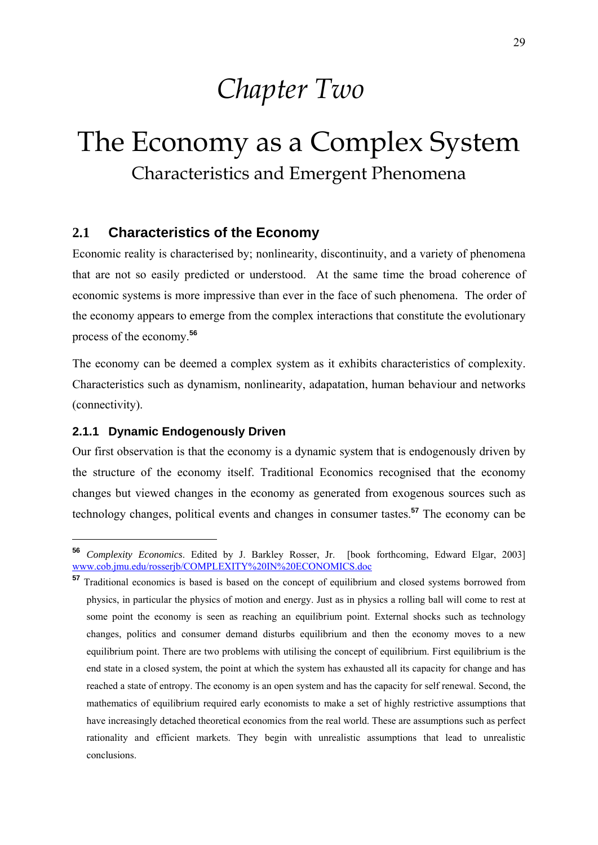# *Chapter Two*

# The Economy as a Complex System Characteristics and Emergent Phenomena

### **2.1 Characteristics of the Economy**

Economic reality is characterised by; nonlinearity, discontinuity, and a variety of phenomena that are not so easily predicted or understood. At the same time the broad coherence of economic systems is more impressive than ever in the face of such phenomena. The order of the economy appears to emerge from the complex interactions that constitute the evolutionary process of the economy.**<sup>56</sup>**

The economy can be deemed a complex system as it exhibits characteristics of complexity. Characteristics such as dynamism, nonlinearity, adapatation, human behaviour and networks (connectivity).

#### **2.1.1 Dynamic Endogenously Driven**

<u>.</u>

Our first observation is that the economy is a dynamic system that is endogenously driven by the structure of the economy itself. Traditional Economics recognised that the economy changes but viewed changes in the economy as generated from exogenous sources such as technology changes, political events and changes in consumer tastes.**<sup>57</sup>** The economy can be

**<sup>56</sup>** *Complexity Economics*. Edited by J. Barkley Rosser, Jr. [book forthcoming, Edward Elgar, 2003] www.cob.jmu.edu/rosserjb/COMPLEXITY%20IN%20ECONOMICS.doc

**<sup>57</sup>** Traditional economics is based is based on the concept of equilibrium and closed systems borrowed from physics, in particular the physics of motion and energy. Just as in physics a rolling ball will come to rest at some point the economy is seen as reaching an equilibrium point. External shocks such as technology changes, politics and consumer demand disturbs equilibrium and then the economy moves to a new equilibrium point. There are two problems with utilising the concept of equilibrium. First equilibrium is the end state in a closed system, the point at which the system has exhausted all its capacity for change and has reached a state of entropy. The economy is an open system and has the capacity for self renewal. Second, the mathematics of equilibrium required early economists to make a set of highly restrictive assumptions that have increasingly detached theoretical economics from the real world. These are assumptions such as perfect rationality and efficient markets. They begin with unrealistic assumptions that lead to unrealistic conclusions.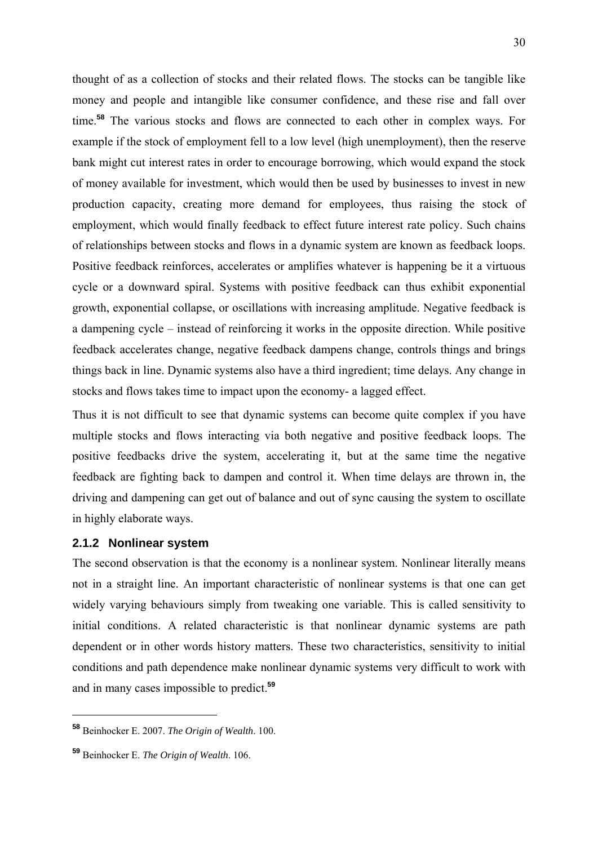thought of as a collection of stocks and their related flows. The stocks can be tangible like money and people and intangible like consumer confidence, and these rise and fall over time.**<sup>58</sup>** The various stocks and flows are connected to each other in complex ways. For example if the stock of employment fell to a low level (high unemployment), then the reserve bank might cut interest rates in order to encourage borrowing, which would expand the stock of money available for investment, which would then be used by businesses to invest in new production capacity, creating more demand for employees, thus raising the stock of employment, which would finally feedback to effect future interest rate policy. Such chains of relationships between stocks and flows in a dynamic system are known as feedback loops. Positive feedback reinforces, accelerates or amplifies whatever is happening be it a virtuous cycle or a downward spiral. Systems with positive feedback can thus exhibit exponential growth, exponential collapse, or oscillations with increasing amplitude. Negative feedback is a dampening cycle – instead of reinforcing it works in the opposite direction. While positive feedback accelerates change, negative feedback dampens change, controls things and brings things back in line. Dynamic systems also have a third ingredient; time delays. Any change in stocks and flows takes time to impact upon the economy- a lagged effect.

Thus it is not difficult to see that dynamic systems can become quite complex if you have multiple stocks and flows interacting via both negative and positive feedback loops. The positive feedbacks drive the system, accelerating it, but at the same time the negative feedback are fighting back to dampen and control it. When time delays are thrown in, the driving and dampening can get out of balance and out of sync causing the system to oscillate in highly elaborate ways.

#### **2.1.2 Nonlinear system**

The second observation is that the economy is a nonlinear system. Nonlinear literally means not in a straight line. An important characteristic of nonlinear systems is that one can get widely varying behaviours simply from tweaking one variable. This is called sensitivity to initial conditions. A related characteristic is that nonlinear dynamic systems are path dependent or in other words history matters. These two characteristics, sensitivity to initial conditions and path dependence make nonlinear dynamic systems very difficult to work with and in many cases impossible to predict.**<sup>59</sup>**

**<sup>58</sup>** Beinhocker E. 2007. *The Origin of Wealth*. 100.

**<sup>59</sup>** Beinhocker E. *The Origin of Wealth*. 106.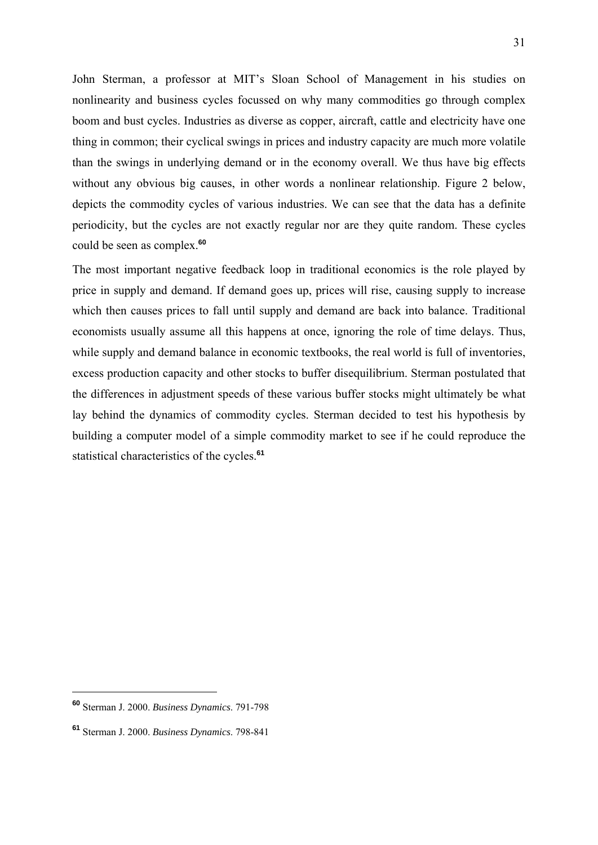John Sterman, a professor at MIT's Sloan School of Management in his studies on nonlinearity and business cycles focussed on why many commodities go through complex boom and bust cycles. Industries as diverse as copper, aircraft, cattle and electricity have one thing in common; their cyclical swings in prices and industry capacity are much more volatile than the swings in underlying demand or in the economy overall. We thus have big effects without any obvious big causes, in other words a nonlinear relationship. Figure 2 below, depicts the commodity cycles of various industries. We can see that the data has a definite periodicity, but the cycles are not exactly regular nor are they quite random. These cycles could be seen as complex.**<sup>60</sup>**

The most important negative feedback loop in traditional economics is the role played by price in supply and demand. If demand goes up, prices will rise, causing supply to increase which then causes prices to fall until supply and demand are back into balance. Traditional economists usually assume all this happens at once, ignoring the role of time delays. Thus, while supply and demand balance in economic textbooks, the real world is full of inventories, excess production capacity and other stocks to buffer disequilibrium. Sterman postulated that the differences in adjustment speeds of these various buffer stocks might ultimately be what lay behind the dynamics of commodity cycles. Sterman decided to test his hypothesis by building a computer model of a simple commodity market to see if he could reproduce the statistical characteristics of the cycles.**<sup>61</sup>**

**<sup>60</sup>** Sterman J. 2000. *Business Dynamics*. 791-798

**<sup>61</sup>** Sterman J. 2000. *Business Dynamics*. 798-841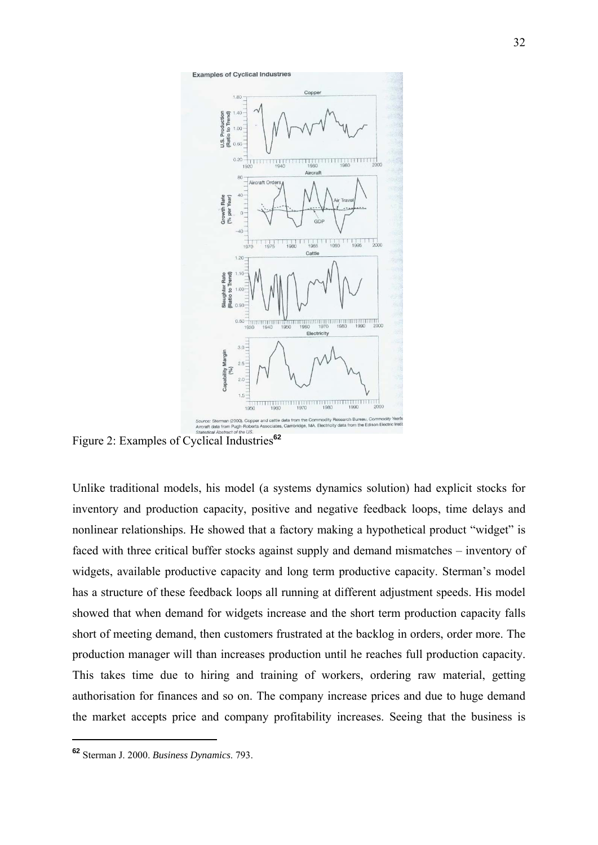

Figure 2: Examples of Cyclical Industries**<sup>62</sup>**

Unlike traditional models, his model (a systems dynamics solution) had explicit stocks for inventory and production capacity, positive and negative feedback loops, time delays and nonlinear relationships. He showed that a factory making a hypothetical product "widget" is faced with three critical buffer stocks against supply and demand mismatches – inventory of widgets, available productive capacity and long term productive capacity. Sterman's model has a structure of these feedback loops all running at different adjustment speeds. His model showed that when demand for widgets increase and the short term production capacity falls short of meeting demand, then customers frustrated at the backlog in orders, order more. The production manager will than increases production until he reaches full production capacity. This takes time due to hiring and training of workers, ordering raw material, getting authorisation for finances and so on. The company increase prices and due to huge demand the market accepts price and company profitability increases. Seeing that the business is

**<sup>62</sup>** Sterman J. 2000. *Business Dynamics*. 793.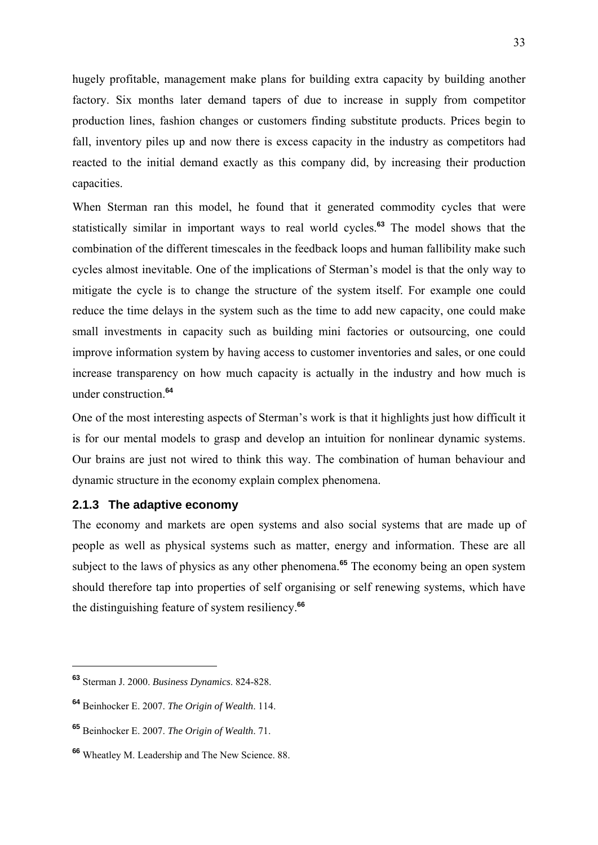hugely profitable, management make plans for building extra capacity by building another factory. Six months later demand tapers of due to increase in supply from competitor production lines, fashion changes or customers finding substitute products. Prices begin to fall, inventory piles up and now there is excess capacity in the industry as competitors had reacted to the initial demand exactly as this company did, by increasing their production capacities.

When Sterman ran this model, he found that it generated commodity cycles that were statistically similar in important ways to real world cycles.**<sup>63</sup>** The model shows that the combination of the different timescales in the feedback loops and human fallibility make such cycles almost inevitable. One of the implications of Sterman's model is that the only way to mitigate the cycle is to change the structure of the system itself. For example one could reduce the time delays in the system such as the time to add new capacity, one could make small investments in capacity such as building mini factories or outsourcing, one could improve information system by having access to customer inventories and sales, or one could increase transparency on how much capacity is actually in the industry and how much is under construction.**<sup>64</sup>**

One of the most interesting aspects of Sterman's work is that it highlights just how difficult it is for our mental models to grasp and develop an intuition for nonlinear dynamic systems. Our brains are just not wired to think this way. The combination of human behaviour and dynamic structure in the economy explain complex phenomena.

### **2.1.3 The adaptive economy**

The economy and markets are open systems and also social systems that are made up of people as well as physical systems such as matter, energy and information. These are all subject to the laws of physics as any other phenomena.<sup>65</sup> The economy being an open system should therefore tap into properties of self organising or self renewing systems, which have the distinguishing feature of system resiliency.**<sup>66</sup>**

**<sup>63</sup>** Sterman J. 2000. *Business Dynamics*. 824-828.

**<sup>64</sup>** Beinhocker E. 2007. *The Origin of Wealth*. 114.

**<sup>65</sup>** Beinhocker E. 2007. *The Origin of Wealth*. 71.

**<sup>66</sup>** Wheatley M. Leadership and The New Science. 88.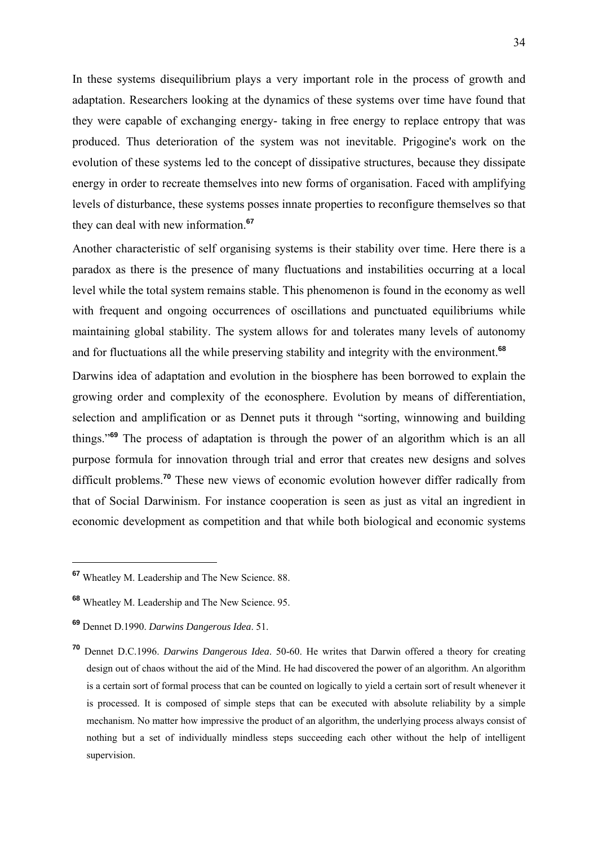In these systems disequilibrium plays a very important role in the process of growth and adaptation. Researchers looking at the dynamics of these systems over time have found that they were capable of exchanging energy- taking in free energy to replace entropy that was produced. Thus deterioration of the system was not inevitable. Prigogine's work on the evolution of these systems led to the concept of dissipative structures, because they dissipate energy in order to recreate themselves into new forms of organisation. Faced with amplifying levels of disturbance, these systems posses innate properties to reconfigure themselves so that they can deal with new information.**<sup>67</sup>**

Another characteristic of self organising systems is their stability over time. Here there is a paradox as there is the presence of many fluctuations and instabilities occurring at a local level while the total system remains stable. This phenomenon is found in the economy as well with frequent and ongoing occurrences of oscillations and punctuated equilibriums while maintaining global stability. The system allows for and tolerates many levels of autonomy and for fluctuations all the while preserving stability and integrity with the environment.**<sup>68</sup>**

Darwins idea of adaptation and evolution in the biosphere has been borrowed to explain the growing order and complexity of the econosphere. Evolution by means of differentiation, selection and amplification or as Dennet puts it through "sorting, winnowing and building things."**<sup>69</sup>** The process of adaptation is through the power of an algorithm which is an all purpose formula for innovation through trial and error that creates new designs and solves difficult problems.**<sup>70</sup>** These new views of economic evolution however differ radically from that of Social Darwinism. For instance cooperation is seen as just as vital an ingredient in economic development as competition and that while both biological and economic systems

**<sup>67</sup>** Wheatley M. Leadership and The New Science. 88.

**<sup>68</sup>** Wheatley M. Leadership and The New Science. 95.

**<sup>69</sup>** Dennet D.1990. *Darwins Dangerous Idea*. 51.

**<sup>70</sup>** Dennet D.C.1996. *Darwins Dangerous Idea*. 50-60. He writes that Darwin offered a theory for creating design out of chaos without the aid of the Mind. He had discovered the power of an algorithm. An algorithm is a certain sort of formal process that can be counted on logically to yield a certain sort of result whenever it is processed. It is composed of simple steps that can be executed with absolute reliability by a simple mechanism. No matter how impressive the product of an algorithm, the underlying process always consist of nothing but a set of individually mindless steps succeeding each other without the help of intelligent supervision.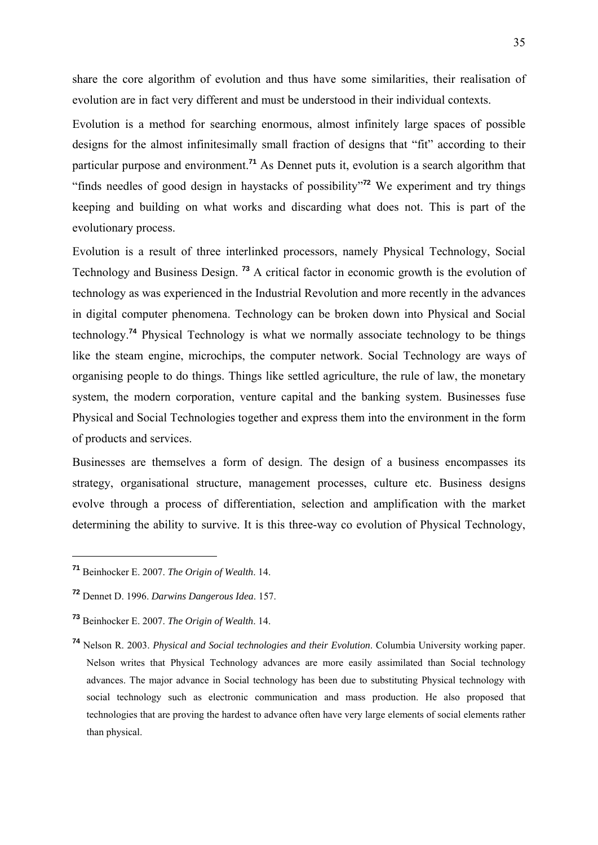share the core algorithm of evolution and thus have some similarities, their realisation of evolution are in fact very different and must be understood in their individual contexts.

Evolution is a method for searching enormous, almost infinitely large spaces of possible designs for the almost infinitesimally small fraction of designs that "fit" according to their particular purpose and environment.**<sup>71</sup>** As Dennet puts it, evolution is a search algorithm that "finds needles of good design in haystacks of possibility"**<sup>72</sup>** We experiment and try things keeping and building on what works and discarding what does not. This is part of the evolutionary process.

Evolution is a result of three interlinked processors, namely Physical Technology, Social Technology and Business Design. **<sup>73</sup>** A critical factor in economic growth is the evolution of technology as was experienced in the Industrial Revolution and more recently in the advances in digital computer phenomena. Technology can be broken down into Physical and Social technology.**<sup>74</sup>** Physical Technology is what we normally associate technology to be things like the steam engine, microchips, the computer network. Social Technology are ways of organising people to do things. Things like settled agriculture, the rule of law, the monetary system, the modern corporation, venture capital and the banking system. Businesses fuse Physical and Social Technologies together and express them into the environment in the form of products and services.

Businesses are themselves a form of design. The design of a business encompasses its strategy, organisational structure, management processes, culture etc. Business designs evolve through a process of differentiation, selection and amplification with the market determining the ability to survive. It is this three-way co evolution of Physical Technology,

**<sup>71</sup>** Beinhocker E. 2007. *The Origin of Wealth*. 14.

**<sup>72</sup>** Dennet D. 1996. *Darwins Dangerous Idea*. 157.

**<sup>73</sup>** Beinhocker E. 2007. *The Origin of Wealth*. 14.

**<sup>74</sup>** Nelson R. 2003. *Physical and Social technologies and their Evolution*. Columbia University working paper. Nelson writes that Physical Technology advances are more easily assimilated than Social technology advances. The major advance in Social technology has been due to substituting Physical technology with social technology such as electronic communication and mass production. He also proposed that technologies that are proving the hardest to advance often have very large elements of social elements rather than physical.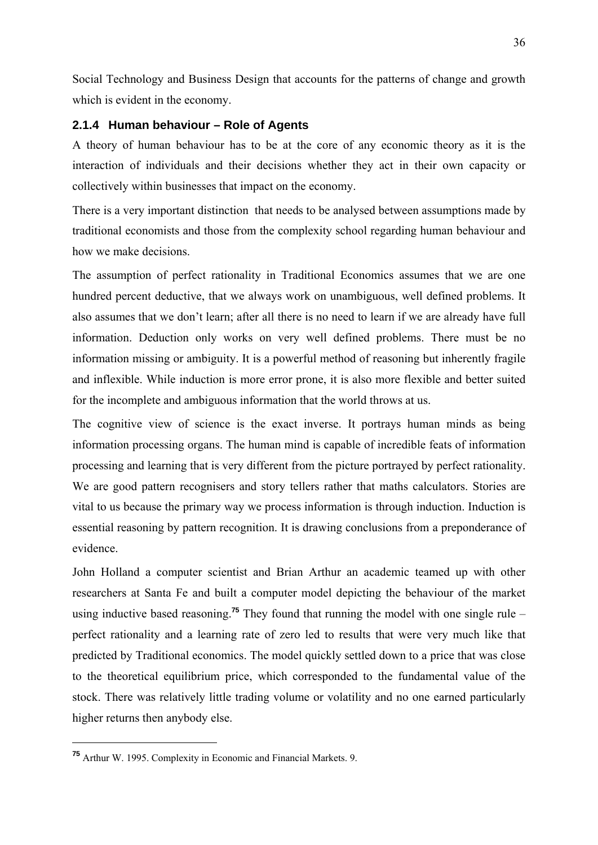Social Technology and Business Design that accounts for the patterns of change and growth which is evident in the economy.

### **2.1.4 Human behaviour – Role of Agents**

A theory of human behaviour has to be at the core of any economic theory as it is the interaction of individuals and their decisions whether they act in their own capacity or collectively within businesses that impact on the economy.

There is a very important distinction that needs to be analysed between assumptions made by traditional economists and those from the complexity school regarding human behaviour and how we make decisions.

The assumption of perfect rationality in Traditional Economics assumes that we are one hundred percent deductive, that we always work on unambiguous, well defined problems. It also assumes that we don't learn; after all there is no need to learn if we are already have full information. Deduction only works on very well defined problems. There must be no information missing or ambiguity. It is a powerful method of reasoning but inherently fragile and inflexible. While induction is more error prone, it is also more flexible and better suited for the incomplete and ambiguous information that the world throws at us.

The cognitive view of science is the exact inverse. It portrays human minds as being information processing organs. The human mind is capable of incredible feats of information processing and learning that is very different from the picture portrayed by perfect rationality. We are good pattern recognisers and story tellers rather that maths calculators. Stories are vital to us because the primary way we process information is through induction. Induction is essential reasoning by pattern recognition. It is drawing conclusions from a preponderance of evidence.

John Holland a computer scientist and Brian Arthur an academic teamed up with other researchers at Santa Fe and built a computer model depicting the behaviour of the market using inductive based reasoning.**<sup>75</sup>** They found that running the model with one single rule – perfect rationality and a learning rate of zero led to results that were very much like that predicted by Traditional economics. The model quickly settled down to a price that was close to the theoretical equilibrium price, which corresponded to the fundamental value of the stock. There was relatively little trading volume or volatility and no one earned particularly higher returns then anybody else.

**<sup>75</sup>** Arthur W. 1995. Complexity in Economic and Financial Markets. 9.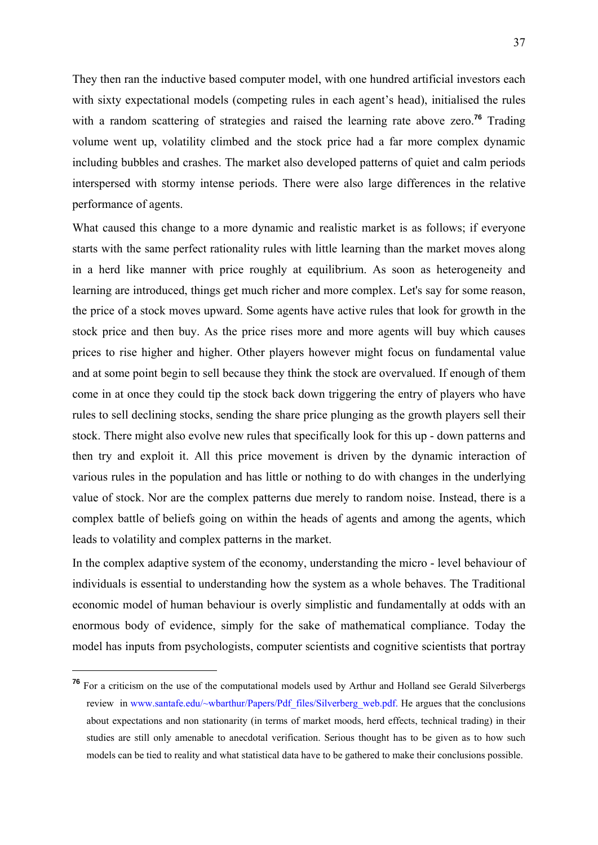They then ran the inductive based computer model, with one hundred artificial investors each with sixty expectational models (competing rules in each agent's head), initialised the rules with a random scattering of strategies and raised the learning rate above zero.<sup>76</sup> Trading volume went up, volatility climbed and the stock price had a far more complex dynamic including bubbles and crashes. The market also developed patterns of quiet and calm periods interspersed with stormy intense periods. There were also large differences in the relative performance of agents.

What caused this change to a more dynamic and realistic market is as follows; if everyone starts with the same perfect rationality rules with little learning than the market moves along in a herd like manner with price roughly at equilibrium. As soon as heterogeneity and learning are introduced, things get much richer and more complex. Let's say for some reason, the price of a stock moves upward. Some agents have active rules that look for growth in the stock price and then buy. As the price rises more and more agents will buy which causes prices to rise higher and higher. Other players however might focus on fundamental value and at some point begin to sell because they think the stock are overvalued. If enough of them come in at once they could tip the stock back down triggering the entry of players who have rules to sell declining stocks, sending the share price plunging as the growth players sell their stock. There might also evolve new rules that specifically look for this up - down patterns and then try and exploit it. All this price movement is driven by the dynamic interaction of various rules in the population and has little or nothing to do with changes in the underlying value of stock. Nor are the complex patterns due merely to random noise. Instead, there is a complex battle of beliefs going on within the heads of agents and among the agents, which leads to volatility and complex patterns in the market.

In the complex adaptive system of the economy, understanding the micro - level behaviour of individuals is essential to understanding how the system as a whole behaves. The Traditional economic model of human behaviour is overly simplistic and fundamentally at odds with an enormous body of evidence, simply for the sake of mathematical compliance. Today the model has inputs from psychologists, computer scientists and cognitive scientists that portray

<sup>&</sup>lt;sup>76</sup> For a criticism on the use of the computational models used by Arthur and Holland see Gerald Silverbergs review in www.santafe.edu/~wbarthur/Papers/Pdf\_files/Silverberg\_web.pdf. He argues that the conclusions about expectations and non stationarity (in terms of market moods, herd effects, technical trading) in their studies are still only amenable to anecdotal verification. Serious thought has to be given as to how such models can be tied to reality and what statistical data have to be gathered to make their conclusions possible.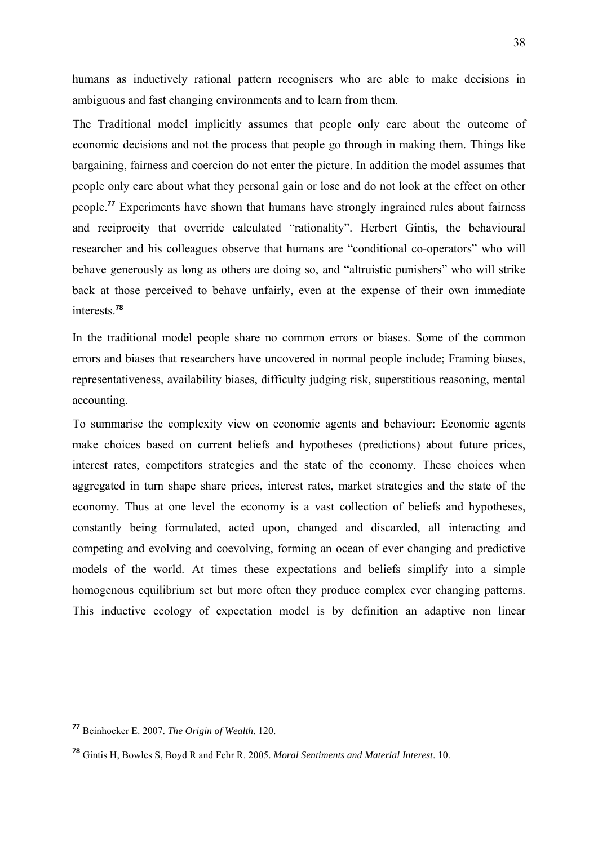humans as inductively rational pattern recognisers who are able to make decisions in ambiguous and fast changing environments and to learn from them.

The Traditional model implicitly assumes that people only care about the outcome of economic decisions and not the process that people go through in making them. Things like bargaining, fairness and coercion do not enter the picture. In addition the model assumes that people only care about what they personal gain or lose and do not look at the effect on other people.**<sup>77</sup>** Experiments have shown that humans have strongly ingrained rules about fairness and reciprocity that override calculated "rationality". Herbert Gintis, the behavioural researcher and his colleagues observe that humans are "conditional co-operators" who will behave generously as long as others are doing so, and "altruistic punishers" who will strike back at those perceived to behave unfairly, even at the expense of their own immediate interests.**<sup>78</sup>**

In the traditional model people share no common errors or biases. Some of the common errors and biases that researchers have uncovered in normal people include; Framing biases, representativeness, availability biases, difficulty judging risk, superstitious reasoning, mental accounting.

To summarise the complexity view on economic agents and behaviour: Economic agents make choices based on current beliefs and hypotheses (predictions) about future prices, interest rates, competitors strategies and the state of the economy. These choices when aggregated in turn shape share prices, interest rates, market strategies and the state of the economy. Thus at one level the economy is a vast collection of beliefs and hypotheses, constantly being formulated, acted upon, changed and discarded, all interacting and competing and evolving and coevolving, forming an ocean of ever changing and predictive models of the world. At times these expectations and beliefs simplify into a simple homogenous equilibrium set but more often they produce complex ever changing patterns. This inductive ecology of expectation model is by definition an adaptive non linear

**<sup>77</sup>** Beinhocker E. 2007. *The Origin of Wealth*. 120.

**<sup>78</sup>** Gintis H, Bowles S, Boyd R and Fehr R. 2005. *Moral Sentiments and Material Interest*. 10.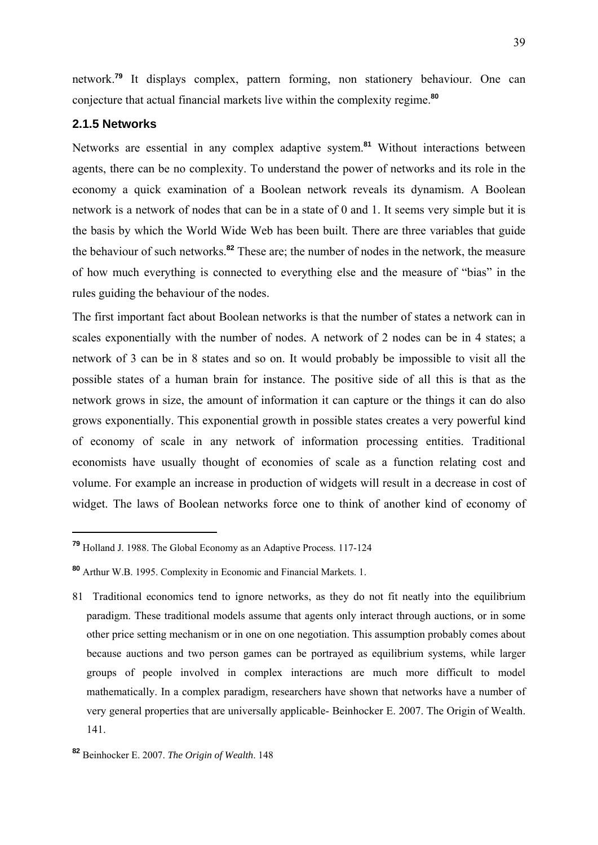network.**<sup>79</sup>** It displays complex, pattern forming, non stationery behaviour. One can conjecture that actual financial markets live within the complexity regime.**<sup>80</sup>**

### **2.1.5 Networks**

1

Networks are essential in any complex adaptive system.**<sup>81</sup>** Without interactions between agents, there can be no complexity. To understand the power of networks and its role in the economy a quick examination of a Boolean network reveals its dynamism. A Boolean network is a network of nodes that can be in a state of 0 and 1. It seems very simple but it is the basis by which the World Wide Web has been built. There are three variables that guide the behaviour of such networks.**<sup>82</sup>** These are; the number of nodes in the network, the measure of how much everything is connected to everything else and the measure of "bias" in the rules guiding the behaviour of the nodes.

The first important fact about Boolean networks is that the number of states a network can in scales exponentially with the number of nodes. A network of 2 nodes can be in 4 states; a network of 3 can be in 8 states and so on. It would probably be impossible to visit all the possible states of a human brain for instance. The positive side of all this is that as the network grows in size, the amount of information it can capture or the things it can do also grows exponentially. This exponential growth in possible states creates a very powerful kind of economy of scale in any network of information processing entities. Traditional economists have usually thought of economies of scale as a function relating cost and volume. For example an increase in production of widgets will result in a decrease in cost of widget. The laws of Boolean networks force one to think of another kind of economy of

**<sup>79</sup>** Holland J. 1988. The Global Economy as an Adaptive Process. 117-124

**<sup>80</sup>** Arthur W.B. 1995. Complexity in Economic and Financial Markets. 1.

<sup>81</sup> Traditional economics tend to ignore networks, as they do not fit neatly into the equilibrium paradigm. These traditional models assume that agents only interact through auctions, or in some other price setting mechanism or in one on one negotiation. This assumption probably comes about because auctions and two person games can be portrayed as equilibrium systems, while larger groups of people involved in complex interactions are much more difficult to model mathematically. In a complex paradigm, researchers have shown that networks have a number of very general properties that are universally applicable- Beinhocker E. 2007. The Origin of Wealth. 141.

**<sup>82</sup>** Beinhocker E. 2007. *The Origin of Wealth*. 148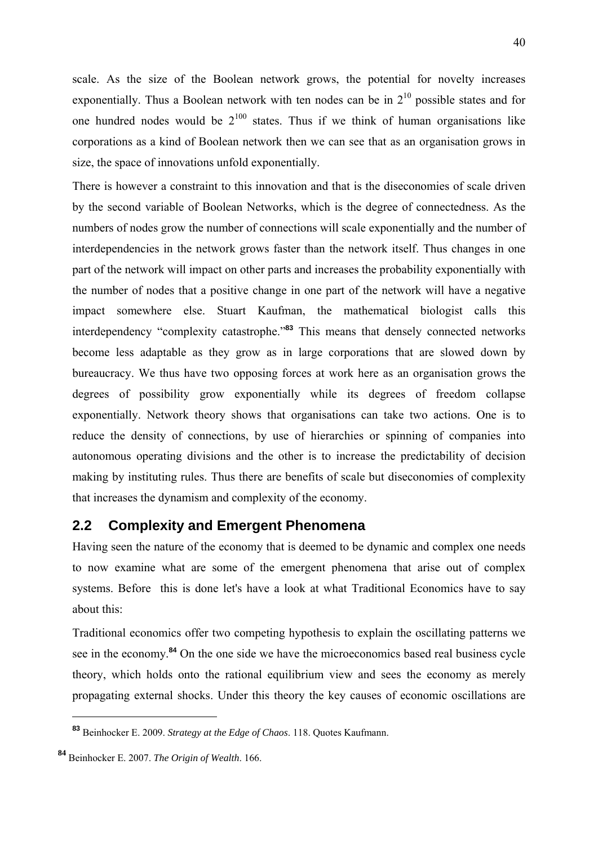scale. As the size of the Boolean network grows, the potential for novelty increases exponentially. Thus a Boolean network with ten nodes can be in  $2^{10}$  possible states and for one hundred nodes would be  $2^{100}$  states. Thus if we think of human organisations like corporations as a kind of Boolean network then we can see that as an organisation grows in size, the space of innovations unfold exponentially.

There is however a constraint to this innovation and that is the diseconomies of scale driven by the second variable of Boolean Networks, which is the degree of connectedness. As the numbers of nodes grow the number of connections will scale exponentially and the number of interdependencies in the network grows faster than the network itself. Thus changes in one part of the network will impact on other parts and increases the probability exponentially with the number of nodes that a positive change in one part of the network will have a negative impact somewhere else. Stuart Kaufman, the mathematical biologist calls this interdependency "complexity catastrophe."**<sup>83</sup>** This means that densely connected networks become less adaptable as they grow as in large corporations that are slowed down by bureaucracy. We thus have two opposing forces at work here as an organisation grows the degrees of possibility grow exponentially while its degrees of freedom collapse exponentially. Network theory shows that organisations can take two actions. One is to reduce the density of connections, by use of hierarchies or spinning of companies into autonomous operating divisions and the other is to increase the predictability of decision making by instituting rules. Thus there are benefits of scale but diseconomies of complexity that increases the dynamism and complexity of the economy.

# **2.2 Complexity and Emergent Phenomena**

Having seen the nature of the economy that is deemed to be dynamic and complex one needs to now examine what are some of the emergent phenomena that arise out of complex systems. Before this is done let's have a look at what Traditional Economics have to say about this:

Traditional economics offer two competing hypothesis to explain the oscillating patterns we see in the economy.**<sup>84</sup>** On the one side we have the microeconomics based real business cycle theory, which holds onto the rational equilibrium view and sees the economy as merely propagating external shocks. Under this theory the key causes of economic oscillations are

**<sup>83</sup>** Beinhocker E. 2009. *Strategy at the Edge of Chaos*. 118. Quotes Kaufmann.

**<sup>84</sup>** Beinhocker E. 2007. *The Origin of Wealth*. 166.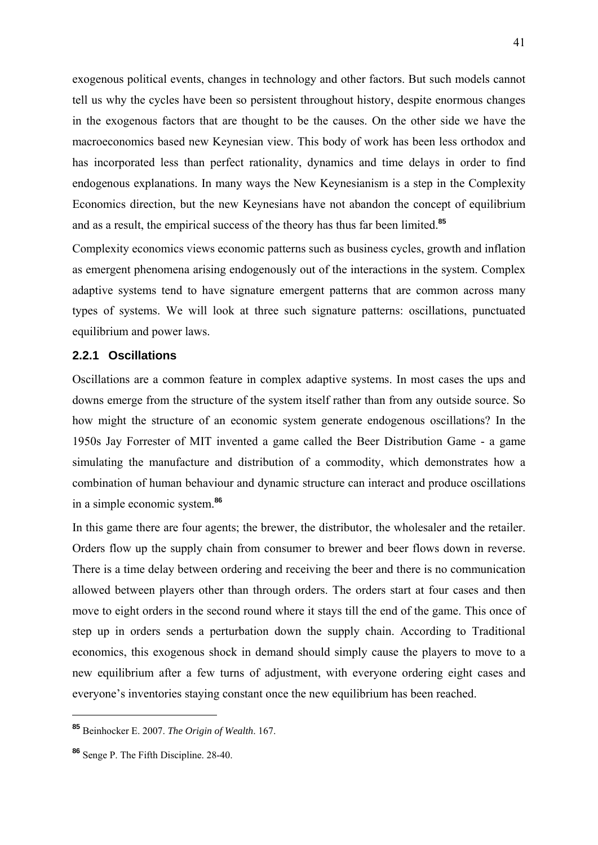exogenous political events, changes in technology and other factors. But such models cannot tell us why the cycles have been so persistent throughout history, despite enormous changes in the exogenous factors that are thought to be the causes. On the other side we have the macroeconomics based new Keynesian view. This body of work has been less orthodox and has incorporated less than perfect rationality, dynamics and time delays in order to find endogenous explanations. In many ways the New Keynesianism is a step in the Complexity Economics direction, but the new Keynesians have not abandon the concept of equilibrium and as a result, the empirical success of the theory has thus far been limited.**<sup>85</sup>**

Complexity economics views economic patterns such as business cycles, growth and inflation as emergent phenomena arising endogenously out of the interactions in the system. Complex adaptive systems tend to have signature emergent patterns that are common across many types of systems. We will look at three such signature patterns: oscillations, punctuated equilibrium and power laws.

### **2.2.1 Oscillations**

Oscillations are a common feature in complex adaptive systems. In most cases the ups and downs emerge from the structure of the system itself rather than from any outside source. So how might the structure of an economic system generate endogenous oscillations? In the 1950s Jay Forrester of MIT invented a game called the Beer Distribution Game - a game simulating the manufacture and distribution of a commodity, which demonstrates how a combination of human behaviour and dynamic structure can interact and produce oscillations in a simple economic system.**<sup>86</sup>**

In this game there are four agents; the brewer, the distributor, the wholesaler and the retailer. Orders flow up the supply chain from consumer to brewer and beer flows down in reverse. There is a time delay between ordering and receiving the beer and there is no communication allowed between players other than through orders. The orders start at four cases and then move to eight orders in the second round where it stays till the end of the game. This once of step up in orders sends a perturbation down the supply chain. According to Traditional economics, this exogenous shock in demand should simply cause the players to move to a new equilibrium after a few turns of adjustment, with everyone ordering eight cases and everyone's inventories staying constant once the new equilibrium has been reached.

**<sup>85</sup>** Beinhocker E. 2007. *The Origin of Wealth*. 167.

**<sup>86</sup>** Senge P. The Fifth Discipline. 28-40.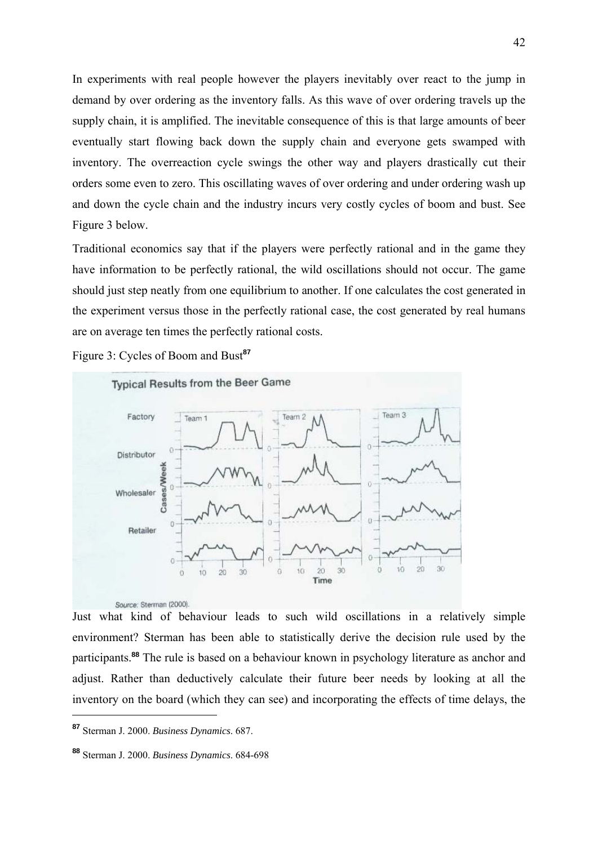In experiments with real people however the players inevitably over react to the jump in demand by over ordering as the inventory falls. As this wave of over ordering travels up the supply chain, it is amplified. The inevitable consequence of this is that large amounts of beer eventually start flowing back down the supply chain and everyone gets swamped with inventory. The overreaction cycle swings the other way and players drastically cut their orders some even to zero. This oscillating waves of over ordering and under ordering wash up and down the cycle chain and the industry incurs very costly cycles of boom and bust. See Figure 3 below.

Traditional economics say that if the players were perfectly rational and in the game they have information to be perfectly rational, the wild oscillations should not occur. The game should just step neatly from one equilibrium to another. If one calculates the cost generated in the experiment versus those in the perfectly rational case, the cost generated by real humans are on average ten times the perfectly rational costs.

Figure 3: Cycles of Boom and Bust**<sup>87</sup>**



Just what kind of behaviour leads to such wild oscillations in a relatively simple environment? Sterman has been able to statistically derive the decision rule used by the participants.**<sup>88</sup>** The rule is based on a behaviour known in psychology literature as anchor and adjust. Rather than deductively calculate their future beer needs by looking at all the inventory on the board (which they can see) and incorporating the effects of time delays, the

**<sup>87</sup>** Sterman J. 2000. *Business Dynamics*. 687.

**<sup>88</sup>** Sterman J. 2000. *Business Dynamics*. 684-698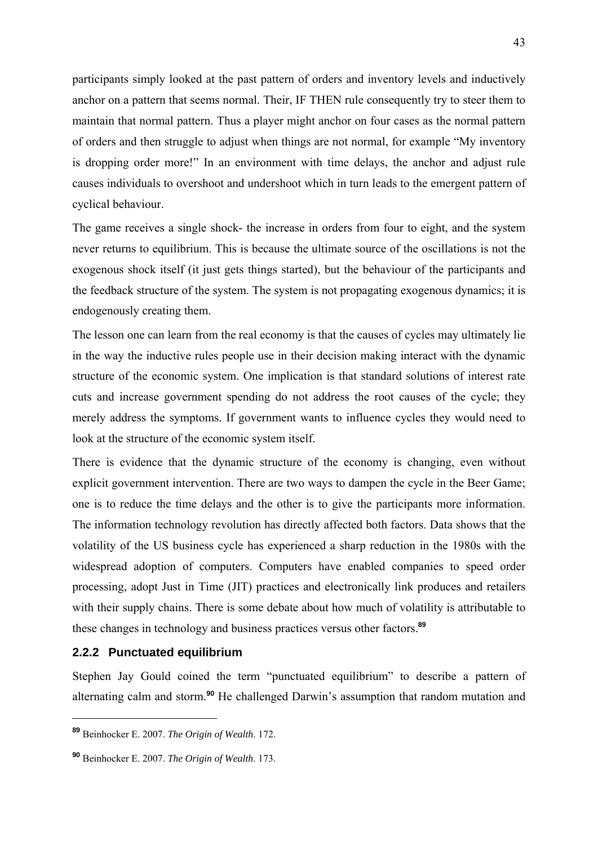participants simply looked at the past pattern of orders and inventory levels and inductively anchor on a pattern that seems normal. Their, IF THEN rule consequently try to steer them to maintain that normal pattern. Thus a player might anchor on four cases as the normal pattern of orders and then struggle to adjust when things are not normal, for example "My inventory is dropping order more!" In an environment with time delays, the anchor and adjust rule causes individuals to overshoot and undershoot which in turn leads to the emergent pattern of cyclical behaviour.

The game receives a single shock- the increase in orders from four to eight, and the system never returns to equilibrium. This is because the ultimate source of the oscillations is not the exogenous shock itself (it just gets things started), but the behaviour of the participants and the feedback structure of the system. The system is not propagating exogenous dynamics; it is endogenously creating them.

The lesson one can learn from the real economy is that the causes of cycles may ultimately lie in the way the inductive rules people use in their decision making interact with the dynamic structure of the economic system. One implication is that standard solutions of interest rate cuts and increase government spending do not address the root causes of the cycle; they merely address the symptoms. If government wants to influence cycles they would need to look at the structure of the economic system itself.

There is evidence that the dynamic structure of the economy is changing, even without explicit government intervention. There are two ways to dampen the cycle in the Beer Game; one is to reduce the time delays and the other is to give the participants more information. The information technology revolution has directly affected both factors. Data shows that the volatility of the US business cycle has experienced a sharp reduction in the 1980s with the widespread adoption of computers. Computers have enabled companies to speed order processing, adopt Just in Time (JIT) practices and electronically link produces and retailers with their supply chains. There is some debate about how much of volatility is attributable to these changes in technology and business practices versus other factors.**<sup>89</sup>**

#### **2.2.2 Punctuated equilibrium**

<u>.</u>

Stephen Jay Gould coined the term "punctuated equilibrium" to describe a pattern of alternating calm and storm.**<sup>90</sup>** He challenged Darwin's assumption that random mutation and

**<sup>89</sup>** Beinhocker E. 2007. *The Origin of Wealth*. 172.

**<sup>90</sup>** Beinhocker E. 2007. *The Origin of Wealth*. 173.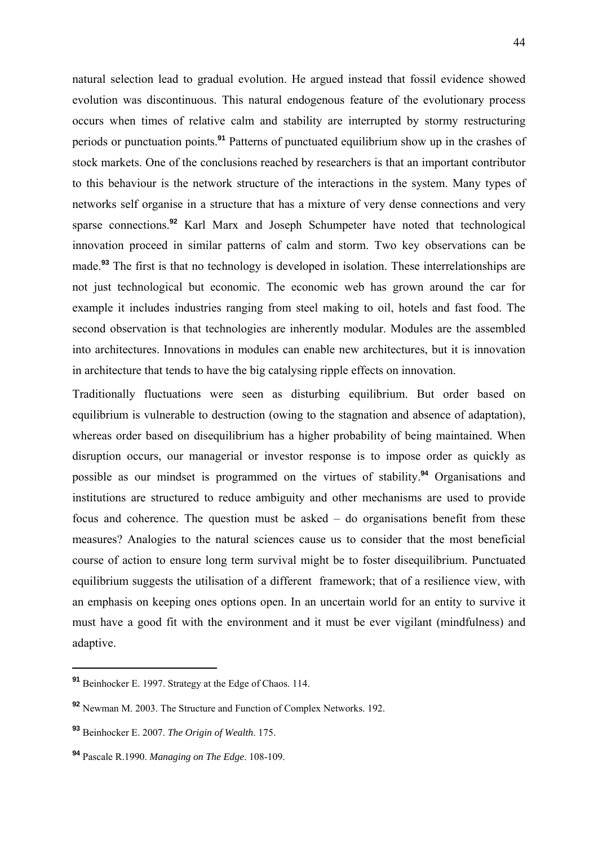natural selection lead to gradual evolution. He argued instead that fossil evidence showed evolution was discontinuous. This natural endogenous feature of the evolutionary process occurs when times of relative calm and stability are interrupted by stormy restructuring periods or punctuation points.**<sup>91</sup>** Patterns of punctuated equilibrium show up in the crashes of stock markets. One of the conclusions reached by researchers is that an important contributor to this behaviour is the network structure of the interactions in the system. Many types of networks self organise in a structure that has a mixture of very dense connections and very sparse connections.**<sup>92</sup>** Karl Marx and Joseph Schumpeter have noted that technological innovation proceed in similar patterns of calm and storm. Two key observations can be made.**<sup>93</sup>** The first is that no technology is developed in isolation. These interrelationships are not just technological but economic. The economic web has grown around the car for example it includes industries ranging from steel making to oil, hotels and fast food. The second observation is that technologies are inherently modular. Modules are the assembled into architectures. Innovations in modules can enable new architectures, but it is innovation in architecture that tends to have the big catalysing ripple effects on innovation.

Traditionally fluctuations were seen as disturbing equilibrium. But order based on equilibrium is vulnerable to destruction (owing to the stagnation and absence of adaptation), whereas order based on disequilibrium has a higher probability of being maintained. When disruption occurs, our managerial or investor response is to impose order as quickly as possible as our mindset is programmed on the virtues of stability.**<sup>94</sup>** Organisations and institutions are structured to reduce ambiguity and other mechanisms are used to provide focus and coherence. The question must be asked – do organisations benefit from these measures? Analogies to the natural sciences cause us to consider that the most beneficial course of action to ensure long term survival might be to foster disequilibrium. Punctuated equilibrium suggests the utilisation of a different framework; that of a resilience view, with an emphasis on keeping ones options open. In an uncertain world for an entity to survive it must have a good fit with the environment and it must be ever vigilant (mindfulness) and adaptive.

**<sup>91</sup>** Beinhocker E. 1997. Strategy at the Edge of Chaos. 114.

**<sup>92</sup>** Newman M. 2003. The Structure and Function of Complex Networks. 192.

**<sup>93</sup>** Beinhocker E. 2007. *The Origin of Wealth*. 175.

**<sup>94</sup>** Pascale R.1990. *Managing on The Edge*. 108-109.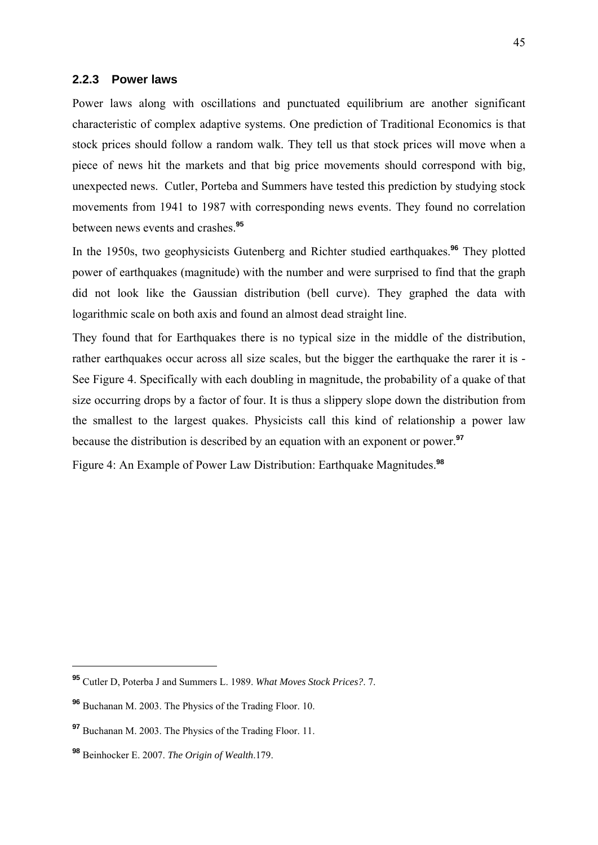### **2.2.3 Power laws**

Power laws along with oscillations and punctuated equilibrium are another significant characteristic of complex adaptive systems. One prediction of Traditional Economics is that stock prices should follow a random walk. They tell us that stock prices will move when a piece of news hit the markets and that big price movements should correspond with big, unexpected news. Cutler, Porteba and Summers have tested this prediction by studying stock movements from 1941 to 1987 with corresponding news events. They found no correlation between news events and crashes.**<sup>95</sup>**

In the 1950s, two geophysicists Gutenberg and Richter studied earthquakes.**<sup>96</sup>** They plotted power of earthquakes (magnitude) with the number and were surprised to find that the graph did not look like the Gaussian distribution (bell curve). They graphed the data with logarithmic scale on both axis and found an almost dead straight line.

They found that for Earthquakes there is no typical size in the middle of the distribution, rather earthquakes occur across all size scales, but the bigger the earthquake the rarer it is - See Figure 4. Specifically with each doubling in magnitude, the probability of a quake of that size occurring drops by a factor of four. It is thus a slippery slope down the distribution from the smallest to the largest quakes. Physicists call this kind of relationship a power law because the distribution is described by an equation with an exponent or power.**<sup>97</sup>**

Figure 4: An Example of Power Law Distribution: Earthquake Magnitudes.**<sup>98</sup>**

**<sup>95</sup>** Cutler D, Poterba J and Summers L. 1989. *What Moves Stock Prices?*. 7.

**<sup>96</sup>** Buchanan M. 2003. The Physics of the Trading Floor. 10.

**<sup>97</sup>** Buchanan M. 2003. The Physics of the Trading Floor. 11.

**<sup>98</sup>** Beinhocker E. 2007. *The Origin of Wealth*.179.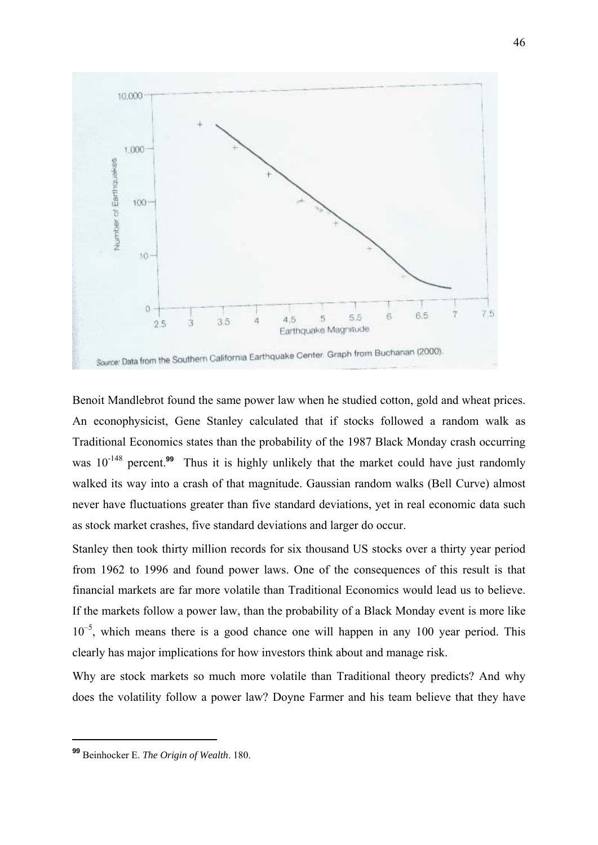

Benoit Mandlebrot found the same power law when he studied cotton, gold and wheat prices. An econophysicist, Gene Stanley calculated that if stocks followed a random walk as Traditional Economics states than the probability of the 1987 Black Monday crash occurring was 10<sup>-148</sup> percent.<sup>99</sup> Thus it is highly unlikely that the market could have just randomly walked its way into a crash of that magnitude. Gaussian random walks (Bell Curve) almost never have fluctuations greater than five standard deviations, yet in real economic data such as stock market crashes, five standard deviations and larger do occur.

Stanley then took thirty million records for six thousand US stocks over a thirty year period from 1962 to 1996 and found power laws. One of the consequences of this result is that financial markets are far more volatile than Traditional Economics would lead us to believe. If the markets follow a power law, than the probability of a Black Monday event is more like  $10^{-5}$ , which means there is a good chance one will happen in any 100 year period. This clearly has major implications for how investors think about and manage risk.

Why are stock markets so much more volatile than Traditional theory predicts? And why does the volatility follow a power law? Doyne Farmer and his team believe that they have

**<sup>99</sup>** Beinhocker E. *The Origin of Wealth*. 180.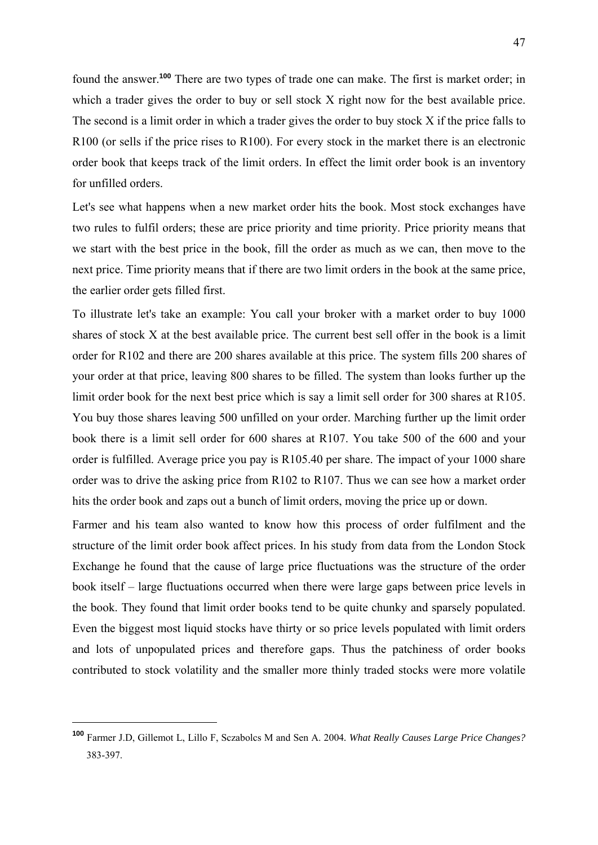found the answer.**<sup>100</sup>** There are two types of trade one can make. The first is market order; in which a trader gives the order to buy or sell stock X right now for the best available price. The second is a limit order in which a trader gives the order to buy stock X if the price falls to R100 (or sells if the price rises to R100). For every stock in the market there is an electronic order book that keeps track of the limit orders. In effect the limit order book is an inventory for unfilled orders.

Let's see what happens when a new market order hits the book. Most stock exchanges have two rules to fulfil orders; these are price priority and time priority. Price priority means that we start with the best price in the book, fill the order as much as we can, then move to the next price. Time priority means that if there are two limit orders in the book at the same price, the earlier order gets filled first.

To illustrate let's take an example: You call your broker with a market order to buy 1000 shares of stock X at the best available price. The current best sell offer in the book is a limit order for R102 and there are 200 shares available at this price. The system fills 200 shares of your order at that price, leaving 800 shares to be filled. The system than looks further up the limit order book for the next best price which is say a limit sell order for 300 shares at R105. You buy those shares leaving 500 unfilled on your order. Marching further up the limit order book there is a limit sell order for 600 shares at R107. You take 500 of the 600 and your order is fulfilled. Average price you pay is R105.40 per share. The impact of your 1000 share order was to drive the asking price from R102 to R107. Thus we can see how a market order hits the order book and zaps out a bunch of limit orders, moving the price up or down.

Farmer and his team also wanted to know how this process of order fulfilment and the structure of the limit order book affect prices. In his study from data from the London Stock Exchange he found that the cause of large price fluctuations was the structure of the order book itself – large fluctuations occurred when there were large gaps between price levels in the book. They found that limit order books tend to be quite chunky and sparsely populated. Even the biggest most liquid stocks have thirty or so price levels populated with limit orders and lots of unpopulated prices and therefore gaps. Thus the patchiness of order books contributed to stock volatility and the smaller more thinly traded stocks were more volatile

**<sup>100</sup>** Farmer J.D, Gillemot L, Lillo F, Sczabolcs M and Sen A. 2004*. What Really Causes Large Price Changes?* 383-397.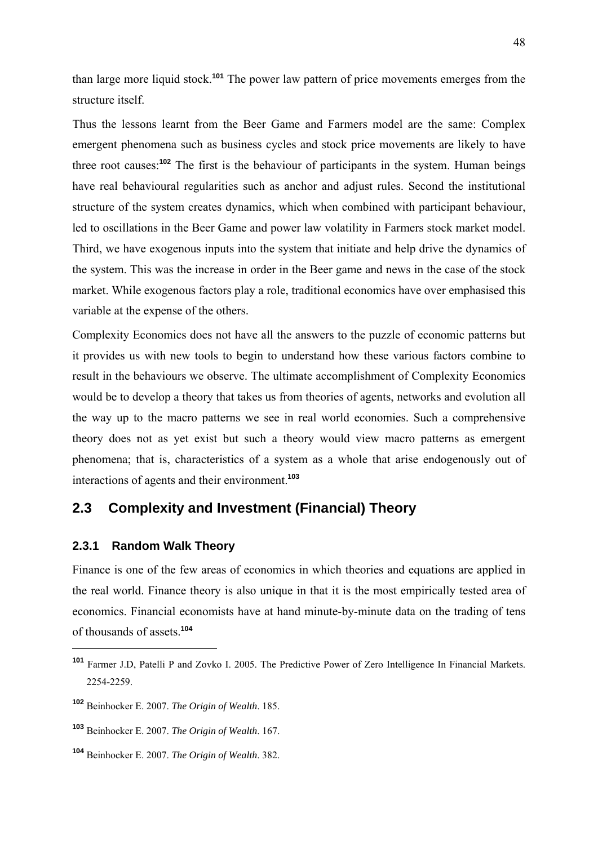than large more liquid stock.**<sup>101</sup>** The power law pattern of price movements emerges from the structure itself.

Thus the lessons learnt from the Beer Game and Farmers model are the same: Complex emergent phenomena such as business cycles and stock price movements are likely to have three root causes:**<sup>102</sup>** The first is the behaviour of participants in the system. Human beings have real behavioural regularities such as anchor and adjust rules. Second the institutional structure of the system creates dynamics, which when combined with participant behaviour, led to oscillations in the Beer Game and power law volatility in Farmers stock market model. Third, we have exogenous inputs into the system that initiate and help drive the dynamics of the system. This was the increase in order in the Beer game and news in the case of the stock market. While exogenous factors play a role, traditional economics have over emphasised this variable at the expense of the others.

Complexity Economics does not have all the answers to the puzzle of economic patterns but it provides us with new tools to begin to understand how these various factors combine to result in the behaviours we observe. The ultimate accomplishment of Complexity Economics would be to develop a theory that takes us from theories of agents, networks and evolution all the way up to the macro patterns we see in real world economies. Such a comprehensive theory does not as yet exist but such a theory would view macro patterns as emergent phenomena; that is, characteristics of a system as a whole that arise endogenously out of interactions of agents and their environment.**<sup>103</sup>**

# **2.3 Complexity and Investment (Financial) Theory**

### **2.3.1 Random Walk Theory**

1

Finance is one of the few areas of economics in which theories and equations are applied in the real world. Finance theory is also unique in that it is the most empirically tested area of economics. Financial economists have at hand minute-by-minute data on the trading of tens of thousands of assets.**<sup>104</sup>**

**<sup>101</sup>** Farmer J.D, Patelli P and Zovko I. 2005. The Predictive Power of Zero Intelligence In Financial Markets. 2254-2259.

**<sup>102</sup>** Beinhocker E. 2007. *The Origin of Wealth*. 185.

**<sup>103</sup>** Beinhocker E. 2007. *The Origin of Wealth*. 167.

**<sup>104</sup>** Beinhocker E. 2007. *The Origin of Wealth*. 382.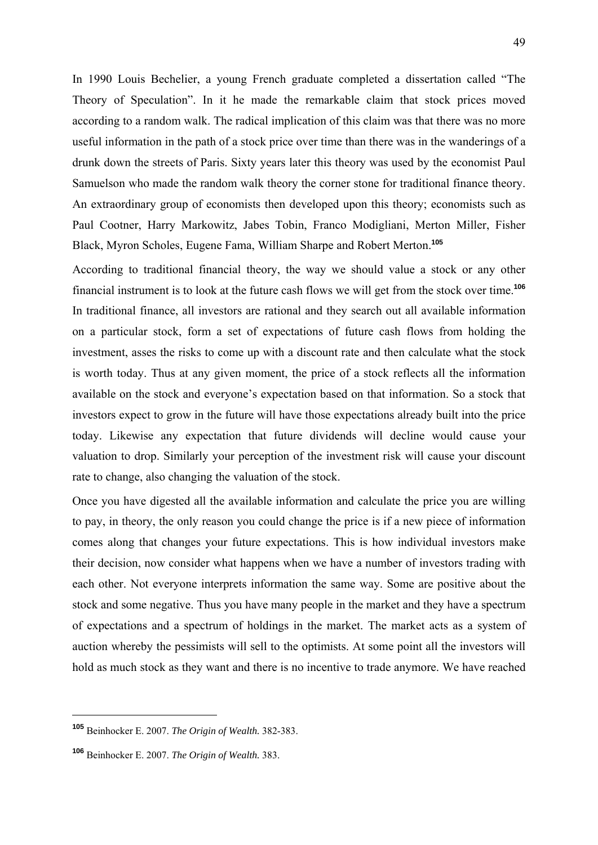In 1990 Louis Bechelier, a young French graduate completed a dissertation called "The Theory of Speculation". In it he made the remarkable claim that stock prices moved according to a random walk. The radical implication of this claim was that there was no more useful information in the path of a stock price over time than there was in the wanderings of a drunk down the streets of Paris. Sixty years later this theory was used by the economist Paul Samuelson who made the random walk theory the corner stone for traditional finance theory. An extraordinary group of economists then developed upon this theory; economists such as Paul Cootner, Harry Markowitz, Jabes Tobin, Franco Modigliani, Merton Miller, Fisher Black, Myron Scholes, Eugene Fama, William Sharpe and Robert Merton.**<sup>105</sup>**

According to traditional financial theory, the way we should value a stock or any other financial instrument is to look at the future cash flows we will get from the stock over time.**<sup>106</sup>** In traditional finance, all investors are rational and they search out all available information on a particular stock, form a set of expectations of future cash flows from holding the investment, asses the risks to come up with a discount rate and then calculate what the stock is worth today. Thus at any given moment, the price of a stock reflects all the information available on the stock and everyone's expectation based on that information. So a stock that investors expect to grow in the future will have those expectations already built into the price today. Likewise any expectation that future dividends will decline would cause your valuation to drop. Similarly your perception of the investment risk will cause your discount rate to change, also changing the valuation of the stock.

Once you have digested all the available information and calculate the price you are willing to pay, in theory, the only reason you could change the price is if a new piece of information comes along that changes your future expectations. This is how individual investors make their decision, now consider what happens when we have a number of investors trading with each other. Not everyone interprets information the same way. Some are positive about the stock and some negative. Thus you have many people in the market and they have a spectrum of expectations and a spectrum of holdings in the market. The market acts as a system of auction whereby the pessimists will sell to the optimists. At some point all the investors will hold as much stock as they want and there is no incentive to trade anymore. We have reached

**<sup>105</sup>** Beinhocker E. 2007. *The Origin of Wealth.* 382-383.

**<sup>106</sup>** Beinhocker E. 2007. *The Origin of Wealth.* 383.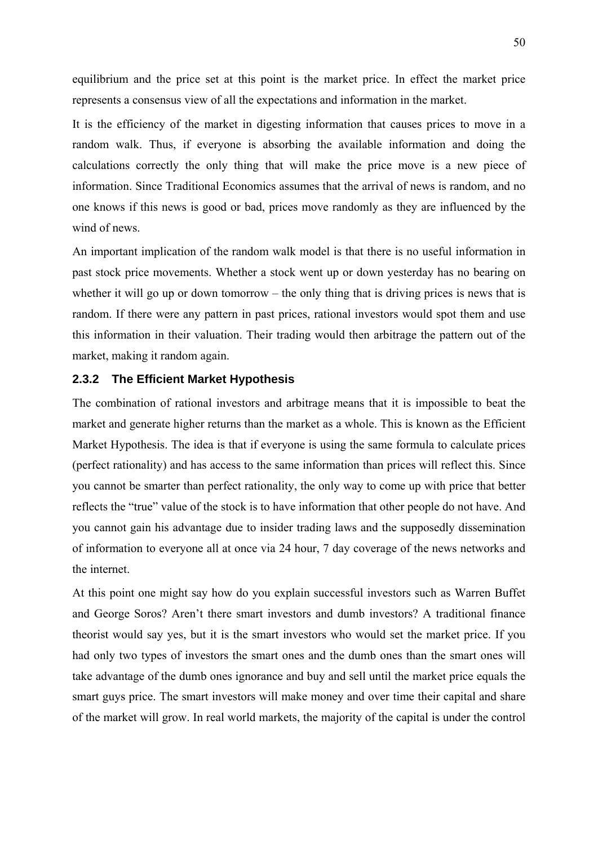equilibrium and the price set at this point is the market price. In effect the market price represents a consensus view of all the expectations and information in the market.

It is the efficiency of the market in digesting information that causes prices to move in a random walk. Thus, if everyone is absorbing the available information and doing the calculations correctly the only thing that will make the price move is a new piece of information. Since Traditional Economics assumes that the arrival of news is random, and no one knows if this news is good or bad, prices move randomly as they are influenced by the wind of news.

An important implication of the random walk model is that there is no useful information in past stock price movements. Whether a stock went up or down yesterday has no bearing on whether it will go up or down tomorrow – the only thing that is driving prices is news that is random. If there were any pattern in past prices, rational investors would spot them and use this information in their valuation. Their trading would then arbitrage the pattern out of the market, making it random again.

### **2.3.2 The Efficient Market Hypothesis**

The combination of rational investors and arbitrage means that it is impossible to beat the market and generate higher returns than the market as a whole. This is known as the Efficient Market Hypothesis. The idea is that if everyone is using the same formula to calculate prices (perfect rationality) and has access to the same information than prices will reflect this. Since you cannot be smarter than perfect rationality, the only way to come up with price that better reflects the "true" value of the stock is to have information that other people do not have. And you cannot gain his advantage due to insider trading laws and the supposedly dissemination of information to everyone all at once via 24 hour, 7 day coverage of the news networks and the internet.

At this point one might say how do you explain successful investors such as Warren Buffet and George Soros? Aren't there smart investors and dumb investors? A traditional finance theorist would say yes, but it is the smart investors who would set the market price. If you had only two types of investors the smart ones and the dumb ones than the smart ones will take advantage of the dumb ones ignorance and buy and sell until the market price equals the smart guys price. The smart investors will make money and over time their capital and share of the market will grow. In real world markets, the majority of the capital is under the control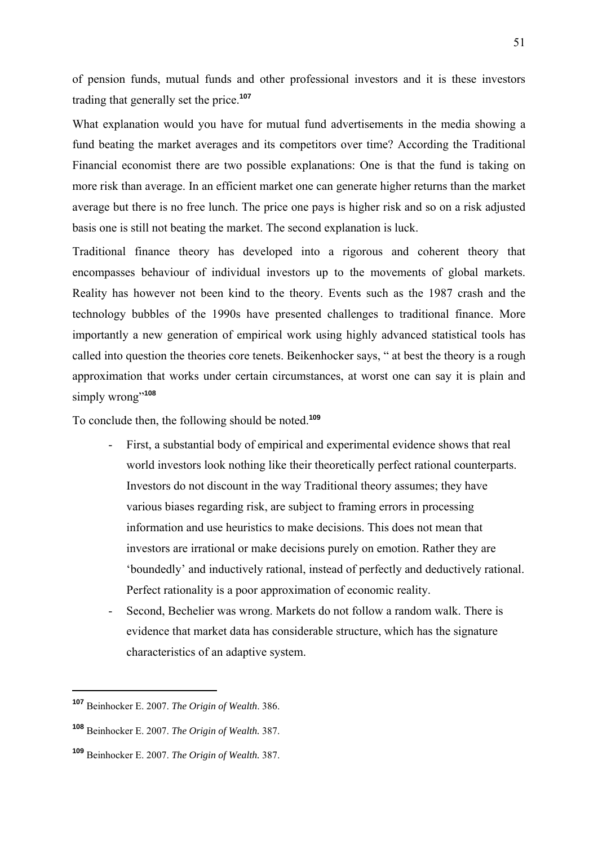of pension funds, mutual funds and other professional investors and it is these investors trading that generally set the price.**<sup>107</sup>**

What explanation would you have for mutual fund advertisements in the media showing a fund beating the market averages and its competitors over time? According the Traditional Financial economist there are two possible explanations: One is that the fund is taking on more risk than average. In an efficient market one can generate higher returns than the market average but there is no free lunch. The price one pays is higher risk and so on a risk adjusted basis one is still not beating the market. The second explanation is luck.

Traditional finance theory has developed into a rigorous and coherent theory that encompasses behaviour of individual investors up to the movements of global markets. Reality has however not been kind to the theory. Events such as the 1987 crash and the technology bubbles of the 1990s have presented challenges to traditional finance. More importantly a new generation of empirical work using highly advanced statistical tools has called into question the theories core tenets. Beikenhocker says, " at best the theory is a rough approximation that works under certain circumstances, at worst one can say it is plain and simply wrong"<sup>108</sup>

To conclude then, the following should be noted.**<sup>109</sup>**

- First, a substantial body of empirical and experimental evidence shows that real world investors look nothing like their theoretically perfect rational counterparts. Investors do not discount in the way Traditional theory assumes; they have various biases regarding risk, are subject to framing errors in processing information and use heuristics to make decisions. This does not mean that investors are irrational or make decisions purely on emotion. Rather they are 'boundedly' and inductively rational, instead of perfectly and deductively rational. Perfect rationality is a poor approximation of economic reality.
- Second, Bechelier was wrong. Markets do not follow a random walk. There is evidence that market data has considerable structure, which has the signature characteristics of an adaptive system.

**<sup>107</sup>** Beinhocker E. 2007. *The Origin of Wealth*. 386.

**<sup>108</sup>** Beinhocker E. 2007. *The Origin of Wealth.* 387.

**<sup>109</sup>** Beinhocker E. 2007. *The Origin of Wealth.* 387.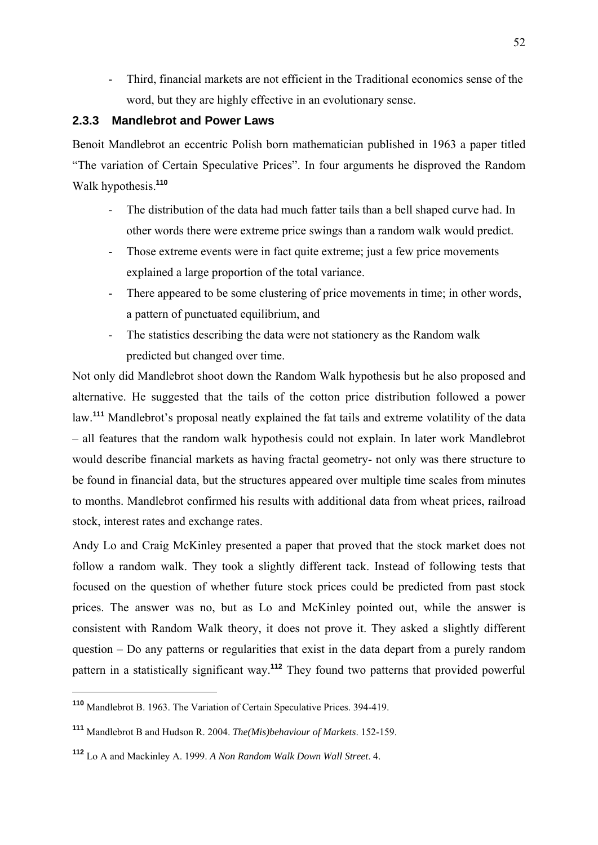- Third, financial markets are not efficient in the Traditional economics sense of the word, but they are highly effective in an evolutionary sense.

### **2.3.3 Mandlebrot and Power Laws**

Benoit Mandlebrot an eccentric Polish born mathematician published in 1963 a paper titled "The variation of Certain Speculative Prices". In four arguments he disproved the Random Walk hypothesis.**<sup>110</sup>**

- The distribution of the data had much fatter tails than a bell shaped curve had. In other words there were extreme price swings than a random walk would predict.
- Those extreme events were in fact quite extreme; just a few price movements explained a large proportion of the total variance.
- There appeared to be some clustering of price movements in time; in other words, a pattern of punctuated equilibrium, and
- The statistics describing the data were not stationery as the Random walk predicted but changed over time.

Not only did Mandlebrot shoot down the Random Walk hypothesis but he also proposed and alternative. He suggested that the tails of the cotton price distribution followed a power law.**<sup>111</sup>** Mandlebrot's proposal neatly explained the fat tails and extreme volatility of the data – all features that the random walk hypothesis could not explain. In later work Mandlebrot would describe financial markets as having fractal geometry- not only was there structure to be found in financial data, but the structures appeared over multiple time scales from minutes to months. Mandlebrot confirmed his results with additional data from wheat prices, railroad stock, interest rates and exchange rates.

Andy Lo and Craig McKinley presented a paper that proved that the stock market does not follow a random walk. They took a slightly different tack. Instead of following tests that focused on the question of whether future stock prices could be predicted from past stock prices. The answer was no, but as Lo and McKinley pointed out, while the answer is consistent with Random Walk theory, it does not prove it. They asked a slightly different question – Do any patterns or regularities that exist in the data depart from a purely random pattern in a statistically significant way.**<sup>112</sup>** They found two patterns that provided powerful

**<sup>110</sup>** Mandlebrot B. 1963. The Variation of Certain Speculative Prices. 394-419.

**<sup>111</sup>** Mandlebrot B and Hudson R. 2004. *The(Mis)behaviour of Markets*. 152-159.

**<sup>112</sup>** Lo A and Mackinley A. 1999. *A Non Random Walk Down Wall Street*. 4.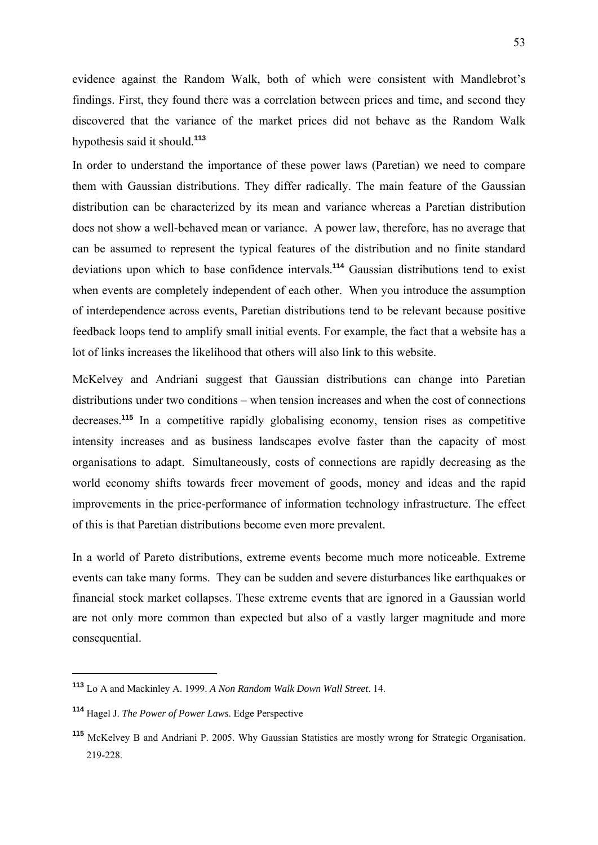evidence against the Random Walk, both of which were consistent with Mandlebrot's findings. First, they found there was a correlation between prices and time, and second they discovered that the variance of the market prices did not behave as the Random Walk hypothesis said it should.**<sup>113</sup>**

In order to understand the importance of these power laws (Paretian) we need to compare them with Gaussian distributions. They differ radically. The main feature of the Gaussian distribution can be characterized by its mean and variance whereas a Paretian distribution does not show a well-behaved mean or variance. A power law, therefore, has no average that can be assumed to represent the typical features of the distribution and no finite standard deviations upon which to base confidence intervals.**<sup>114</sup>** Gaussian distributions tend to exist when events are completely independent of each other. When you introduce the assumption of interdependence across events, Paretian distributions tend to be relevant because positive feedback loops tend to amplify small initial events. For example, the fact that a website has a lot of links increases the likelihood that others will also link to this website.

McKelvey and Andriani suggest that Gaussian distributions can change into Paretian distributions under two conditions – when tension increases and when the cost of connections decreases.**<sup>115</sup>** In a competitive rapidly globalising economy, tension rises as competitive intensity increases and as business landscapes evolve faster than the capacity of most organisations to adapt. Simultaneously, costs of connections are rapidly decreasing as the world economy shifts towards freer movement of goods, money and ideas and the rapid improvements in the price-performance of information technology infrastructure. The effect of this is that Paretian distributions become even more prevalent.

In a world of Pareto distributions, extreme events become much more noticeable. Extreme events can take many forms. They can be sudden and severe disturbances like earthquakes or financial stock market collapses. These extreme events that are ignored in a Gaussian world are not only more common than expected but also of a vastly larger magnitude and more consequential.

**<sup>113</sup>** Lo A and Mackinley A. 1999. *A Non Random Walk Down Wall Street*. 14.

**<sup>114</sup>** Hagel J. *The Power of Power Laws*. Edge Perspective

**<sup>115</sup>** McKelvey B and Andriani P. 2005. Why Gaussian Statistics are mostly wrong for Strategic Organisation. 219-228.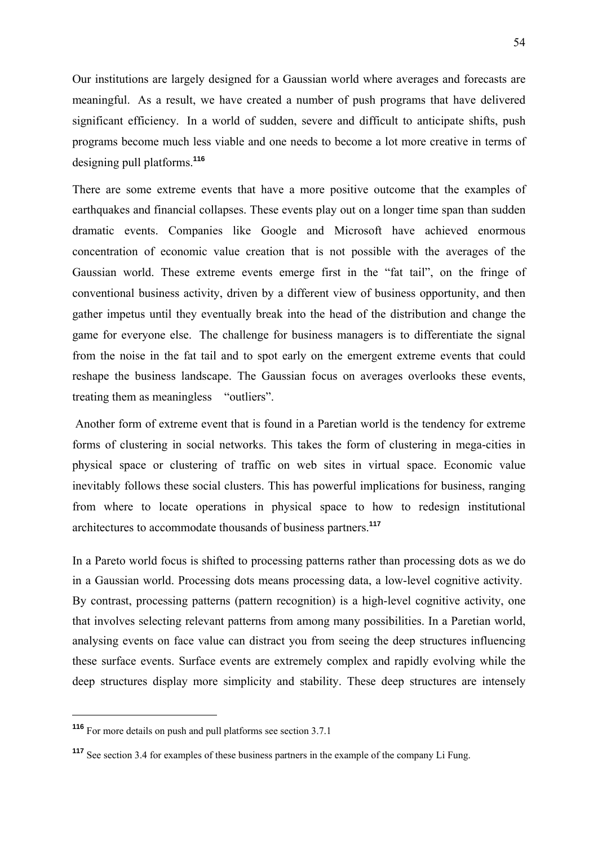Our institutions are largely designed for a Gaussian world where averages and forecasts are meaningful. As a result, we have created a number of push programs that have delivered significant efficiency. In a world of sudden, severe and difficult to anticipate shifts, push programs become much less viable and one needs to become a lot more creative in terms of designing pull platforms.**<sup>116</sup>**

There are some extreme events that have a more positive outcome that the examples of earthquakes and financial collapses. These events play out on a longer time span than sudden dramatic events. Companies like Google and Microsoft have achieved enormous concentration of economic value creation that is not possible with the averages of the Gaussian world. These extreme events emerge first in the "fat tail", on the fringe of conventional business activity, driven by a different view of business opportunity, and then gather impetus until they eventually break into the head of the distribution and change the game for everyone else. The challenge for business managers is to differentiate the signal from the noise in the fat tail and to spot early on the emergent extreme events that could reshape the business landscape. The Gaussian focus on averages overlooks these events, treating them as meaningless "outliers".

 Another form of extreme event that is found in a Paretian world is the tendency for extreme forms of clustering in social networks. This takes the form of clustering in mega-cities in physical space or clustering of traffic on web sites in virtual space. Economic value inevitably follows these social clusters. This has powerful implications for business, ranging from where to locate operations in physical space to how to redesign institutional architectures to accommodate thousands of business partners.**<sup>117</sup>**

In a Pareto world focus is shifted to processing patterns rather than processing dots as we do in a Gaussian world. Processing dots means processing data, a low-level cognitive activity. By contrast, processing patterns (pattern recognition) is a high-level cognitive activity, one that involves selecting relevant patterns from among many possibilities. In a Paretian world, analysing events on face value can distract you from seeing the deep structures influencing these surface events. Surface events are extremely complex and rapidly evolving while the deep structures display more simplicity and stability. These deep structures are intensely

**<sup>116</sup>** For more details on push and pull platforms see section 3.7.1

**<sup>117</sup>** See section 3.4 for examples of these business partners in the example of the company Li Fung.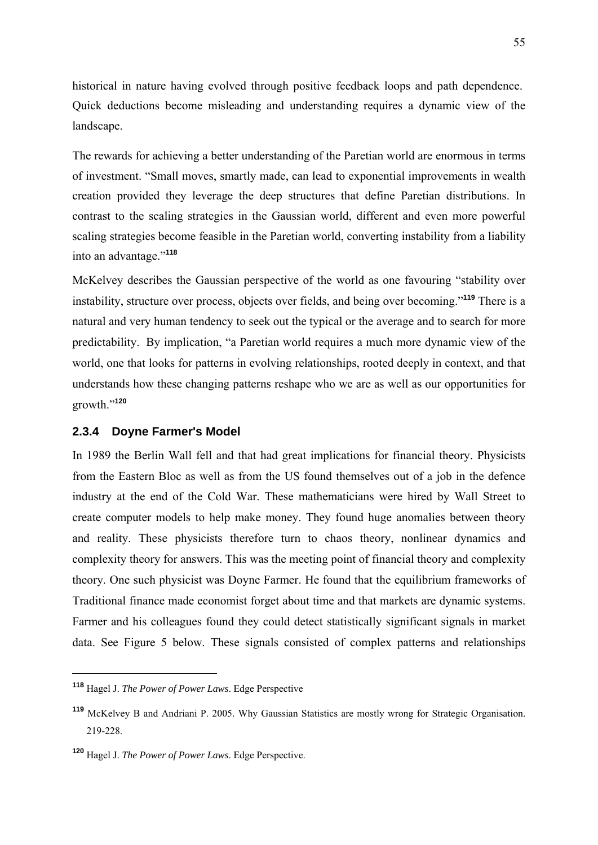historical in nature having evolved through positive feedback loops and path dependence. Quick deductions become misleading and understanding requires a dynamic view of the landscape.

The rewards for achieving a better understanding of the Paretian world are enormous in terms of investment. "Small moves, smartly made, can lead to exponential improvements in wealth creation provided they leverage the deep structures that define Paretian distributions. In contrast to the scaling strategies in the Gaussian world, different and even more powerful scaling strategies become feasible in the Paretian world, converting instability from a liability into an advantage."**<sup>118</sup>**

McKelvey describes the Gaussian perspective of the world as one favouring "stability over instability, structure over process, objects over fields, and being over becoming."**<sup>119</sup>** There is a natural and very human tendency to seek out the typical or the average and to search for more predictability. By implication, "a Paretian world requires a much more dynamic view of the world, one that looks for patterns in evolving relationships, rooted deeply in context, and that understands how these changing patterns reshape who we are as well as our opportunities for growth."**<sup>120</sup>**

### **2.3.4 Doyne Farmer's Model**

In 1989 the Berlin Wall fell and that had great implications for financial theory. Physicists from the Eastern Bloc as well as from the US found themselves out of a job in the defence industry at the end of the Cold War. These mathematicians were hired by Wall Street to create computer models to help make money. They found huge anomalies between theory and reality. These physicists therefore turn to chaos theory, nonlinear dynamics and complexity theory for answers. This was the meeting point of financial theory and complexity theory. One such physicist was Doyne Farmer. He found that the equilibrium frameworks of Traditional finance made economist forget about time and that markets are dynamic systems. Farmer and his colleagues found they could detect statistically significant signals in market data. See Figure 5 below. These signals consisted of complex patterns and relationships

**<sup>118</sup>** Hagel J. *The Power of Power Laws*. Edge Perspective

**<sup>119</sup>** McKelvey B and Andriani P. 2005. Why Gaussian Statistics are mostly wrong for Strategic Organisation. 219-228.

**<sup>120</sup>** Hagel J. *The Power of Power Laws*. Edge Perspective.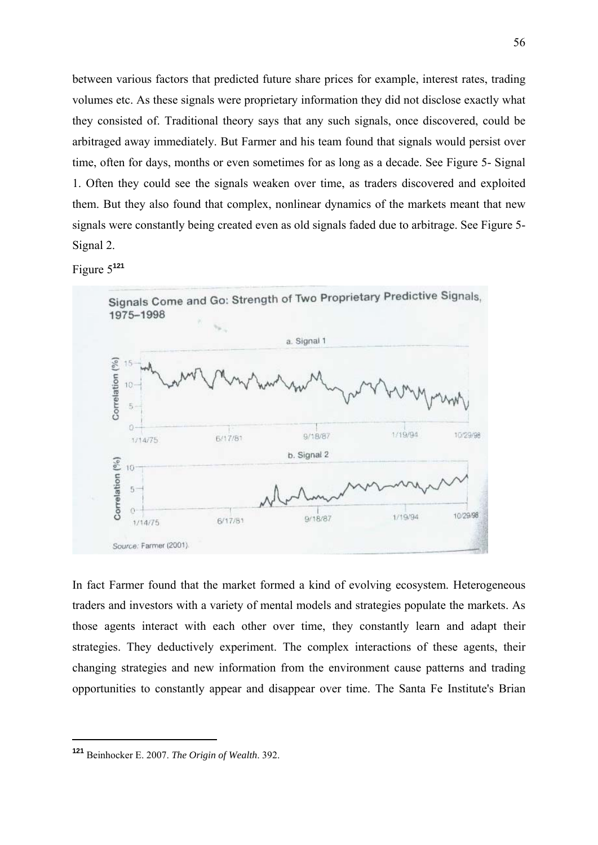between various factors that predicted future share prices for example, interest rates, trading volumes etc. As these signals were proprietary information they did not disclose exactly what they consisted of. Traditional theory says that any such signals, once discovered, could be arbitraged away immediately. But Farmer and his team found that signals would persist over time, often for days, months or even sometimes for as long as a decade. See Figure 5- Signal 1. Often they could see the signals weaken over time, as traders discovered and exploited them. But they also found that complex, nonlinear dynamics of the markets meant that new signals were constantly being created even as old signals faded due to arbitrage. See Figure 5- Signal 2.

Figure 5**<sup>121</sup>**



In fact Farmer found that the market formed a kind of evolving ecosystem. Heterogeneous traders and investors with a variety of mental models and strategies populate the markets. As those agents interact with each other over time, they constantly learn and adapt their strategies. They deductively experiment. The complex interactions of these agents, their changing strategies and new information from the environment cause patterns and trading opportunities to constantly appear and disappear over time. The Santa Fe Institute's Brian

**<sup>121</sup>** Beinhocker E. 2007. *The Origin of Wealth*. 392.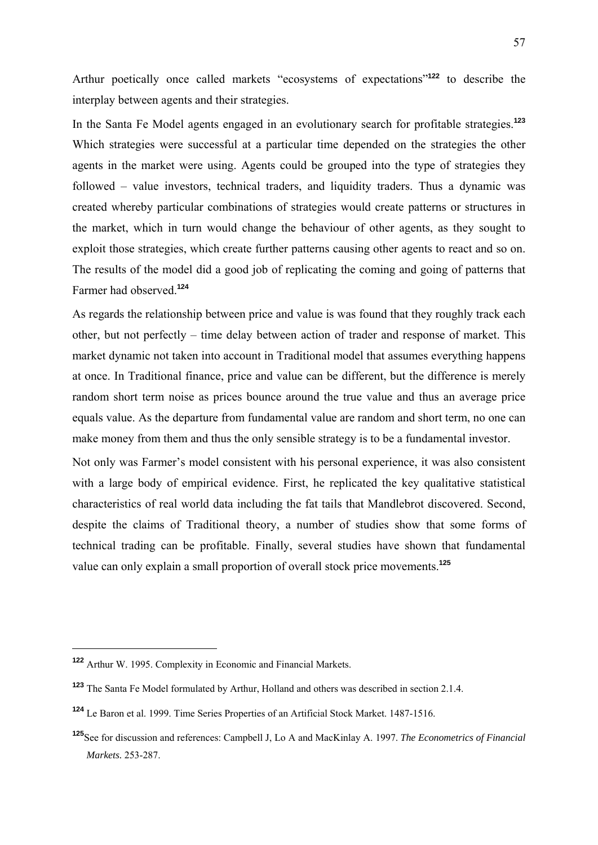Arthur poetically once called markets "ecosystems of expectations"**<sup>122</sup>** to describe the interplay between agents and their strategies.

In the Santa Fe Model agents engaged in an evolutionary search for profitable strategies.**<sup>123</sup>** Which strategies were successful at a particular time depended on the strategies the other agents in the market were using. Agents could be grouped into the type of strategies they followed – value investors, technical traders, and liquidity traders. Thus a dynamic was created whereby particular combinations of strategies would create patterns or structures in the market, which in turn would change the behaviour of other agents, as they sought to exploit those strategies, which create further patterns causing other agents to react and so on. The results of the model did a good job of replicating the coming and going of patterns that Farmer had observed.**<sup>124</sup>**

As regards the relationship between price and value is was found that they roughly track each other, but not perfectly – time delay between action of trader and response of market. This market dynamic not taken into account in Traditional model that assumes everything happens at once. In Traditional finance, price and value can be different, but the difference is merely random short term noise as prices bounce around the true value and thus an average price equals value. As the departure from fundamental value are random and short term, no one can make money from them and thus the only sensible strategy is to be a fundamental investor.

Not only was Farmer's model consistent with his personal experience, it was also consistent with a large body of empirical evidence. First, he replicated the key qualitative statistical characteristics of real world data including the fat tails that Mandlebrot discovered. Second, despite the claims of Traditional theory, a number of studies show that some forms of technical trading can be profitable. Finally, several studies have shown that fundamental value can only explain a small proportion of overall stock price movements.**<sup>125</sup>**

**<sup>122</sup>** Arthur W. 1995. Complexity in Economic and Financial Markets.

**<sup>123</sup>** The Santa Fe Model formulated by Arthur, Holland and others was described in section 2.1.4.

**<sup>124</sup>** Le Baron et al. 1999. Time Series Properties of an Artificial Stock Market. 1487-1516.

**<sup>125</sup>**See for discussion and references: Campbell J, Lo A and MacKinlay A. 1997. *The Econometrics of Financial Markets.* 253-287.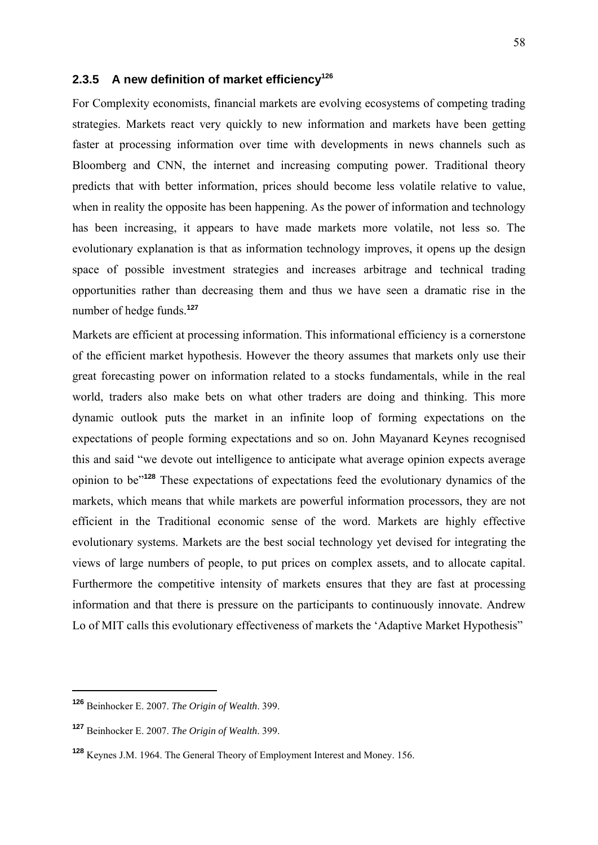# 2.3.5 A new definition of market efficiency<sup>126</sup>

For Complexity economists, financial markets are evolving ecosystems of competing trading strategies. Markets react very quickly to new information and markets have been getting faster at processing information over time with developments in news channels such as Bloomberg and CNN, the internet and increasing computing power. Traditional theory predicts that with better information, prices should become less volatile relative to value, when in reality the opposite has been happening. As the power of information and technology has been increasing, it appears to have made markets more volatile, not less so. The evolutionary explanation is that as information technology improves, it opens up the design space of possible investment strategies and increases arbitrage and technical trading opportunities rather than decreasing them and thus we have seen a dramatic rise in the number of hedge funds.**<sup>127</sup>**

Markets are efficient at processing information. This informational efficiency is a cornerstone of the efficient market hypothesis. However the theory assumes that markets only use their great forecasting power on information related to a stocks fundamentals, while in the real world, traders also make bets on what other traders are doing and thinking. This more dynamic outlook puts the market in an infinite loop of forming expectations on the expectations of people forming expectations and so on. John Mayanard Keynes recognised this and said "we devote out intelligence to anticipate what average opinion expects average opinion to be"**<sup>128</sup>** These expectations of expectations feed the evolutionary dynamics of the markets, which means that while markets are powerful information processors, they are not efficient in the Traditional economic sense of the word. Markets are highly effective evolutionary systems. Markets are the best social technology yet devised for integrating the views of large numbers of people, to put prices on complex assets, and to allocate capital. Furthermore the competitive intensity of markets ensures that they are fast at processing information and that there is pressure on the participants to continuously innovate. Andrew Lo of MIT calls this evolutionary effectiveness of markets the 'Adaptive Market Hypothesis"

**<sup>126</sup>** Beinhocker E. 2007. *The Origin of Wealth*. 399.

**<sup>127</sup>** Beinhocker E. 2007. *The Origin of Wealth*. 399.

**<sup>128</sup>** Keynes J.M. 1964. The General Theory of Employment Interest and Money. 156.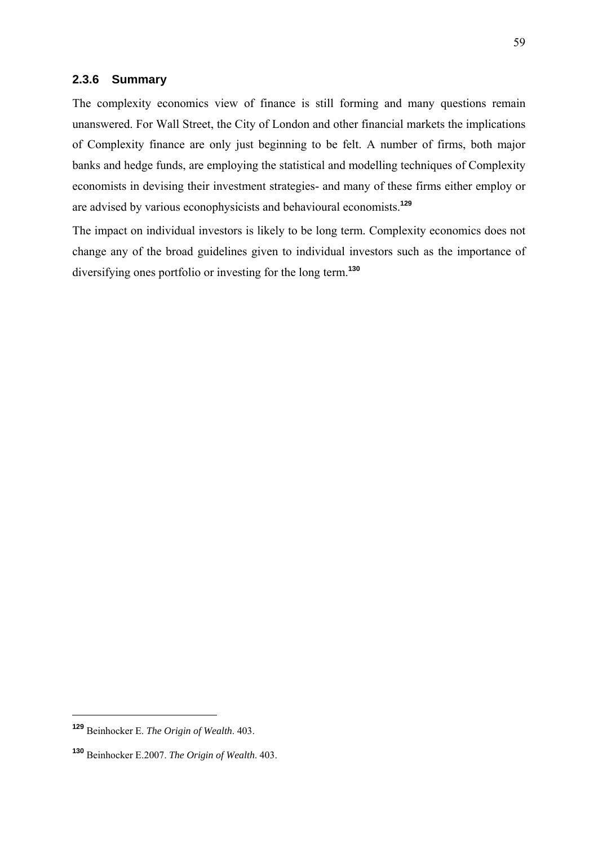### **2.3.6 Summary**

The complexity economics view of finance is still forming and many questions remain unanswered. For Wall Street, the City of London and other financial markets the implications of Complexity finance are only just beginning to be felt. A number of firms, both major banks and hedge funds, are employing the statistical and modelling techniques of Complexity economists in devising their investment strategies- and many of these firms either employ or are advised by various econophysicists and behavioural economists.**<sup>129</sup>**

The impact on individual investors is likely to be long term. Complexity economics does not change any of the broad guidelines given to individual investors such as the importance of diversifying ones portfolio or investing for the long term.**<sup>130</sup>**

**<sup>129</sup>** Beinhocker E. *The Origin of Wealth*. 403.

**<sup>130</sup>** Beinhocker E.2007. *The Origin of Wealth*. 403.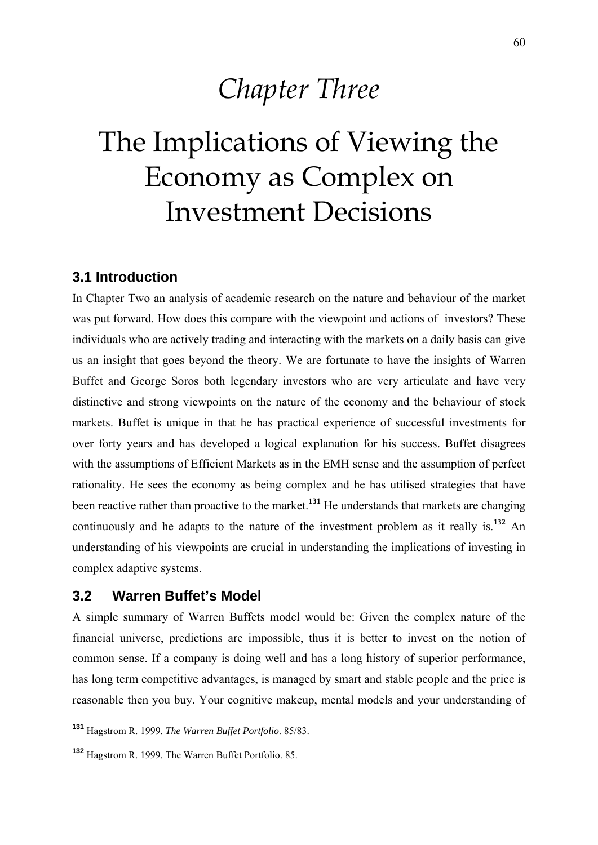# *Chapter Three*

# The Implications of Viewing the Economy as Complex on Investment Decisions

# **3.1 Introduction**

In Chapter Two an analysis of academic research on the nature and behaviour of the market was put forward. How does this compare with the viewpoint and actions of investors? These individuals who are actively trading and interacting with the markets on a daily basis can give us an insight that goes beyond the theory. We are fortunate to have the insights of Warren Buffet and George Soros both legendary investors who are very articulate and have very distinctive and strong viewpoints on the nature of the economy and the behaviour of stock markets. Buffet is unique in that he has practical experience of successful investments for over forty years and has developed a logical explanation for his success. Buffet disagrees with the assumptions of Efficient Markets as in the EMH sense and the assumption of perfect rationality. He sees the economy as being complex and he has utilised strategies that have been reactive rather than proactive to the market.**<sup>131</sup>** He understands that markets are changing continuously and he adapts to the nature of the investment problem as it really is.**<sup>132</sup>** An understanding of his viewpoints are crucial in understanding the implications of investing in complex adaptive systems.

## **3.2 Warren Buffet's Model**

1

A simple summary of Warren Buffets model would be: Given the complex nature of the financial universe, predictions are impossible, thus it is better to invest on the notion of common sense. If a company is doing well and has a long history of superior performance, has long term competitive advantages, is managed by smart and stable people and the price is reasonable then you buy. Your cognitive makeup, mental models and your understanding of

**<sup>131</sup>** Hagstrom R. 1999. *The Warren Buffet Portfolio*. 85/83.

**<sup>132</sup>** Hagstrom R. 1999. The Warren Buffet Portfolio. 85.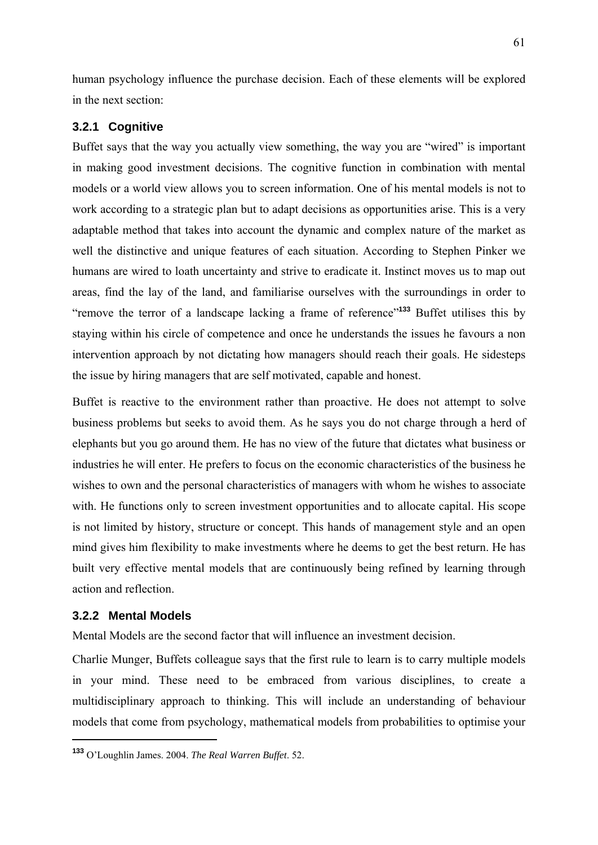human psychology influence the purchase decision. Each of these elements will be explored in the next section:

### **3.2.1 Cognitive**

Buffet says that the way you actually view something, the way you are "wired" is important in making good investment decisions. The cognitive function in combination with mental models or a world view allows you to screen information. One of his mental models is not to work according to a strategic plan but to adapt decisions as opportunities arise. This is a very adaptable method that takes into account the dynamic and complex nature of the market as well the distinctive and unique features of each situation. According to Stephen Pinker we humans are wired to loath uncertainty and strive to eradicate it. Instinct moves us to map out areas, find the lay of the land, and familiarise ourselves with the surroundings in order to "remove the terror of a landscape lacking a frame of reference"**<sup>133</sup>** Buffet utilises this by staying within his circle of competence and once he understands the issues he favours a non intervention approach by not dictating how managers should reach their goals. He sidesteps the issue by hiring managers that are self motivated, capable and honest.

Buffet is reactive to the environment rather than proactive. He does not attempt to solve business problems but seeks to avoid them. As he says you do not charge through a herd of elephants but you go around them. He has no view of the future that dictates what business or industries he will enter. He prefers to focus on the economic characteristics of the business he wishes to own and the personal characteristics of managers with whom he wishes to associate with. He functions only to screen investment opportunities and to allocate capital. His scope is not limited by history, structure or concept. This hands of management style and an open mind gives him flexibility to make investments where he deems to get the best return. He has built very effective mental models that are continuously being refined by learning through action and reflection.

### **3.2.2 Mental Models**

1

Mental Models are the second factor that will influence an investment decision.

Charlie Munger, Buffets colleague says that the first rule to learn is to carry multiple models in your mind. These need to be embraced from various disciplines, to create a multidisciplinary approach to thinking. This will include an understanding of behaviour models that come from psychology, mathematical models from probabilities to optimise your

**<sup>133</sup>** O'Loughlin James. 2004. *The Real Warren Buffet*. 52.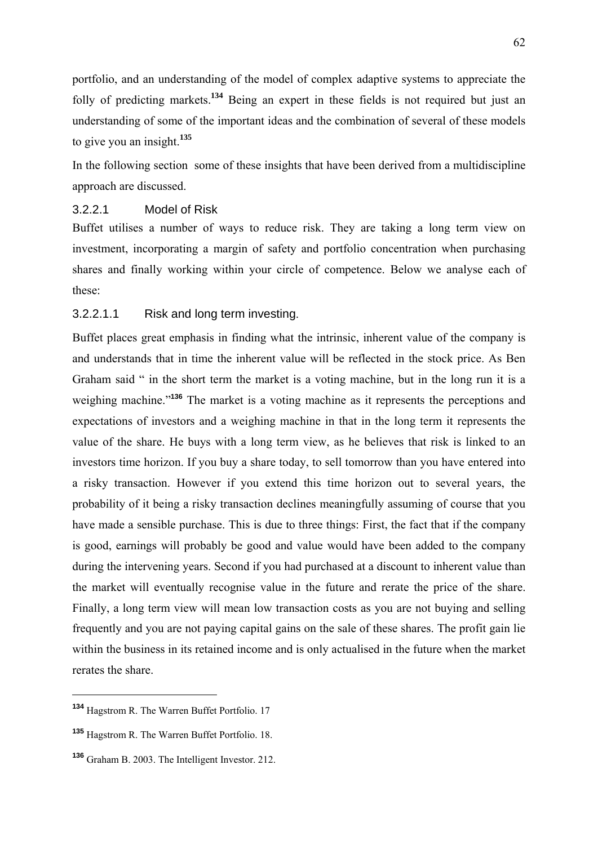portfolio, and an understanding of the model of complex adaptive systems to appreciate the folly of predicting markets.**<sup>134</sup>** Being an expert in these fields is not required but just an understanding of some of the important ideas and the combination of several of these models to give you an insight.**<sup>135</sup>**

In the following section some of these insights that have been derived from a multidiscipline approach are discussed.

### 3.2.2.1 Model of Risk

Buffet utilises a number of ways to reduce risk. They are taking a long term view on investment, incorporating a margin of safety and portfolio concentration when purchasing shares and finally working within your circle of competence. Below we analyse each of these:

### 3.2.2.1.1 Risk and long term investing.

Buffet places great emphasis in finding what the intrinsic, inherent value of the company is and understands that in time the inherent value will be reflected in the stock price. As Ben Graham said " in the short term the market is a voting machine, but in the long run it is a weighing machine."**<sup>136</sup>** The market is a voting machine as it represents the perceptions and expectations of investors and a weighing machine in that in the long term it represents the value of the share. He buys with a long term view, as he believes that risk is linked to an investors time horizon. If you buy a share today, to sell tomorrow than you have entered into a risky transaction. However if you extend this time horizon out to several years, the probability of it being a risky transaction declines meaningfully assuming of course that you have made a sensible purchase. This is due to three things: First, the fact that if the company is good, earnings will probably be good and value would have been added to the company during the intervening years. Second if you had purchased at a discount to inherent value than the market will eventually recognise value in the future and rerate the price of the share. Finally, a long term view will mean low transaction costs as you are not buying and selling frequently and you are not paying capital gains on the sale of these shares. The profit gain lie within the business in its retained income and is only actualised in the future when the market rerates the share.

**<sup>134</sup>** Hagstrom R. The Warren Buffet Portfolio. 17

**<sup>135</sup>** Hagstrom R. The Warren Buffet Portfolio. 18.

**<sup>136</sup>** Graham B. 2003. The Intelligent Investor. 212.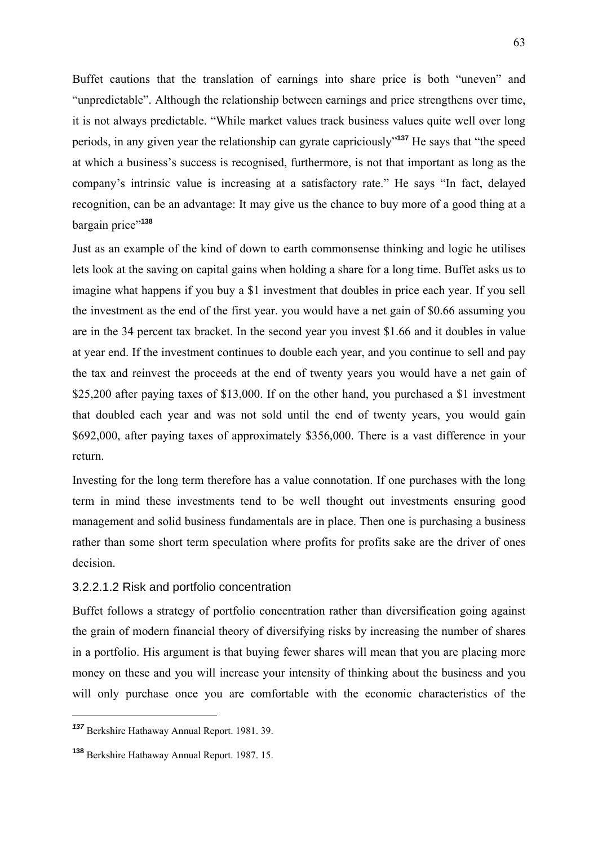Buffet cautions that the translation of earnings into share price is both "uneven" and "unpredictable". Although the relationship between earnings and price strengthens over time, it is not always predictable. "While market values track business values quite well over long periods, in any given year the relationship can gyrate capriciously"**<sup>137</sup>** He says that "the speed at which a business's success is recognised, furthermore, is not that important as long as the company's intrinsic value is increasing at a satisfactory rate." He says "In fact, delayed recognition, can be an advantage: It may give us the chance to buy more of a good thing at a bargain price"**<sup>138</sup>**

Just as an example of the kind of down to earth commonsense thinking and logic he utilises lets look at the saving on capital gains when holding a share for a long time. Buffet asks us to imagine what happens if you buy a \$1 investment that doubles in price each year. If you sell the investment as the end of the first year. you would have a net gain of \$0.66 assuming you are in the 34 percent tax bracket. In the second year you invest \$1.66 and it doubles in value at year end. If the investment continues to double each year, and you continue to sell and pay the tax and reinvest the proceeds at the end of twenty years you would have a net gain of \$25,200 after paying taxes of \$13,000. If on the other hand, you purchased a \$1 investment that doubled each year and was not sold until the end of twenty years, you would gain \$692,000, after paying taxes of approximately \$356,000. There is a vast difference in your return.

Investing for the long term therefore has a value connotation. If one purchases with the long term in mind these investments tend to be well thought out investments ensuring good management and solid business fundamentals are in place. Then one is purchasing a business rather than some short term speculation where profits for profits sake are the driver of ones decision.

### 3.2.2.1.2 Risk and portfolio concentration

Buffet follows a strategy of portfolio concentration rather than diversification going against the grain of modern financial theory of diversifying risks by increasing the number of shares in a portfolio. His argument is that buying fewer shares will mean that you are placing more money on these and you will increase your intensity of thinking about the business and you will only purchase once you are comfortable with the economic characteristics of the

*<sup>137</sup>* Berkshire Hathaway Annual Report. 1981. 39.

**<sup>138</sup>** Berkshire Hathaway Annual Report. 1987. 15.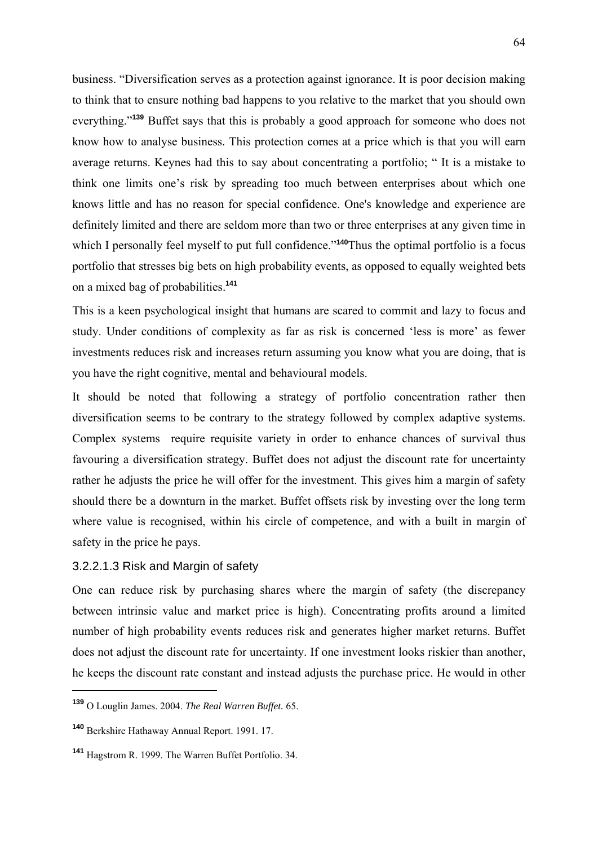business. "Diversification serves as a protection against ignorance. It is poor decision making to think that to ensure nothing bad happens to you relative to the market that you should own everything."**<sup>139</sup>** Buffet says that this is probably a good approach for someone who does not know how to analyse business. This protection comes at a price which is that you will earn average returns. Keynes had this to say about concentrating a portfolio; " It is a mistake to think one limits one's risk by spreading too much between enterprises about which one knows little and has no reason for special confidence. One's knowledge and experience are definitely limited and there are seldom more than two or three enterprises at any given time in which I personally feel myself to put full confidence.<sup>"140</sup>Thus the optimal portfolio is a focus portfolio that stresses big bets on high probability events, as opposed to equally weighted bets on a mixed bag of probabilities.**<sup>141</sup>**

This is a keen psychological insight that humans are scared to commit and lazy to focus and study. Under conditions of complexity as far as risk is concerned 'less is more' as fewer investments reduces risk and increases return assuming you know what you are doing, that is you have the right cognitive, mental and behavioural models.

It should be noted that following a strategy of portfolio concentration rather then diversification seems to be contrary to the strategy followed by complex adaptive systems. Complex systems require requisite variety in order to enhance chances of survival thus favouring a diversification strategy. Buffet does not adjust the discount rate for uncertainty rather he adjusts the price he will offer for the investment. This gives him a margin of safety should there be a downturn in the market. Buffet offsets risk by investing over the long term where value is recognised, within his circle of competence, and with a built in margin of safety in the price he pays.

### 3.2.2.1.3 Risk and Margin of safety

One can reduce risk by purchasing shares where the margin of safety (the discrepancy between intrinsic value and market price is high). Concentrating profits around a limited number of high probability events reduces risk and generates higher market returns. Buffet does not adjust the discount rate for uncertainty. If one investment looks riskier than another, he keeps the discount rate constant and instead adjusts the purchase price. He would in other

**<sup>139</sup>** O Louglin James. 2004. *The Real Warren Buffet.* 65.

**<sup>140</sup>** Berkshire Hathaway Annual Report. 1991. 17.

**<sup>141</sup>** Hagstrom R. 1999. The Warren Buffet Portfolio. 34.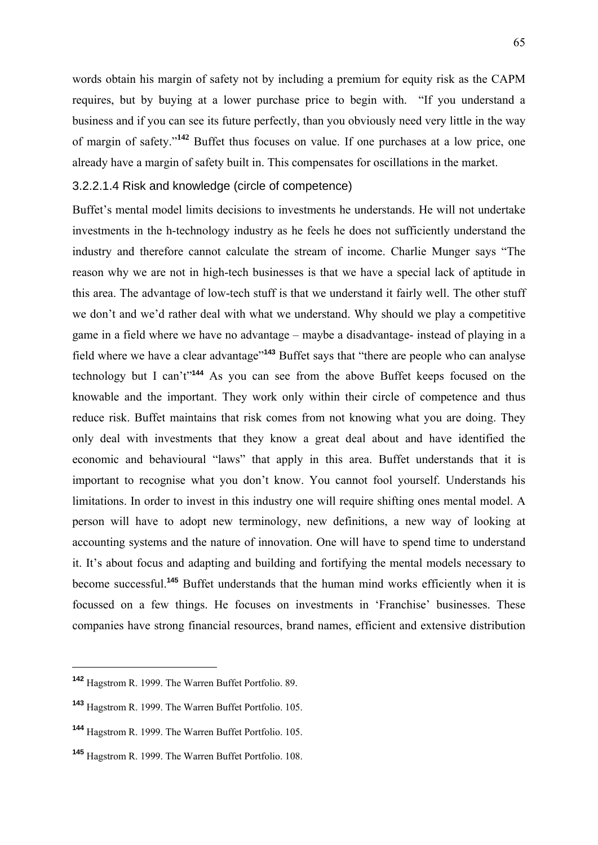words obtain his margin of safety not by including a premium for equity risk as the CAPM requires, but by buying at a lower purchase price to begin with. "If you understand a business and if you can see its future perfectly, than you obviously need very little in the way of margin of safety."**<sup>142</sup>** Buffet thus focuses on value. If one purchases at a low price, one already have a margin of safety built in. This compensates for oscillations in the market.

### 3.2.2.1.4 Risk and knowledge (circle of competence)

Buffet's mental model limits decisions to investments he understands. He will not undertake investments in the h-technology industry as he feels he does not sufficiently understand the industry and therefore cannot calculate the stream of income. Charlie Munger says "The reason why we are not in high-tech businesses is that we have a special lack of aptitude in this area. The advantage of low-tech stuff is that we understand it fairly well. The other stuff we don't and we'd rather deal with what we understand. Why should we play a competitive game in a field where we have no advantage – maybe a disadvantage- instead of playing in a field where we have a clear advantage"**<sup>143</sup>** Buffet says that "there are people who can analyse technology but I can't"**<sup>144</sup>** As you can see from the above Buffet keeps focused on the knowable and the important. They work only within their circle of competence and thus reduce risk. Buffet maintains that risk comes from not knowing what you are doing. They only deal with investments that they know a great deal about and have identified the economic and behavioural "laws" that apply in this area. Buffet understands that it is important to recognise what you don't know. You cannot fool yourself. Understands his limitations. In order to invest in this industry one will require shifting ones mental model. A person will have to adopt new terminology, new definitions, a new way of looking at accounting systems and the nature of innovation. One will have to spend time to understand it. It's about focus and adapting and building and fortifying the mental models necessary to become successful.**<sup>145</sup>** Buffet understands that the human mind works efficiently when it is focussed on a few things. He focuses on investments in 'Franchise' businesses. These companies have strong financial resources, brand names, efficient and extensive distribution

**<sup>142</sup>** Hagstrom R. 1999. The Warren Buffet Portfolio. 89.

**<sup>143</sup>** Hagstrom R. 1999. The Warren Buffet Portfolio. 105.

**<sup>144</sup>** Hagstrom R. 1999. The Warren Buffet Portfolio. 105.

**<sup>145</sup>** Hagstrom R. 1999. The Warren Buffet Portfolio. 108.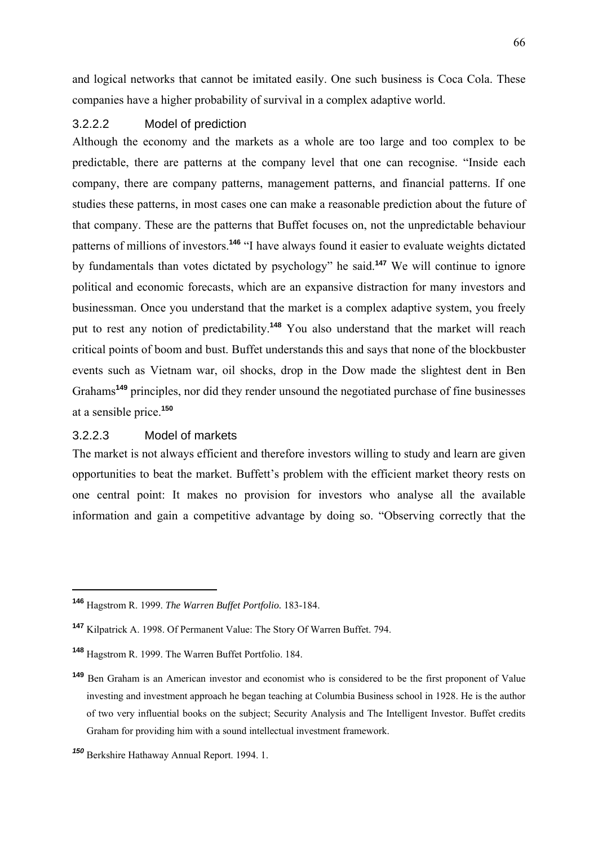and logical networks that cannot be imitated easily. One such business is Coca Cola. These companies have a higher probability of survival in a complex adaptive world.

### 3.2.2.2 Model of prediction

Although the economy and the markets as a whole are too large and too complex to be predictable, there are patterns at the company level that one can recognise. "Inside each company, there are company patterns, management patterns, and financial patterns. If one studies these patterns, in most cases one can make a reasonable prediction about the future of that company. These are the patterns that Buffet focuses on, not the unpredictable behaviour patterns of millions of investors.**<sup>146</sup>** "I have always found it easier to evaluate weights dictated by fundamentals than votes dictated by psychology" he said.**<sup>147</sup>** We will continue to ignore political and economic forecasts, which are an expansive distraction for many investors and businessman. Once you understand that the market is a complex adaptive system, you freely put to rest any notion of predictability.**<sup>148</sup>** You also understand that the market will reach critical points of boom and bust. Buffet understands this and says that none of the blockbuster events such as Vietnam war, oil shocks, drop in the Dow made the slightest dent in Ben Grahams**<sup>149</sup>** principles, nor did they render unsound the negotiated purchase of fine businesses at a sensible price.**<sup>150</sup>**

# 3.2.2.3 Model of markets

1

The market is not always efficient and therefore investors willing to study and learn are given opportunities to beat the market. Buffett's problem with the efficient market theory rests on one central point: It makes no provision for investors who analyse all the available information and gain a competitive advantage by doing so. "Observing correctly that the

**<sup>146</sup>** Hagstrom R. 1999. *The Warren Buffet Portfolio.* 183-184.

**<sup>147</sup>** Kilpatrick A. 1998. Of Permanent Value: The Story Of Warren Buffet. 794.

**<sup>148</sup>** Hagstrom R. 1999. The Warren Buffet Portfolio. 184.

**<sup>149</sup>** Ben Graham is an American investor and economist who is considered to be the first proponent of Value investing and investment approach he began teaching at Columbia Business school in 1928. He is the author of two very influential books on the subject; Security Analysis and The Intelligent Investor. Buffet credits Graham for providing him with a sound intellectual investment framework.

*<sup>150</sup>* Berkshire Hathaway Annual Report. 1994. 1.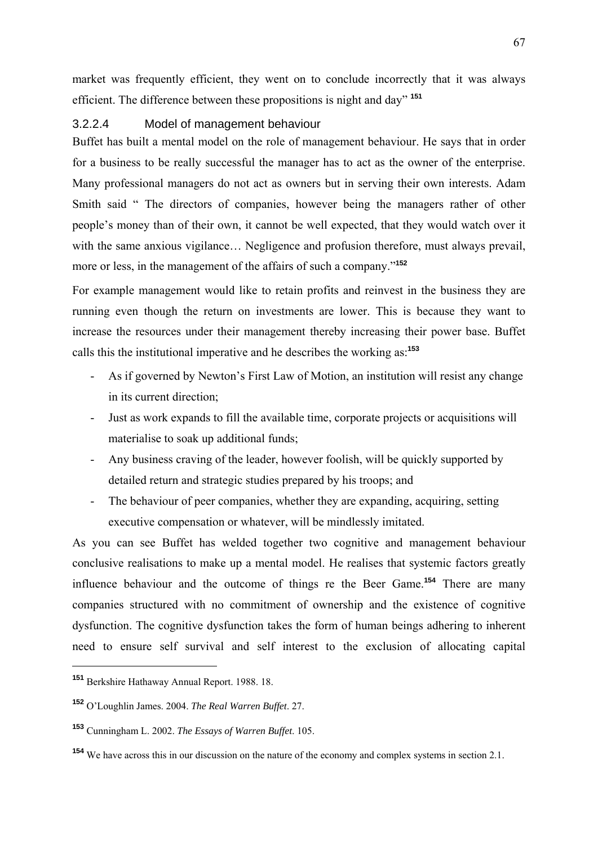market was frequently efficient, they went on to conclude incorrectly that it was always efficient. The difference between these propositions is night and day" **<sup>151</sup>**

### 3.2.2.4 Model of management behaviour

Buffet has built a mental model on the role of management behaviour. He says that in order for a business to be really successful the manager has to act as the owner of the enterprise. Many professional managers do not act as owners but in serving their own interests. Adam Smith said " The directors of companies, however being the managers rather of other people's money than of their own, it cannot be well expected, that they would watch over it with the same anxious vigilance... Negligence and profusion therefore, must always prevail, more or less, in the management of the affairs of such a company."**<sup>152</sup>**

For example management would like to retain profits and reinvest in the business they are running even though the return on investments are lower. This is because they want to increase the resources under their management thereby increasing their power base. Buffet calls this the institutional imperative and he describes the working as:**<sup>153</sup>**

- As if governed by Newton's First Law of Motion, an institution will resist any change in its current direction;
- Just as work expands to fill the available time, corporate projects or acquisitions will materialise to soak up additional funds;
- Any business craving of the leader, however foolish, will be quickly supported by detailed return and strategic studies prepared by his troops; and
- The behaviour of peer companies, whether they are expanding, acquiring, setting executive compensation or whatever, will be mindlessly imitated.

As you can see Buffet has welded together two cognitive and management behaviour conclusive realisations to make up a mental model. He realises that systemic factors greatly influence behaviour and the outcome of things re the Beer Game.**<sup>154</sup>** There are many companies structured with no commitment of ownership and the existence of cognitive dysfunction. The cognitive dysfunction takes the form of human beings adhering to inherent need to ensure self survival and self interest to the exclusion of allocating capital

**<sup>151</sup>** Berkshire Hathaway Annual Report. 1988. 18.

**<sup>152</sup>** O'Loughlin James. 2004. *The Real Warren Buffet*. 27.

**<sup>153</sup>** Cunningham L. 2002. *The Essays of Warren Buffet*. 105.

**<sup>154</sup>** We have across this in our discussion on the nature of the economy and complex systems in section 2.1.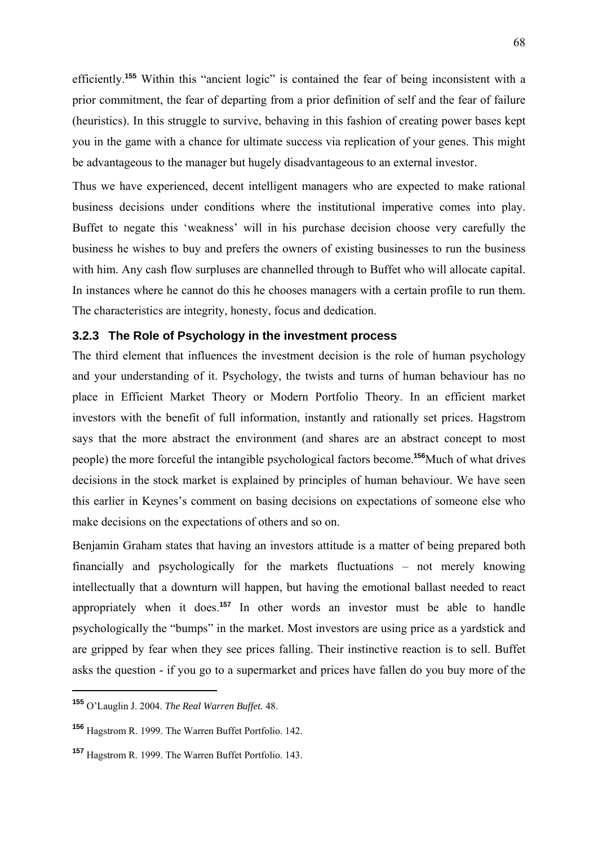efficiently.**<sup>155</sup>** Within this "ancient logic" is contained the fear of being inconsistent with a prior commitment, the fear of departing from a prior definition of self and the fear of failure (heuristics). In this struggle to survive, behaving in this fashion of creating power bases kept you in the game with a chance for ultimate success via replication of your genes. This might be advantageous to the manager but hugely disadvantageous to an external investor.

Thus we have experienced, decent intelligent managers who are expected to make rational business decisions under conditions where the institutional imperative comes into play. Buffet to negate this 'weakness' will in his purchase decision choose very carefully the business he wishes to buy and prefers the owners of existing businesses to run the business with him. Any cash flow surpluses are channelled through to Buffet who will allocate capital. In instances where he cannot do this he chooses managers with a certain profile to run them. The characteristics are integrity, honesty, focus and dedication.

#### **3.2.3 The Role of Psychology in the investment process**

The third element that influences the investment decision is the role of human psychology and your understanding of it. Psychology, the twists and turns of human behaviour has no place in Efficient Market Theory or Modern Portfolio Theory. In an efficient market investors with the benefit of full information, instantly and rationally set prices. Hagstrom says that the more abstract the environment (and shares are an abstract concept to most people) the more forceful the intangible psychological factors become.**<sup>156</sup>**Much of what drives decisions in the stock market is explained by principles of human behaviour. We have seen this earlier in Keynes's comment on basing decisions on expectations of someone else who make decisions on the expectations of others and so on.

Benjamin Graham states that having an investors attitude is a matter of being prepared both financially and psychologically for the markets fluctuations – not merely knowing intellectually that a downturn will happen, but having the emotional ballast needed to react appropriately when it does.**<sup>157</sup>** In other words an investor must be able to handle psychologically the "bumps" in the market. Most investors are using price as a yardstick and are gripped by fear when they see prices falling. Their instinctive reaction is to sell. Buffet asks the question - if you go to a supermarket and prices have fallen do you buy more of the

**<sup>155</sup>** O'Lauglin J. 2004. *The Real Warren Buffet.* 48.

**<sup>156</sup>** Hagstrom R. 1999. The Warren Buffet Portfolio. 142.

**<sup>157</sup>** Hagstrom R. 1999. The Warren Buffet Portfolio. 143.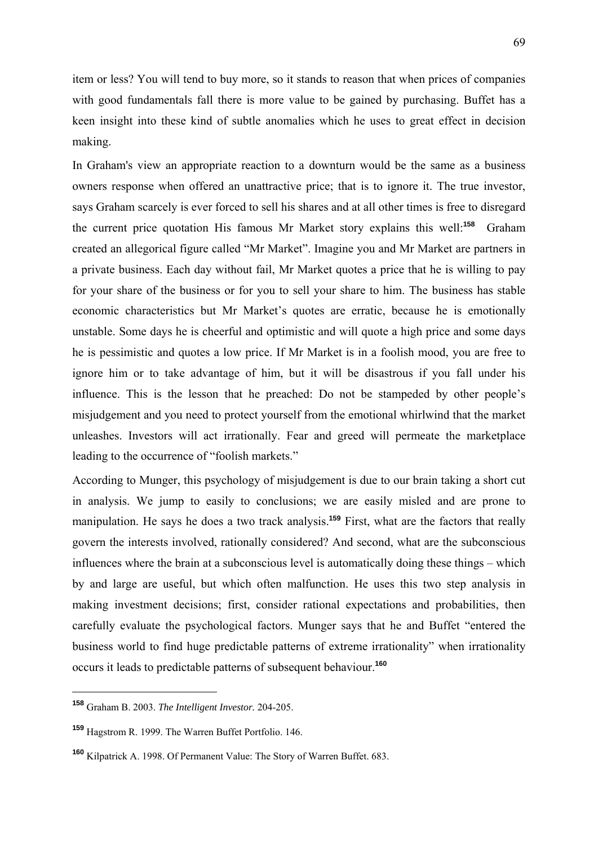item or less? You will tend to buy more, so it stands to reason that when prices of companies with good fundamentals fall there is more value to be gained by purchasing. Buffet has a keen insight into these kind of subtle anomalies which he uses to great effect in decision making.

In Graham's view an appropriate reaction to a downturn would be the same as a business owners response when offered an unattractive price; that is to ignore it. The true investor, says Graham scarcely is ever forced to sell his shares and at all other times is free to disregard the current price quotation His famous Mr Market story explains this well:**<sup>158</sup>** Graham created an allegorical figure called "Mr Market". Imagine you and Mr Market are partners in a private business. Each day without fail, Mr Market quotes a price that he is willing to pay for your share of the business or for you to sell your share to him. The business has stable economic characteristics but Mr Market's quotes are erratic, because he is emotionally unstable. Some days he is cheerful and optimistic and will quote a high price and some days he is pessimistic and quotes a low price. If Mr Market is in a foolish mood, you are free to ignore him or to take advantage of him, but it will be disastrous if you fall under his influence. This is the lesson that he preached: Do not be stampeded by other people's misjudgement and you need to protect yourself from the emotional whirlwind that the market unleashes. Investors will act irrationally. Fear and greed will permeate the marketplace leading to the occurrence of "foolish markets."

According to Munger, this psychology of misjudgement is due to our brain taking a short cut in analysis. We jump to easily to conclusions; we are easily misled and are prone to manipulation. He says he does a two track analysis.**<sup>159</sup>** First, what are the factors that really govern the interests involved, rationally considered? And second, what are the subconscious influences where the brain at a subconscious level is automatically doing these things – which by and large are useful, but which often malfunction. He uses this two step analysis in making investment decisions; first, consider rational expectations and probabilities, then carefully evaluate the psychological factors. Munger says that he and Buffet "entered the business world to find huge predictable patterns of extreme irrationality" when irrationality occurs it leads to predictable patterns of subsequent behaviour.**<sup>160</sup>**

**<sup>158</sup>** Graham B. 2003. *The Intelligent Investor.* 204-205.

**<sup>159</sup>** Hagstrom R. 1999. The Warren Buffet Portfolio. 146.

**<sup>160</sup>** Kilpatrick A. 1998. Of Permanent Value: The Story of Warren Buffet. 683.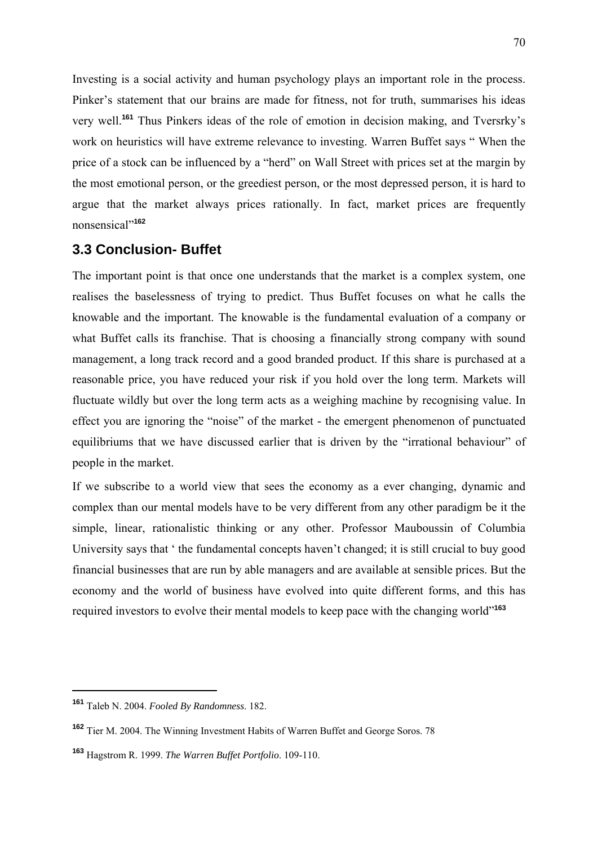Investing is a social activity and human psychology plays an important role in the process. Pinker's statement that our brains are made for fitness, not for truth, summarises his ideas very well.**<sup>161</sup>** Thus Pinkers ideas of the role of emotion in decision making, and Tversrky's work on heuristics will have extreme relevance to investing. Warren Buffet says " When the price of a stock can be influenced by a "herd" on Wall Street with prices set at the margin by the most emotional person, or the greediest person, or the most depressed person, it is hard to argue that the market always prices rationally. In fact, market prices are frequently nonsensical"**<sup>162</sup>**

## **3.3 Conclusion- Buffet**

The important point is that once one understands that the market is a complex system, one realises the baselessness of trying to predict. Thus Buffet focuses on what he calls the knowable and the important. The knowable is the fundamental evaluation of a company or what Buffet calls its franchise. That is choosing a financially strong company with sound management, a long track record and a good branded product. If this share is purchased at a reasonable price, you have reduced your risk if you hold over the long term. Markets will fluctuate wildly but over the long term acts as a weighing machine by recognising value. In effect you are ignoring the "noise" of the market - the emergent phenomenon of punctuated equilibriums that we have discussed earlier that is driven by the "irrational behaviour" of people in the market.

If we subscribe to a world view that sees the economy as a ever changing, dynamic and complex than our mental models have to be very different from any other paradigm be it the simple, linear, rationalistic thinking or any other. Professor Mauboussin of Columbia University says that ' the fundamental concepts haven't changed; it is still crucial to buy good financial businesses that are run by able managers and are available at sensible prices. But the economy and the world of business have evolved into quite different forms, and this has required investors to evolve their mental models to keep pace with the changing world"**<sup>163</sup>**

**<sup>161</sup>** Taleb N. 2004. *Fooled By Randomness*. 182.

**<sup>162</sup>** Tier M. 2004. The Winning Investment Habits of Warren Buffet and George Soros. 78

**<sup>163</sup>** Hagstrom R. 1999. *The Warren Buffet Portfolio*. 109-110.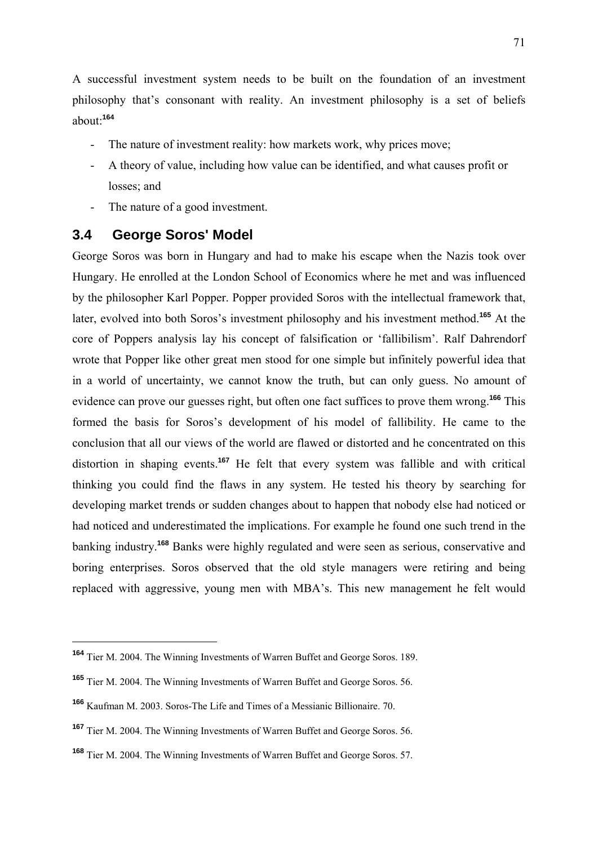A successful investment system needs to be built on the foundation of an investment philosophy that's consonant with reality. An investment philosophy is a set of beliefs about:**<sup>164</sup>**

- The nature of investment reality: how markets work, why prices move;
- A theory of value, including how value can be identified, and what causes profit or losses; and
- The nature of a good investment.

## **3.4 George Soros' Model**

1

George Soros was born in Hungary and had to make his escape when the Nazis took over Hungary. He enrolled at the London School of Economics where he met and was influenced by the philosopher Karl Popper. Popper provided Soros with the intellectual framework that, later, evolved into both Soros's investment philosophy and his investment method.**<sup>165</sup>** At the core of Poppers analysis lay his concept of falsification or 'fallibilism'. Ralf Dahrendorf wrote that Popper like other great men stood for one simple but infinitely powerful idea that in a world of uncertainty, we cannot know the truth, but can only guess. No amount of evidence can prove our guesses right, but often one fact suffices to prove them wrong.**<sup>166</sup>** This formed the basis for Soros's development of his model of fallibility. He came to the conclusion that all our views of the world are flawed or distorted and he concentrated on this distortion in shaping events.**<sup>167</sup>** He felt that every system was fallible and with critical thinking you could find the flaws in any system. He tested his theory by searching for developing market trends or sudden changes about to happen that nobody else had noticed or had noticed and underestimated the implications. For example he found one such trend in the banking industry.**<sup>168</sup>** Banks were highly regulated and were seen as serious, conservative and boring enterprises. Soros observed that the old style managers were retiring and being replaced with aggressive, young men with MBA's. This new management he felt would

**<sup>164</sup>** Tier M. 2004. The Winning Investments of Warren Buffet and George Soros. 189.

**<sup>165</sup>** Tier M. 2004. The Winning Investments of Warren Buffet and George Soros. 56.

**<sup>166</sup>** Kaufman M. 2003. Soros-The Life and Times of a Messianic Billionaire. 70.

**<sup>167</sup>** Tier M. 2004. The Winning Investments of Warren Buffet and George Soros. 56.

**<sup>168</sup>** Tier M. 2004. The Winning Investments of Warren Buffet and George Soros. 57.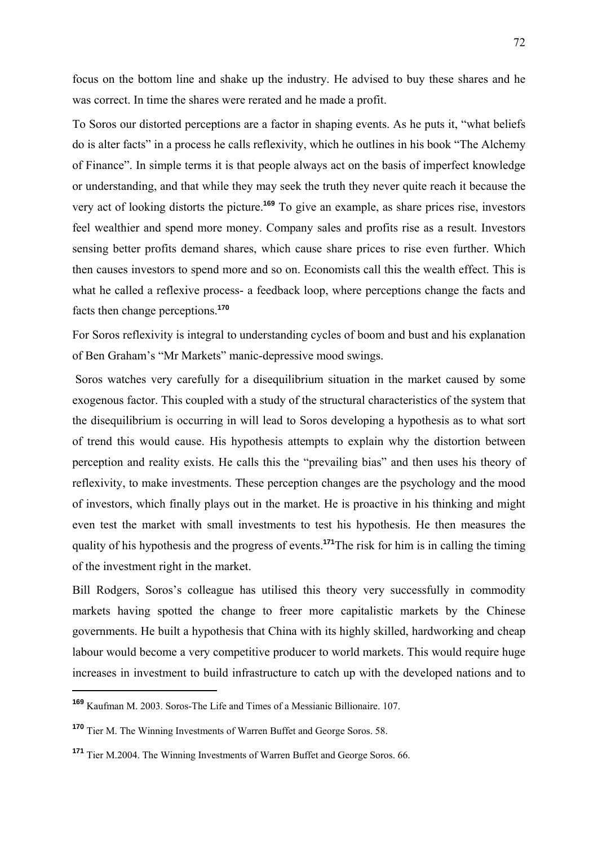focus on the bottom line and shake up the industry. He advised to buy these shares and he was correct. In time the shares were rerated and he made a profit.

To Soros our distorted perceptions are a factor in shaping events. As he puts it, "what beliefs do is alter facts" in a process he calls reflexivity, which he outlines in his book "The Alchemy of Finance". In simple terms it is that people always act on the basis of imperfect knowledge or understanding, and that while they may seek the truth they never quite reach it because the very act of looking distorts the picture.**<sup>169</sup>** To give an example, as share prices rise, investors feel wealthier and spend more money. Company sales and profits rise as a result. Investors sensing better profits demand shares, which cause share prices to rise even further. Which then causes investors to spend more and so on. Economists call this the wealth effect. This is what he called a reflexive process- a feedback loop, where perceptions change the facts and facts then change perceptions.**<sup>170</sup>**

For Soros reflexivity is integral to understanding cycles of boom and bust and his explanation of Ben Graham's "Mr Markets" manic-depressive mood swings.

 Soros watches very carefully for a disequilibrium situation in the market caused by some exogenous factor. This coupled with a study of the structural characteristics of the system that the disequilibrium is occurring in will lead to Soros developing a hypothesis as to what sort of trend this would cause. His hypothesis attempts to explain why the distortion between perception and reality exists. He calls this the "prevailing bias" and then uses his theory of reflexivity, to make investments. These perception changes are the psychology and the mood of investors, which finally plays out in the market. He is proactive in his thinking and might even test the market with small investments to test his hypothesis. He then measures the quality of his hypothesis and the progress of events.**<sup>171</sup>**The risk for him is in calling the timing of the investment right in the market.

Bill Rodgers, Soros's colleague has utilised this theory very successfully in commodity markets having spotted the change to freer more capitalistic markets by the Chinese governments. He built a hypothesis that China with its highly skilled, hardworking and cheap labour would become a very competitive producer to world markets. This would require huge increases in investment to build infrastructure to catch up with the developed nations and to

**<sup>169</sup>** Kaufman M. 2003. Soros-The Life and Times of a Messianic Billionaire. 107.

**<sup>170</sup>** Tier M. The Winning Investments of Warren Buffet and George Soros. 58.

**<sup>171</sup>** Tier M.2004. The Winning Investments of Warren Buffet and George Soros. 66.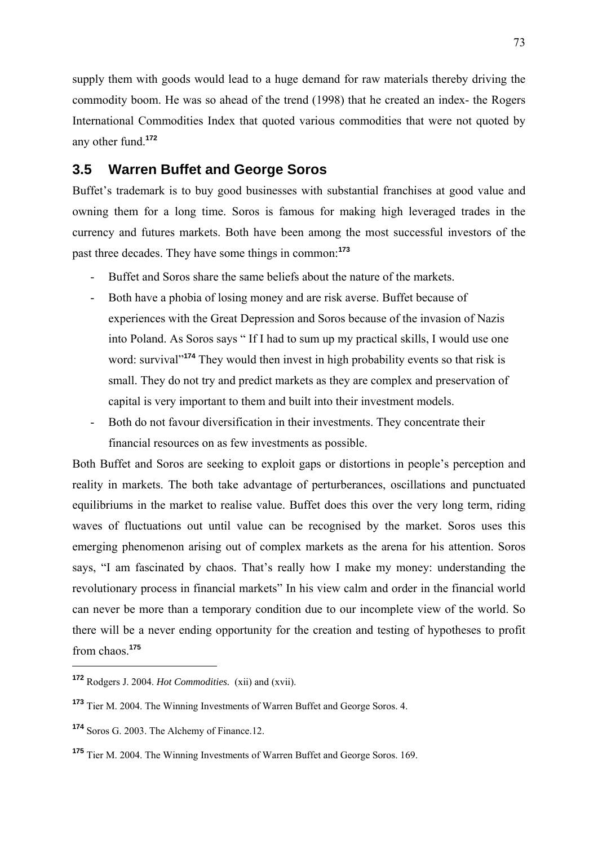supply them with goods would lead to a huge demand for raw materials thereby driving the commodity boom. He was so ahead of the trend (1998) that he created an index- the Rogers International Commodities Index that quoted various commodities that were not quoted by any other fund.**<sup>172</sup>**

## **3.5 Warren Buffet and George Soros**

Buffet's trademark is to buy good businesses with substantial franchises at good value and owning them for a long time. Soros is famous for making high leveraged trades in the currency and futures markets. Both have been among the most successful investors of the past three decades. They have some things in common:**<sup>173</sup>**

- Buffet and Soros share the same beliefs about the nature of the markets.
- Both have a phobia of losing money and are risk averse. Buffet because of experiences with the Great Depression and Soros because of the invasion of Nazis into Poland. As Soros says " If I had to sum up my practical skills, I would use one word: survival<sup>"174</sup> They would then invest in high probability events so that risk is small. They do not try and predict markets as they are complex and preservation of capital is very important to them and built into their investment models.
- Both do not favour diversification in their investments. They concentrate their financial resources on as few investments as possible.

Both Buffet and Soros are seeking to exploit gaps or distortions in people's perception and reality in markets. The both take advantage of perturberances, oscillations and punctuated equilibriums in the market to realise value. Buffet does this over the very long term, riding waves of fluctuations out until value can be recognised by the market. Soros uses this emerging phenomenon arising out of complex markets as the arena for his attention. Soros says, "I am fascinated by chaos. That's really how I make my money: understanding the revolutionary process in financial markets" In his view calm and order in the financial world can never be more than a temporary condition due to our incomplete view of the world. So there will be a never ending opportunity for the creation and testing of hypotheses to profit from chaos.**<sup>175</sup>**

**<sup>172</sup>** Rodgers J. 2004. *Hot Commodities.* (xii) and (xvii).

**<sup>173</sup>** Tier M. 2004. The Winning Investments of Warren Buffet and George Soros. 4.

**<sup>174</sup>** Soros G. 2003. The Alchemy of Finance.12.

**<sup>175</sup>** Tier M. 2004. The Winning Investments of Warren Buffet and George Soros. 169.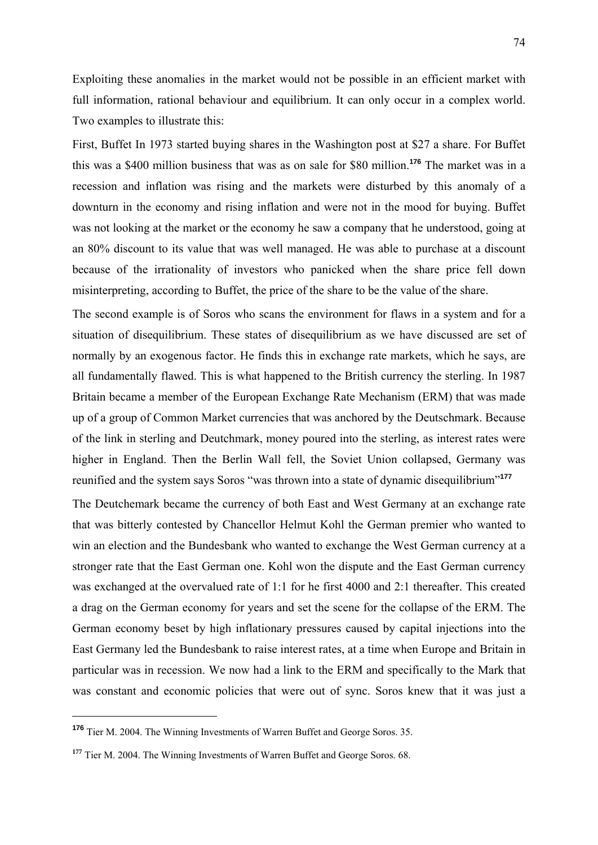Exploiting these anomalies in the market would not be possible in an efficient market with full information, rational behaviour and equilibrium. It can only occur in a complex world. Two examples to illustrate this:

First, Buffet In 1973 started buying shares in the Washington post at \$27 a share. For Buffet this was a \$400 million business that was as on sale for \$80 million.**<sup>176</sup>** The market was in a recession and inflation was rising and the markets were disturbed by this anomaly of a downturn in the economy and rising inflation and were not in the mood for buying. Buffet was not looking at the market or the economy he saw a company that he understood, going at an 80% discount to its value that was well managed. He was able to purchase at a discount because of the irrationality of investors who panicked when the share price fell down misinterpreting, according to Buffet, the price of the share to be the value of the share.

The second example is of Soros who scans the environment for flaws in a system and for a situation of disequilibrium. These states of disequilibrium as we have discussed are set of normally by an exogenous factor. He finds this in exchange rate markets, which he says, are all fundamentally flawed. This is what happened to the British currency the sterling. In 1987 Britain became a member of the European Exchange Rate Mechanism (ERM) that was made up of a group of Common Market currencies that was anchored by the Deutschmark. Because of the link in sterling and Deutchmark, money poured into the sterling, as interest rates were higher in England. Then the Berlin Wall fell, the Soviet Union collapsed, Germany was reunified and the system says Soros "was thrown into a state of dynamic disequilibrium"**<sup>177</sup>**

The Deutchemark became the currency of both East and West Germany at an exchange rate that was bitterly contested by Chancellor Helmut Kohl the German premier who wanted to win an election and the Bundesbank who wanted to exchange the West German currency at a stronger rate that the East German one. Kohl won the dispute and the East German currency was exchanged at the overvalued rate of 1:1 for he first 4000 and 2:1 thereafter. This created a drag on the German economy for years and set the scene for the collapse of the ERM. The German economy beset by high inflationary pressures caused by capital injections into the East Germany led the Bundesbank to raise interest rates, at a time when Europe and Britain in particular was in recession. We now had a link to the ERM and specifically to the Mark that was constant and economic policies that were out of sync. Soros knew that it was just a

**<sup>176</sup>** Tier M. 2004. The Winning Investments of Warren Buffet and George Soros. 35.

<sup>&</sup>lt;sup>177</sup> Tier M. 2004. The Winning Investments of Warren Buffet and George Soros. 68.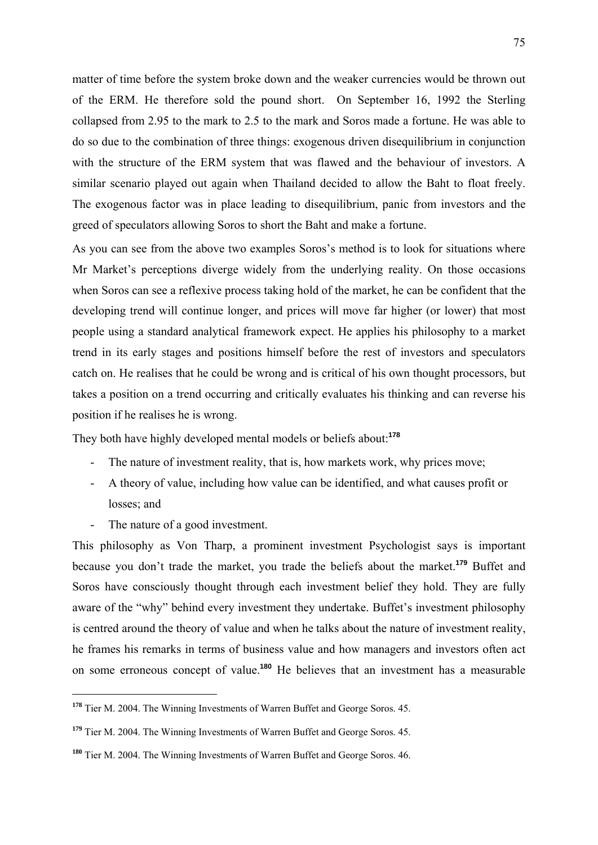matter of time before the system broke down and the weaker currencies would be thrown out of the ERM. He therefore sold the pound short. On September 16, 1992 the Sterling collapsed from 2.95 to the mark to 2.5 to the mark and Soros made a fortune. He was able to do so due to the combination of three things: exogenous driven disequilibrium in conjunction with the structure of the ERM system that was flawed and the behaviour of investors. A similar scenario played out again when Thailand decided to allow the Baht to float freely. The exogenous factor was in place leading to disequilibrium, panic from investors and the greed of speculators allowing Soros to short the Baht and make a fortune.

As you can see from the above two examples Soros's method is to look for situations where Mr Market's perceptions diverge widely from the underlying reality. On those occasions when Soros can see a reflexive process taking hold of the market, he can be confident that the developing trend will continue longer, and prices will move far higher (or lower) that most people using a standard analytical framework expect. He applies his philosophy to a market trend in its early stages and positions himself before the rest of investors and speculators catch on. He realises that he could be wrong and is critical of his own thought processors, but takes a position on a trend occurring and critically evaluates his thinking and can reverse his position if he realises he is wrong.

They both have highly developed mental models or beliefs about:**<sup>178</sup>**

- The nature of investment reality, that is, how markets work, why prices move;
- A theory of value, including how value can be identified, and what causes profit or losses; and
- The nature of a good investment.

1

This philosophy as Von Tharp, a prominent investment Psychologist says is important because you don't trade the market, you trade the beliefs about the market.**<sup>179</sup>** Buffet and Soros have consciously thought through each investment belief they hold. They are fully aware of the "why" behind every investment they undertake. Buffet's investment philosophy is centred around the theory of value and when he talks about the nature of investment reality, he frames his remarks in terms of business value and how managers and investors often act on some erroneous concept of value.**<sup>180</sup>** He believes that an investment has a measurable

**<sup>178</sup>** Tier M. 2004. The Winning Investments of Warren Buffet and George Soros. 45.

**<sup>179</sup>** Tier M. 2004. The Winning Investments of Warren Buffet and George Soros. 45.

**<sup>180</sup>** Tier M. 2004. The Winning Investments of Warren Buffet and George Soros. 46.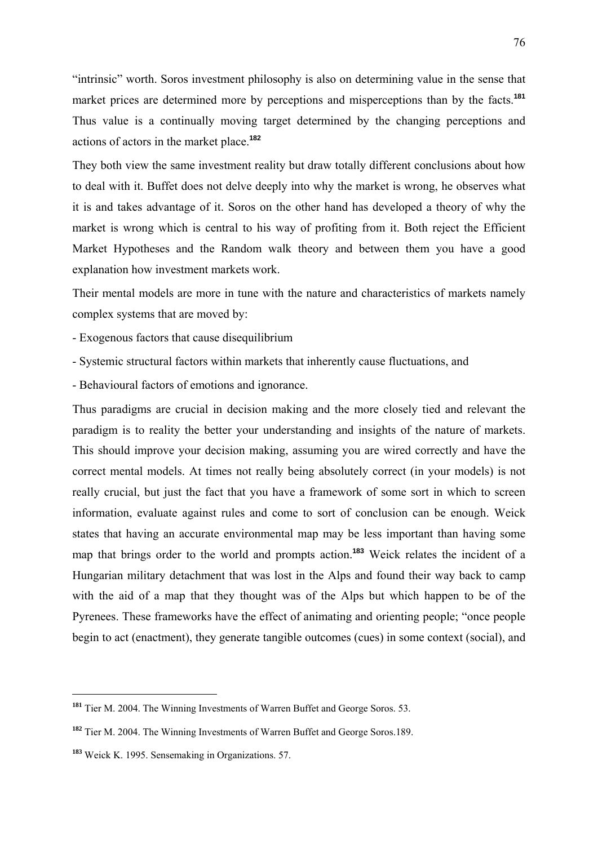"intrinsic" worth. Soros investment philosophy is also on determining value in the sense that market prices are determined more by perceptions and misperceptions than by the facts.**<sup>181</sup>** Thus value is a continually moving target determined by the changing perceptions and actions of actors in the market place.**<sup>182</sup>**

They both view the same investment reality but draw totally different conclusions about how to deal with it. Buffet does not delve deeply into why the market is wrong, he observes what it is and takes advantage of it. Soros on the other hand has developed a theory of why the market is wrong which is central to his way of profiting from it. Both reject the Efficient Market Hypotheses and the Random walk theory and between them you have a good explanation how investment markets work.

Their mental models are more in tune with the nature and characteristics of markets namely complex systems that are moved by:

- Exogenous factors that cause disequilibrium
- Systemic structural factors within markets that inherently cause fluctuations, and
- Behavioural factors of emotions and ignorance.

Thus paradigms are crucial in decision making and the more closely tied and relevant the paradigm is to reality the better your understanding and insights of the nature of markets. This should improve your decision making, assuming you are wired correctly and have the correct mental models. At times not really being absolutely correct (in your models) is not really crucial, but just the fact that you have a framework of some sort in which to screen information, evaluate against rules and come to sort of conclusion can be enough. Weick states that having an accurate environmental map may be less important than having some map that brings order to the world and prompts action.**<sup>183</sup>** Weick relates the incident of a Hungarian military detachment that was lost in the Alps and found their way back to camp with the aid of a map that they thought was of the Alps but which happen to be of the Pyrenees. These frameworks have the effect of animating and orienting people; "once people begin to act (enactment), they generate tangible outcomes (cues) in some context (social), and

**<sup>181</sup>** Tier M. 2004. The Winning Investments of Warren Buffet and George Soros. 53.

**<sup>182</sup>** Tier M. 2004. The Winning Investments of Warren Buffet and George Soros.189.

**<sup>183</sup>** Weick K. 1995. Sensemaking in Organizations. 57.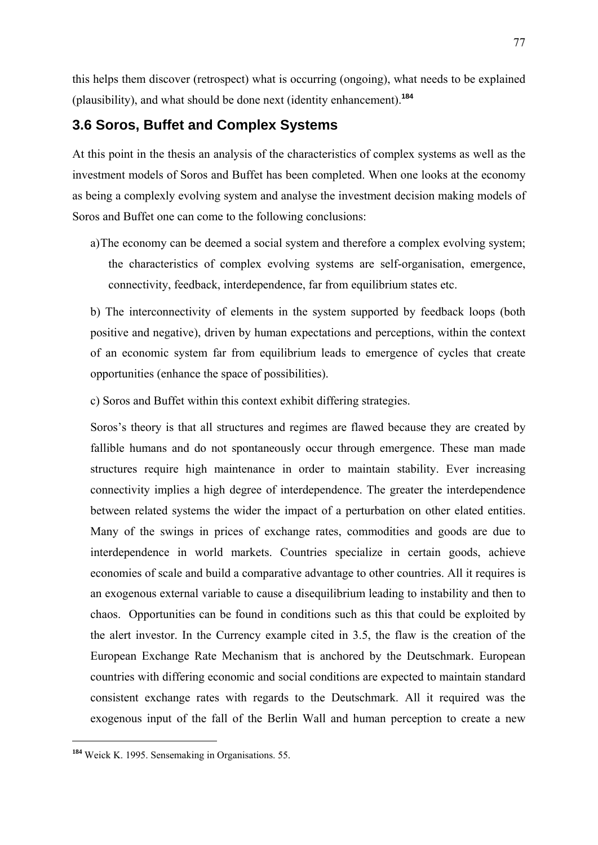this helps them discover (retrospect) what is occurring (ongoing), what needs to be explained (plausibility), and what should be done next (identity enhancement).**<sup>184</sup>**

## **3.6 Soros, Buffet and Complex Systems**

At this point in the thesis an analysis of the characteristics of complex systems as well as the investment models of Soros and Buffet has been completed. When one looks at the economy as being a complexly evolving system and analyse the investment decision making models of Soros and Buffet one can come to the following conclusions:

a)The economy can be deemed a social system and therefore a complex evolving system; the characteristics of complex evolving systems are self-organisation, emergence, connectivity, feedback, interdependence, far from equilibrium states etc.

b) The interconnectivity of elements in the system supported by feedback loops (both positive and negative), driven by human expectations and perceptions, within the context of an economic system far from equilibrium leads to emergence of cycles that create opportunities (enhance the space of possibilities).

c) Soros and Buffet within this context exhibit differing strategies.

Soros's theory is that all structures and regimes are flawed because they are created by fallible humans and do not spontaneously occur through emergence. These man made structures require high maintenance in order to maintain stability. Ever increasing connectivity implies a high degree of interdependence. The greater the interdependence between related systems the wider the impact of a perturbation on other elated entities. Many of the swings in prices of exchange rates, commodities and goods are due to interdependence in world markets. Countries specialize in certain goods, achieve economies of scale and build a comparative advantage to other countries. All it requires is an exogenous external variable to cause a disequilibrium leading to instability and then to chaos. Opportunities can be found in conditions such as this that could be exploited by the alert investor. In the Currency example cited in 3.5, the flaw is the creation of the European Exchange Rate Mechanism that is anchored by the Deutschmark. European countries with differing economic and social conditions are expected to maintain standard consistent exchange rates with regards to the Deutschmark. All it required was the exogenous input of the fall of the Berlin Wall and human perception to create a new

**<sup>184</sup>** Weick K. 1995. Sensemaking in Organisations. 55.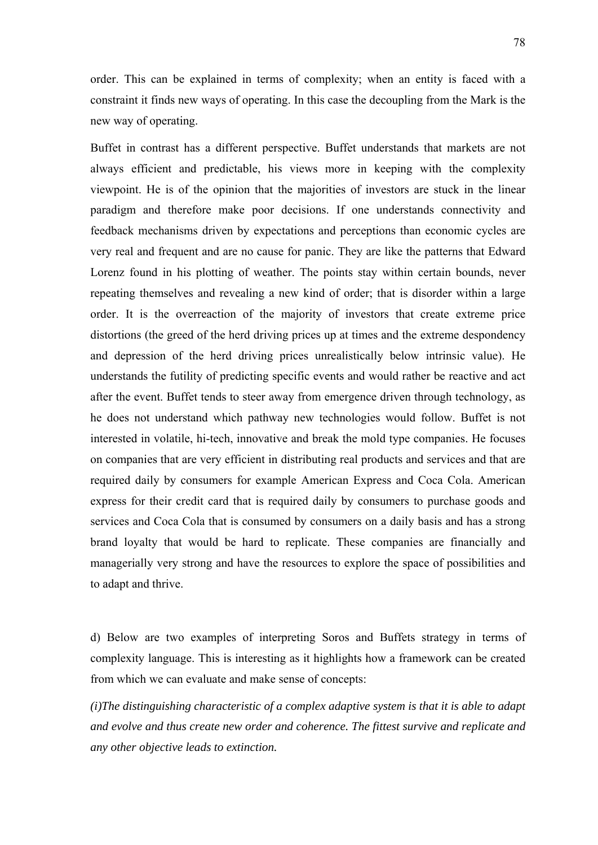order. This can be explained in terms of complexity; when an entity is faced with a constraint it finds new ways of operating. In this case the decoupling from the Mark is the new way of operating.

Buffet in contrast has a different perspective. Buffet understands that markets are not always efficient and predictable, his views more in keeping with the complexity viewpoint. He is of the opinion that the majorities of investors are stuck in the linear paradigm and therefore make poor decisions. If one understands connectivity and feedback mechanisms driven by expectations and perceptions than economic cycles are very real and frequent and are no cause for panic. They are like the patterns that Edward Lorenz found in his plotting of weather. The points stay within certain bounds, never repeating themselves and revealing a new kind of order; that is disorder within a large order. It is the overreaction of the majority of investors that create extreme price distortions (the greed of the herd driving prices up at times and the extreme despondency and depression of the herd driving prices unrealistically below intrinsic value). He understands the futility of predicting specific events and would rather be reactive and act after the event. Buffet tends to steer away from emergence driven through technology, as he does not understand which pathway new technologies would follow. Buffet is not interested in volatile, hi-tech, innovative and break the mold type companies. He focuses on companies that are very efficient in distributing real products and services and that are required daily by consumers for example American Express and Coca Cola. American express for their credit card that is required daily by consumers to purchase goods and services and Coca Cola that is consumed by consumers on a daily basis and has a strong brand loyalty that would be hard to replicate. These companies are financially and managerially very strong and have the resources to explore the space of possibilities and to adapt and thrive.

d) Below are two examples of interpreting Soros and Buffets strategy in terms of complexity language. This is interesting as it highlights how a framework can be created from which we can evaluate and make sense of concepts:

*(i)The distinguishing characteristic of a complex adaptive system is that it is able to adapt and evolve and thus create new order and coherence. The fittest survive and replicate and any other objective leads to extinction.*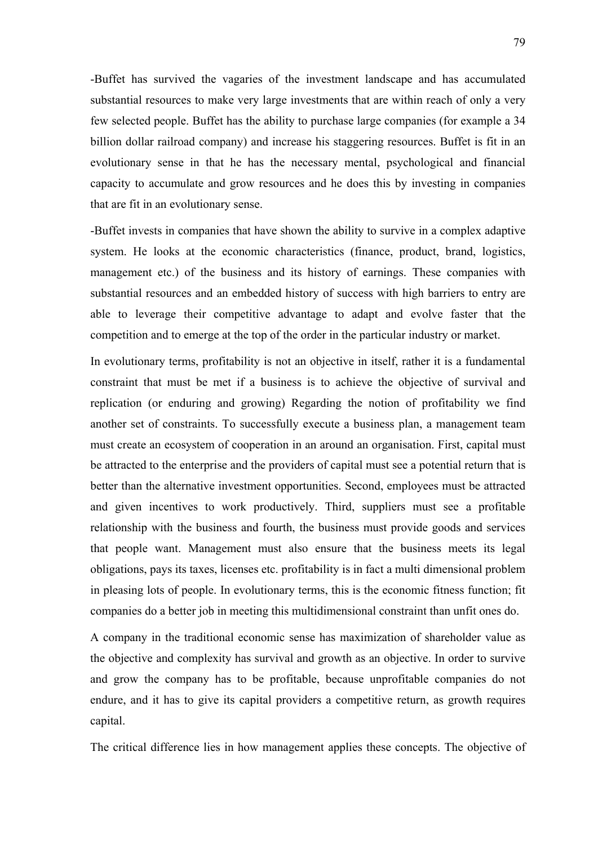-Buffet has survived the vagaries of the investment landscape and has accumulated substantial resources to make very large investments that are within reach of only a very few selected people. Buffet has the ability to purchase large companies (for example a 34 billion dollar railroad company) and increase his staggering resources. Buffet is fit in an evolutionary sense in that he has the necessary mental, psychological and financial capacity to accumulate and grow resources and he does this by investing in companies that are fit in an evolutionary sense.

-Buffet invests in companies that have shown the ability to survive in a complex adaptive system. He looks at the economic characteristics (finance, product, brand, logistics, management etc.) of the business and its history of earnings. These companies with substantial resources and an embedded history of success with high barriers to entry are able to leverage their competitive advantage to adapt and evolve faster that the competition and to emerge at the top of the order in the particular industry or market.

In evolutionary terms, profitability is not an objective in itself, rather it is a fundamental constraint that must be met if a business is to achieve the objective of survival and replication (or enduring and growing) Regarding the notion of profitability we find another set of constraints. To successfully execute a business plan, a management team must create an ecosystem of cooperation in an around an organisation. First, capital must be attracted to the enterprise and the providers of capital must see a potential return that is better than the alternative investment opportunities. Second, employees must be attracted and given incentives to work productively. Third, suppliers must see a profitable relationship with the business and fourth, the business must provide goods and services that people want. Management must also ensure that the business meets its legal obligations, pays its taxes, licenses etc. profitability is in fact a multi dimensional problem in pleasing lots of people. In evolutionary terms, this is the economic fitness function; fit companies do a better job in meeting this multidimensional constraint than unfit ones do.

A company in the traditional economic sense has maximization of shareholder value as the objective and complexity has survival and growth as an objective. In order to survive and grow the company has to be profitable, because unprofitable companies do not endure, and it has to give its capital providers a competitive return, as growth requires capital.

The critical difference lies in how management applies these concepts. The objective of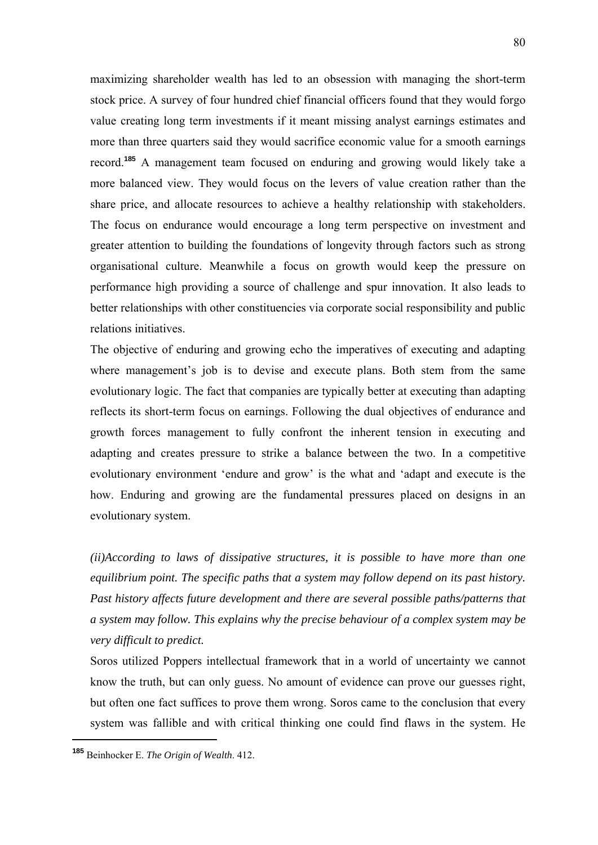maximizing shareholder wealth has led to an obsession with managing the short-term stock price. A survey of four hundred chief financial officers found that they would forgo value creating long term investments if it meant missing analyst earnings estimates and more than three quarters said they would sacrifice economic value for a smooth earnings record.**<sup>185</sup>** A management team focused on enduring and growing would likely take a more balanced view. They would focus on the levers of value creation rather than the share price, and allocate resources to achieve a healthy relationship with stakeholders. The focus on endurance would encourage a long term perspective on investment and greater attention to building the foundations of longevity through factors such as strong organisational culture. Meanwhile a focus on growth would keep the pressure on performance high providing a source of challenge and spur innovation. It also leads to better relationships with other constituencies via corporate social responsibility and public relations initiatives.

The objective of enduring and growing echo the imperatives of executing and adapting where management's job is to devise and execute plans. Both stem from the same evolutionary logic. The fact that companies are typically better at executing than adapting reflects its short-term focus on earnings. Following the dual objectives of endurance and growth forces management to fully confront the inherent tension in executing and adapting and creates pressure to strike a balance between the two. In a competitive evolutionary environment 'endure and grow' is the what and 'adapt and execute is the how. Enduring and growing are the fundamental pressures placed on designs in an evolutionary system.

*(ii)According to laws of dissipative structures, it is possible to have more than one equilibrium point. The specific paths that a system may follow depend on its past history. Past history affects future development and there are several possible paths/patterns that a system may follow. This explains why the precise behaviour of a complex system may be very difficult to predict.* 

Soros utilized Poppers intellectual framework that in a world of uncertainty we cannot know the truth, but can only guess. No amount of evidence can prove our guesses right, but often one fact suffices to prove them wrong. Soros came to the conclusion that every system was fallible and with critical thinking one could find flaws in the system. He

**<sup>185</sup>** Beinhocker E. *The Origin of Wealth*. 412.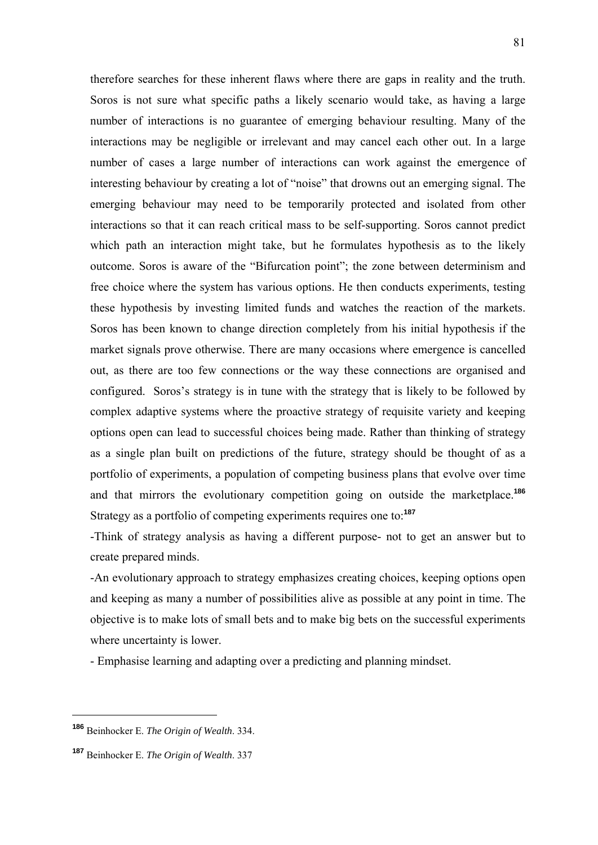therefore searches for these inherent flaws where there are gaps in reality and the truth. Soros is not sure what specific paths a likely scenario would take, as having a large number of interactions is no guarantee of emerging behaviour resulting. Many of the interactions may be negligible or irrelevant and may cancel each other out. In a large number of cases a large number of interactions can work against the emergence of interesting behaviour by creating a lot of "noise" that drowns out an emerging signal. The emerging behaviour may need to be temporarily protected and isolated from other interactions so that it can reach critical mass to be self-supporting. Soros cannot predict which path an interaction might take, but he formulates hypothesis as to the likely outcome. Soros is aware of the "Bifurcation point"; the zone between determinism and free choice where the system has various options. He then conducts experiments, testing these hypothesis by investing limited funds and watches the reaction of the markets. Soros has been known to change direction completely from his initial hypothesis if the market signals prove otherwise. There are many occasions where emergence is cancelled out, as there are too few connections or the way these connections are organised and configured. Soros's strategy is in tune with the strategy that is likely to be followed by complex adaptive systems where the proactive strategy of requisite variety and keeping options open can lead to successful choices being made. Rather than thinking of strategy as a single plan built on predictions of the future, strategy should be thought of as a portfolio of experiments, a population of competing business plans that evolve over time and that mirrors the evolutionary competition going on outside the marketplace.**<sup>186</sup>** Strategy as a portfolio of competing experiments requires one to:**<sup>187</sup>**

-Think of strategy analysis as having a different purpose- not to get an answer but to create prepared minds.

-An evolutionary approach to strategy emphasizes creating choices, keeping options open and keeping as many a number of possibilities alive as possible at any point in time. The objective is to make lots of small bets and to make big bets on the successful experiments where uncertainty is lower.

- Emphasise learning and adapting over a predicting and planning mindset.

**<sup>186</sup>** Beinhocker E. *The Origin of Wealth*. 334.

**<sup>187</sup>** Beinhocker E. *The Origin of Wealth*. 337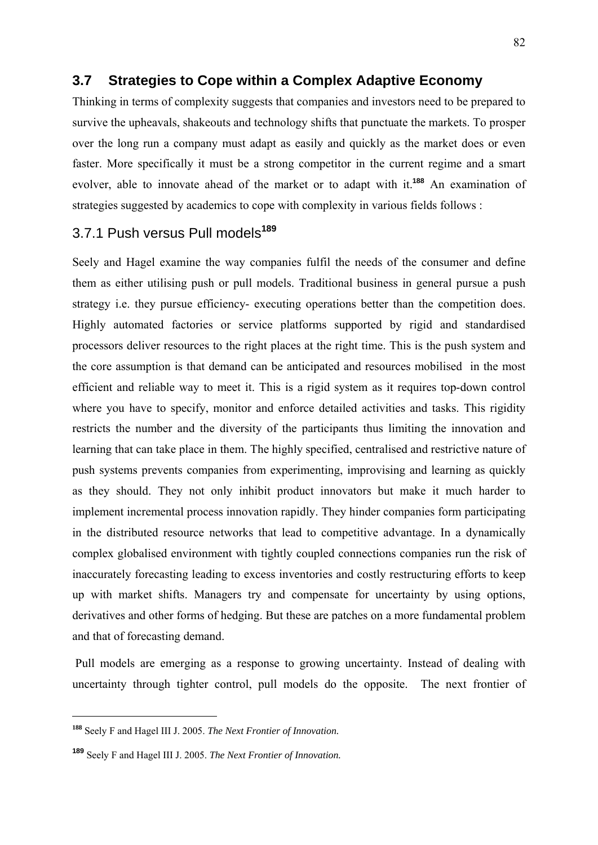## **3.7 Strategies to Cope within a Complex Adaptive Economy**

Thinking in terms of complexity suggests that companies and investors need to be prepared to survive the upheavals, shakeouts and technology shifts that punctuate the markets. To prosper over the long run a company must adapt as easily and quickly as the market does or even faster. More specifically it must be a strong competitor in the current regime and a smart evolver, able to innovate ahead of the market or to adapt with it.**<sup>188</sup>** An examination of strategies suggested by academics to cope with complexity in various fields follows :

## 3.7.1 Push versus Pull models**<sup>189</sup>**

Seely and Hagel examine the way companies fulfil the needs of the consumer and define them as either utilising push or pull models. Traditional business in general pursue a push strategy i.e. they pursue efficiency- executing operations better than the competition does. Highly automated factories or service platforms supported by rigid and standardised processors deliver resources to the right places at the right time. This is the push system and the core assumption is that demand can be anticipated and resources mobilised in the most efficient and reliable way to meet it. This is a rigid system as it requires top-down control where you have to specify, monitor and enforce detailed activities and tasks. This rigidity restricts the number and the diversity of the participants thus limiting the innovation and learning that can take place in them. The highly specified, centralised and restrictive nature of push systems prevents companies from experimenting, improvising and learning as quickly as they should. They not only inhibit product innovators but make it much harder to implement incremental process innovation rapidly. They hinder companies form participating in the distributed resource networks that lead to competitive advantage. In a dynamically complex globalised environment with tightly coupled connections companies run the risk of inaccurately forecasting leading to excess inventories and costly restructuring efforts to keep up with market shifts. Managers try and compensate for uncertainty by using options, derivatives and other forms of hedging. But these are patches on a more fundamental problem and that of forecasting demand.

 Pull models are emerging as a response to growing uncertainty. Instead of dealing with uncertainty through tighter control, pull models do the opposite. The next frontier of

**<sup>188</sup>** Seely F and Hagel III J. 2005. *The Next Frontier of Innovation.*

**<sup>189</sup>** Seely F and Hagel III J. 2005. *The Next Frontier of Innovation.*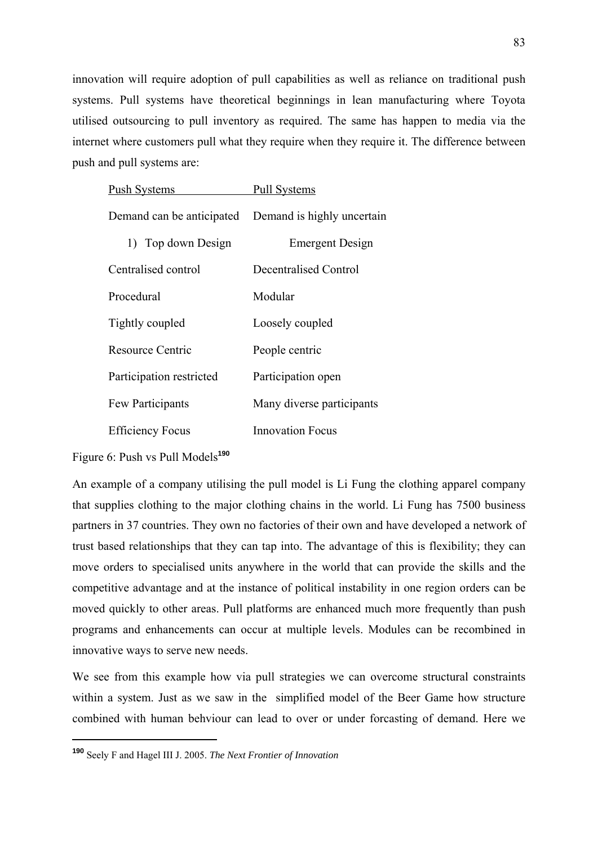innovation will require adoption of pull capabilities as well as reliance on traditional push systems. Pull systems have theoretical beginnings in lean manufacturing where Toyota utilised outsourcing to pull inventory as required. The same has happen to media via the internet where customers pull what they require when they require it. The difference between push and pull systems are:

| <b>Push Systems</b>       | <b>Pull Systems</b>        |
|---------------------------|----------------------------|
| Demand can be anticipated | Demand is highly uncertain |
| 1) Top down Design        | <b>Emergent Design</b>     |
| Centralised control       | Decentralised Control      |
| Procedural                | Modular                    |
| Tightly coupled           | Loosely coupled            |
| Resource Centric          | People centric             |
| Participation restricted  | Participation open         |
| Few Participants          | Many diverse participants  |
| <b>Efficiency Focus</b>   | Innovation Focus           |

Figure 6: Push vs Pull Models**<sup>190</sup>**

1

An example of a company utilising the pull model is Li Fung the clothing apparel company that supplies clothing to the major clothing chains in the world. Li Fung has 7500 business partners in 37 countries. They own no factories of their own and have developed a network of trust based relationships that they can tap into. The advantage of this is flexibility; they can move orders to specialised units anywhere in the world that can provide the skills and the competitive advantage and at the instance of political instability in one region orders can be moved quickly to other areas. Pull platforms are enhanced much more frequently than push programs and enhancements can occur at multiple levels. Modules can be recombined in innovative ways to serve new needs.

We see from this example how via pull strategies we can overcome structural constraints within a system. Just as we saw in the simplified model of the Beer Game how structure combined with human behviour can lead to over or under forcasting of demand. Here we

**<sup>190</sup>** Seely F and Hagel III J. 2005. *The Next Frontier of Innovation*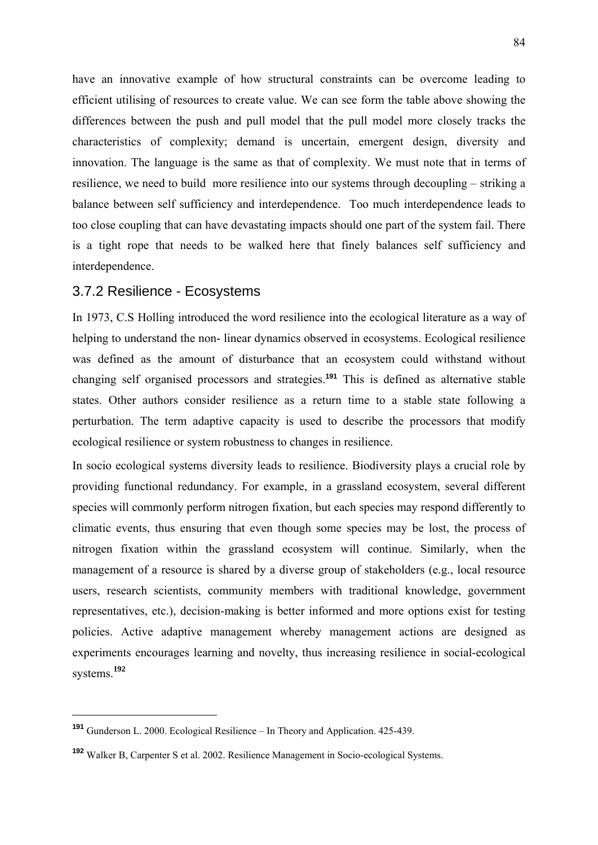have an innovative example of how structural constraints can be overcome leading to efficient utilising of resources to create value. We can see form the table above showing the differences between the push and pull model that the pull model more closely tracks the characteristics of complexity; demand is uncertain, emergent design, diversity and innovation. The language is the same as that of complexity. We must note that in terms of resilience, we need to build more resilience into our systems through decoupling – striking a balance between self sufficiency and interdependence. Too much interdependence leads to too close coupling that can have devastating impacts should one part of the system fail. There is a tight rope that needs to be walked here that finely balances self sufficiency and interdependence.

## 3.7.2 Resilience - Ecosystems

In 1973, C.S Holling introduced the word resilience into the ecological literature as a way of helping to understand the non- linear dynamics observed in ecosystems. Ecological resilience was defined as the amount of disturbance that an ecosystem could withstand without changing self organised processors and strategies.**<sup>191</sup>** This is defined as alternative stable states. Other authors consider resilience as a return time to a stable state following a perturbation. The term adaptive capacity is used to describe the processors that modify ecological resilience or system robustness to changes in resilience.

In socio ecological systems diversity leads to resilience. Biodiversity plays a crucial role by providing functional redundancy. For example, in a grassland ecosystem, several different species will commonly perform nitrogen fixation, but each species may respond differently to climatic events, thus ensuring that even though some species may be lost, the process of nitrogen fixation within the grassland ecosystem will continue. Similarly, when the management of a resource is shared by a diverse group of stakeholders (e.g., local resource users, research scientists, community members with traditional knowledge, government representatives, etc.), decision-making is better informed and more options exist for testing policies. Active adaptive management whereby management actions are designed as experiments encourages learning and novelty, thus increasing resilience in social-ecological systems.**<sup>192</sup>**

**<sup>191</sup>** Gunderson L. 2000. Ecological Resilience – In Theory and Application. 425-439.

**<sup>192</sup>** Walker B, Carpenter S et al. 2002. Resilience Management in Socio-ecological Systems.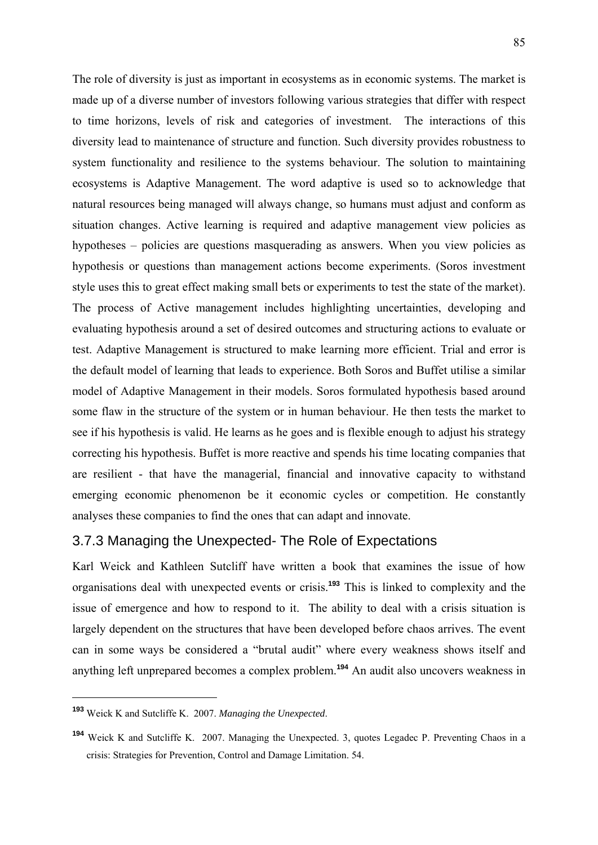The role of diversity is just as important in ecosystems as in economic systems. The market is made up of a diverse number of investors following various strategies that differ with respect to time horizons, levels of risk and categories of investment. The interactions of this diversity lead to maintenance of structure and function. Such diversity provides robustness to system functionality and resilience to the systems behaviour. The solution to maintaining ecosystems is Adaptive Management. The word adaptive is used so to acknowledge that natural resources being managed will always change, so humans must adjust and conform as situation changes. Active learning is required and adaptive management view policies as hypotheses – policies are questions masquerading as answers. When you view policies as hypothesis or questions than management actions become experiments. (Soros investment style uses this to great effect making small bets or experiments to test the state of the market). The process of Active management includes highlighting uncertainties, developing and evaluating hypothesis around a set of desired outcomes and structuring actions to evaluate or test. Adaptive Management is structured to make learning more efficient. Trial and error is the default model of learning that leads to experience. Both Soros and Buffet utilise a similar model of Adaptive Management in their models. Soros formulated hypothesis based around some flaw in the structure of the system or in human behaviour. He then tests the market to see if his hypothesis is valid. He learns as he goes and is flexible enough to adjust his strategy correcting his hypothesis. Buffet is more reactive and spends his time locating companies that are resilient - that have the managerial, financial and innovative capacity to withstand emerging economic phenomenon be it economic cycles or competition. He constantly analyses these companies to find the ones that can adapt and innovate.

## 3.7.3 Managing the Unexpected- The Role of Expectations

Karl Weick and Kathleen Sutcliff have written a book that examines the issue of how organisations deal with unexpected events or crisis.**<sup>193</sup>** This is linked to complexity and the issue of emergence and how to respond to it. The ability to deal with a crisis situation is largely dependent on the structures that have been developed before chaos arrives. The event can in some ways be considered a "brutal audit" where every weakness shows itself and anything left unprepared becomes a complex problem.**<sup>194</sup>** An audit also uncovers weakness in

**<sup>193</sup>** Weick K and Sutcliffe K. 2007. *Managing the Unexpected*.

**<sup>194</sup>** Weick K and Sutcliffe K. 2007. Managing the Unexpected. 3, quotes Legadec P. Preventing Chaos in a crisis: Strategies for Prevention, Control and Damage Limitation. 54.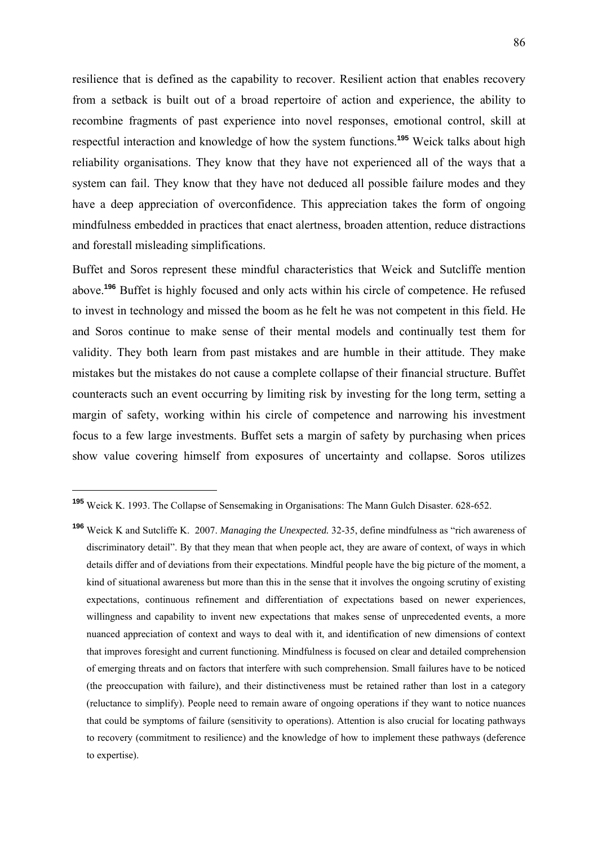resilience that is defined as the capability to recover. Resilient action that enables recovery from a setback is built out of a broad repertoire of action and experience, the ability to recombine fragments of past experience into novel responses, emotional control, skill at respectful interaction and knowledge of how the system functions.**<sup>195</sup>** Weick talks about high reliability organisations. They know that they have not experienced all of the ways that a system can fail. They know that they have not deduced all possible failure modes and they have a deep appreciation of overconfidence. This appreciation takes the form of ongoing mindfulness embedded in practices that enact alertness, broaden attention, reduce distractions and forestall misleading simplifications.

Buffet and Soros represent these mindful characteristics that Weick and Sutcliffe mention above.**<sup>196</sup>** Buffet is highly focused and only acts within his circle of competence. He refused to invest in technology and missed the boom as he felt he was not competent in this field. He and Soros continue to make sense of their mental models and continually test them for validity. They both learn from past mistakes and are humble in their attitude. They make mistakes but the mistakes do not cause a complete collapse of their financial structure. Buffet counteracts such an event occurring by limiting risk by investing for the long term, setting a margin of safety, working within his circle of competence and narrowing his investment focus to a few large investments. Buffet sets a margin of safety by purchasing when prices show value covering himself from exposures of uncertainty and collapse. Soros utilizes

**<sup>195</sup>** Weick K. 1993. The Collapse of Sensemaking in Organisations: The Mann Gulch Disaster. 628-652.

**<sup>196</sup>** Weick K and Sutcliffe K. 2007. *Managing the Unexpected.* 32-35, define mindfulness as "rich awareness of discriminatory detail". By that they mean that when people act, they are aware of context, of ways in which details differ and of deviations from their expectations. Mindful people have the big picture of the moment, a kind of situational awareness but more than this in the sense that it involves the ongoing scrutiny of existing expectations, continuous refinement and differentiation of expectations based on newer experiences, willingness and capability to invent new expectations that makes sense of unprecedented events, a more nuanced appreciation of context and ways to deal with it, and identification of new dimensions of context that improves foresight and current functioning. Mindfulness is focused on clear and detailed comprehension of emerging threats and on factors that interfere with such comprehension. Small failures have to be noticed (the preoccupation with failure), and their distinctiveness must be retained rather than lost in a category (reluctance to simplify). People need to remain aware of ongoing operations if they want to notice nuances that could be symptoms of failure (sensitivity to operations). Attention is also crucial for locating pathways to recovery (commitment to resilience) and the knowledge of how to implement these pathways (deference to expertise).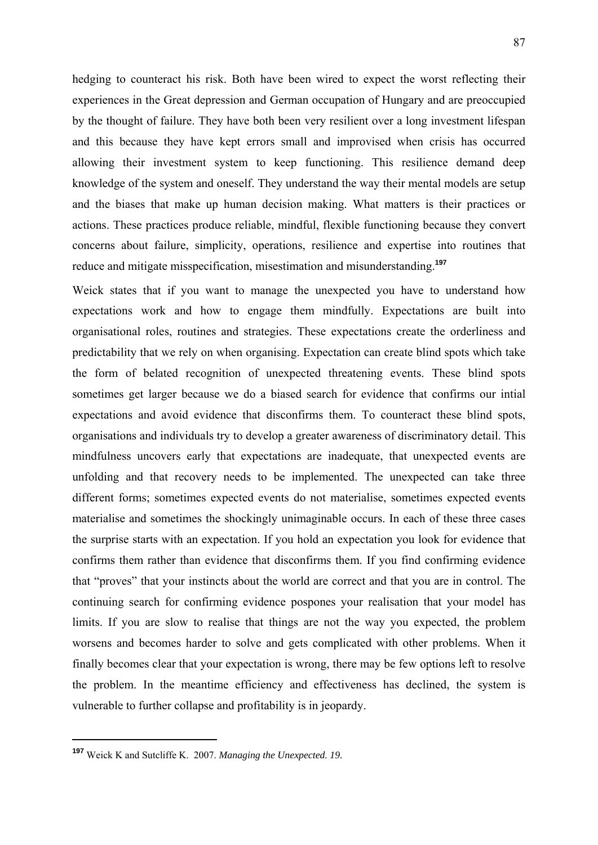hedging to counteract his risk. Both have been wired to expect the worst reflecting their experiences in the Great depression and German occupation of Hungary and are preoccupied by the thought of failure. They have both been very resilient over a long investment lifespan and this because they have kept errors small and improvised when crisis has occurred allowing their investment system to keep functioning. This resilience demand deep knowledge of the system and oneself. They understand the way their mental models are setup and the biases that make up human decision making. What matters is their practices or actions. These practices produce reliable, mindful, flexible functioning because they convert concerns about failure, simplicity, operations, resilience and expertise into routines that reduce and mitigate misspecification, misestimation and misunderstanding.**<sup>197</sup>**

Weick states that if you want to manage the unexpected you have to understand how expectations work and how to engage them mindfully. Expectations are built into organisational roles, routines and strategies. These expectations create the orderliness and predictability that we rely on when organising. Expectation can create blind spots which take the form of belated recognition of unexpected threatening events. These blind spots sometimes get larger because we do a biased search for evidence that confirms our intial expectations and avoid evidence that disconfirms them. To counteract these blind spots, organisations and individuals try to develop a greater awareness of discriminatory detail. This mindfulness uncovers early that expectations are inadequate, that unexpected events are unfolding and that recovery needs to be implemented. The unexpected can take three different forms; sometimes expected events do not materialise, sometimes expected events materialise and sometimes the shockingly unimaginable occurs. In each of these three cases the surprise starts with an expectation. If you hold an expectation you look for evidence that confirms them rather than evidence that disconfirms them. If you find confirming evidence that "proves" that your instincts about the world are correct and that you are in control. The continuing search for confirming evidence pospones your realisation that your model has limits. If you are slow to realise that things are not the way you expected, the problem worsens and becomes harder to solve and gets complicated with other problems. When it finally becomes clear that your expectation is wrong, there may be few options left to resolve the problem. In the meantime efficiency and effectiveness has declined, the system is vulnerable to further collapse and profitability is in jeopardy.

**<sup>197</sup>** Weick K and Sutcliffe K. 2007. *Managing the Unexpected. 19.*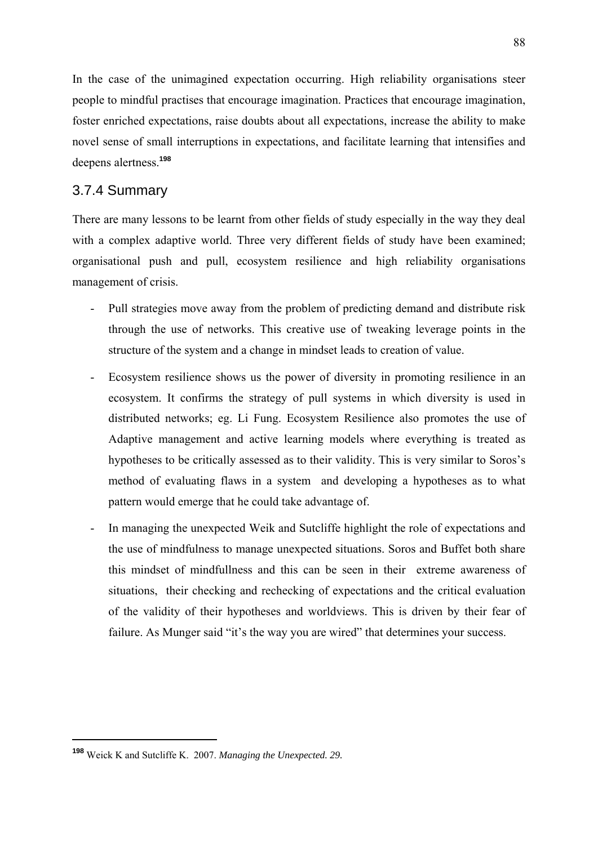In the case of the unimagined expectation occurring. High reliability organisations steer people to mindful practises that encourage imagination. Practices that encourage imagination, foster enriched expectations, raise doubts about all expectations, increase the ability to make novel sense of small interruptions in expectations, and facilitate learning that intensifies and deepens alertness.**<sup>198</sup>**

## 3.7.4 Summary

There are many lessons to be learnt from other fields of study especially in the way they deal with a complex adaptive world. Three very different fields of study have been examined; organisational push and pull, ecosystem resilience and high reliability organisations management of crisis.

- Pull strategies move away from the problem of predicting demand and distribute risk through the use of networks. This creative use of tweaking leverage points in the structure of the system and a change in mindset leads to creation of value.
- Ecosystem resilience shows us the power of diversity in promoting resilience in an ecosystem. It confirms the strategy of pull systems in which diversity is used in distributed networks; eg. Li Fung. Ecosystem Resilience also promotes the use of Adaptive management and active learning models where everything is treated as hypotheses to be critically assessed as to their validity. This is very similar to Soros's method of evaluating flaws in a system and developing a hypotheses as to what pattern would emerge that he could take advantage of.
- In managing the unexpected Weik and Sutcliffe highlight the role of expectations and the use of mindfulness to manage unexpected situations. Soros and Buffet both share this mindset of mindfullness and this can be seen in their extreme awareness of situations, their checking and rechecking of expectations and the critical evaluation of the validity of their hypotheses and worldviews. This is driven by their fear of failure. As Munger said "it's the way you are wired" that determines your success.

<sup>88</sup>

**<sup>198</sup>** Weick K and Sutcliffe K. 2007. *Managing the Unexpected. 29.*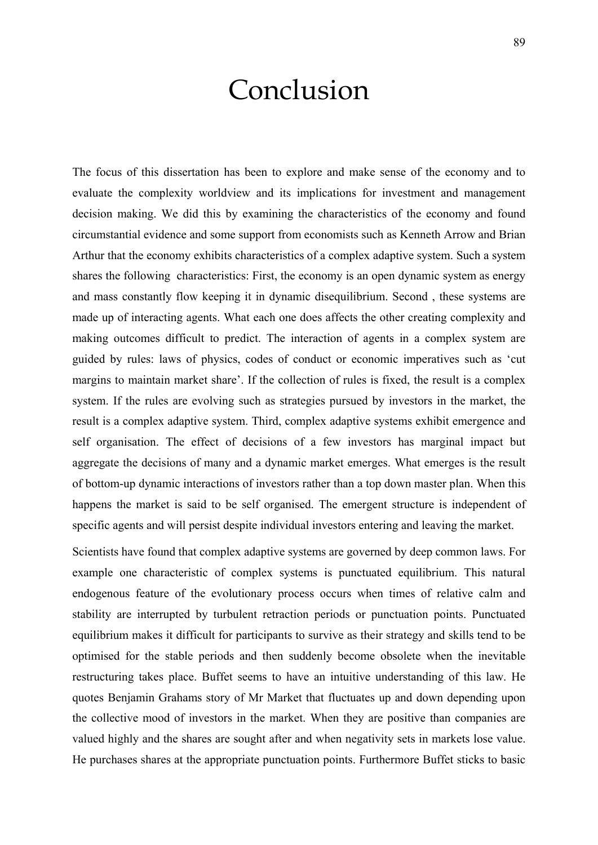# Conclusion

The focus of this dissertation has been to explore and make sense of the economy and to evaluate the complexity worldview and its implications for investment and management decision making. We did this by examining the characteristics of the economy and found circumstantial evidence and some support from economists such as Kenneth Arrow and Brian Arthur that the economy exhibits characteristics of a complex adaptive system. Such a system shares the following characteristics: First, the economy is an open dynamic system as energy and mass constantly flow keeping it in dynamic disequilibrium. Second , these systems are made up of interacting agents. What each one does affects the other creating complexity and making outcomes difficult to predict. The interaction of agents in a complex system are guided by rules: laws of physics, codes of conduct or economic imperatives such as 'cut margins to maintain market share'. If the collection of rules is fixed, the result is a complex system. If the rules are evolving such as strategies pursued by investors in the market, the result is a complex adaptive system. Third, complex adaptive systems exhibit emergence and self organisation. The effect of decisions of a few investors has marginal impact but aggregate the decisions of many and a dynamic market emerges. What emerges is the result of bottom-up dynamic interactions of investors rather than a top down master plan. When this happens the market is said to be self organised. The emergent structure is independent of specific agents and will persist despite individual investors entering and leaving the market.

Scientists have found that complex adaptive systems are governed by deep common laws. For example one characteristic of complex systems is punctuated equilibrium. This natural endogenous feature of the evolutionary process occurs when times of relative calm and stability are interrupted by turbulent retraction periods or punctuation points. Punctuated equilibrium makes it difficult for participants to survive as their strategy and skills tend to be optimised for the stable periods and then suddenly become obsolete when the inevitable restructuring takes place. Buffet seems to have an intuitive understanding of this law. He quotes Benjamin Grahams story of Mr Market that fluctuates up and down depending upon the collective mood of investors in the market. When they are positive than companies are valued highly and the shares are sought after and when negativity sets in markets lose value. He purchases shares at the appropriate punctuation points. Furthermore Buffet sticks to basic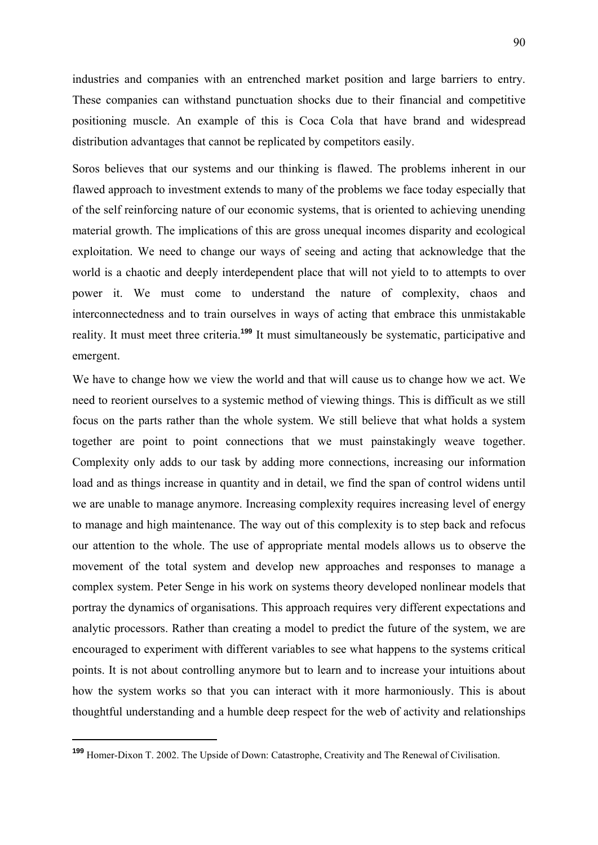industries and companies with an entrenched market position and large barriers to entry. These companies can withstand punctuation shocks due to their financial and competitive positioning muscle. An example of this is Coca Cola that have brand and widespread distribution advantages that cannot be replicated by competitors easily.

Soros believes that our systems and our thinking is flawed. The problems inherent in our flawed approach to investment extends to many of the problems we face today especially that of the self reinforcing nature of our economic systems, that is oriented to achieving unending material growth. The implications of this are gross unequal incomes disparity and ecological exploitation. We need to change our ways of seeing and acting that acknowledge that the world is a chaotic and deeply interdependent place that will not yield to to attempts to over power it. We must come to understand the nature of complexity, chaos and interconnectedness and to train ourselves in ways of acting that embrace this unmistakable reality. It must meet three criteria.**<sup>199</sup>** It must simultaneously be systematic, participative and emergent.

We have to change how we view the world and that will cause us to change how we act. We need to reorient ourselves to a systemic method of viewing things. This is difficult as we still focus on the parts rather than the whole system. We still believe that what holds a system together are point to point connections that we must painstakingly weave together. Complexity only adds to our task by adding more connections, increasing our information load and as things increase in quantity and in detail, we find the span of control widens until we are unable to manage anymore. Increasing complexity requires increasing level of energy to manage and high maintenance. The way out of this complexity is to step back and refocus our attention to the whole. The use of appropriate mental models allows us to observe the movement of the total system and develop new approaches and responses to manage a complex system. Peter Senge in his work on systems theory developed nonlinear models that portray the dynamics of organisations. This approach requires very different expectations and analytic processors. Rather than creating a model to predict the future of the system, we are encouraged to experiment with different variables to see what happens to the systems critical points. It is not about controlling anymore but to learn and to increase your intuitions about how the system works so that you can interact with it more harmoniously. This is about thoughtful understanding and a humble deep respect for the web of activity and relationships

**<sup>199</sup>** Homer-Dixon T. 2002. The Upside of Down: Catastrophe, Creativity and The Renewal of Civilisation.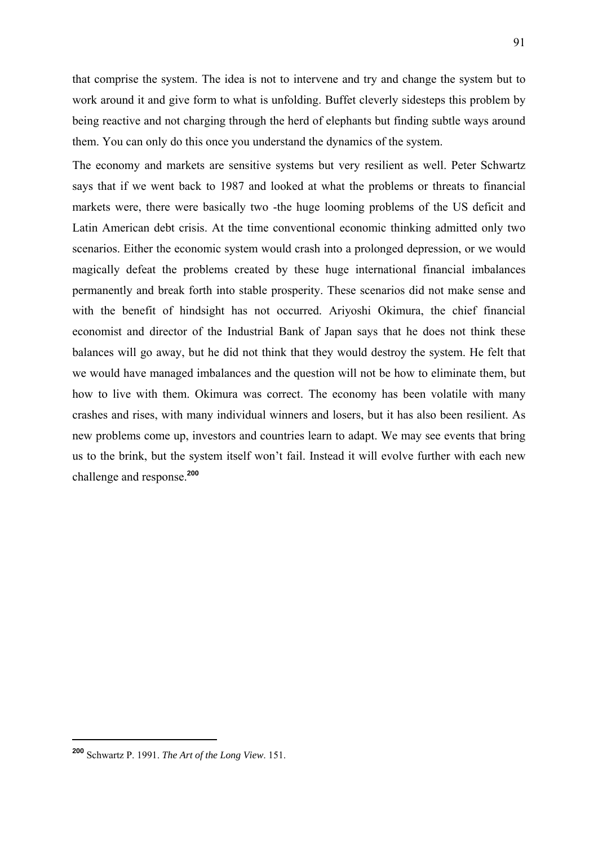that comprise the system. The idea is not to intervene and try and change the system but to work around it and give form to what is unfolding. Buffet cleverly sidesteps this problem by being reactive and not charging through the herd of elephants but finding subtle ways around them. You can only do this once you understand the dynamics of the system.

The economy and markets are sensitive systems but very resilient as well. Peter Schwartz says that if we went back to 1987 and looked at what the problems or threats to financial markets were, there were basically two -the huge looming problems of the US deficit and Latin American debt crisis. At the time conventional economic thinking admitted only two scenarios. Either the economic system would crash into a prolonged depression, or we would magically defeat the problems created by these huge international financial imbalances permanently and break forth into stable prosperity. These scenarios did not make sense and with the benefit of hindsight has not occurred. Ariyoshi Okimura, the chief financial economist and director of the Industrial Bank of Japan says that he does not think these balances will go away, but he did not think that they would destroy the system. He felt that we would have managed imbalances and the question will not be how to eliminate them, but how to live with them. Okimura was correct. The economy has been volatile with many crashes and rises, with many individual winners and losers, but it has also been resilient. As new problems come up, investors and countries learn to adapt. We may see events that bring us to the brink, but the system itself won't fail. Instead it will evolve further with each new challenge and response.**<sup>200</sup>**

**<sup>200</sup>** Schwartz P. 1991. *The Art of the Long View*. 151.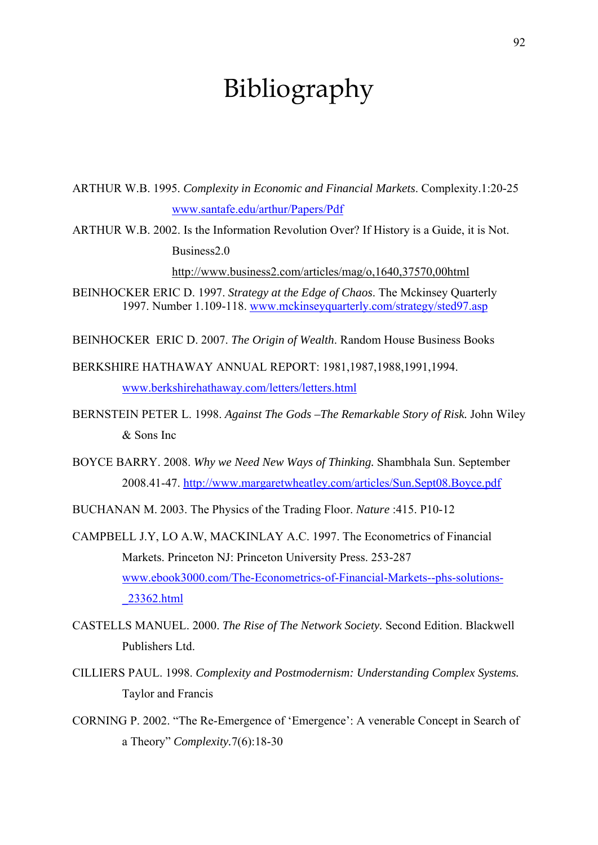## Bibliography

ARTHUR W.B. 1995. *Complexity in Economic and Financial Markets*. Complexity.1:20-25 www.santafe.edu/arthur/Papers/Pdf

ARTHUR W.B. 2002. Is the Information Revolution Over? If History is a Guide, it is Not. Business2.0

http://www.business2.com/articles/mag/o,1640,37570,00html

BEINHOCKER ERIC D. 1997. *Strategy at the Edge of Chaos*. The Mckinsey Quarterly 1997. Number 1.109-118. www.mckinseyquarterly.com/strategy/sted97.asp

BEINHOCKER ERIC D. 2007. *The Origin of Wealth*. Random House Business Books

BERKSHIRE HATHAWAY ANNUAL REPORT: 1981,1987,1988,1991,1994. www.berkshirehathaway.com/letters/letters.html

- BERNSTEIN PETER L. 1998. *Against The Gods –The Remarkable Story of Risk.* John Wiley & Sons Inc
- BOYCE BARRY. 2008. *Why we Need New Ways of Thinking.* Shambhala Sun. September 2008.41-47. http://www.margaretwheatley.com/articles/Sun.Sept08.Boyce.pdf

BUCHANAN M. 2003. The Physics of the Trading Floor. *Nature* :415. P10-12

- CAMPBELL J.Y, LO A.W, MACKINLAY A.C. 1997. The Econometrics of Financial Markets. Princeton NJ: Princeton University Press. 253-287 www.ebook3000.com/The-Econometrics-of-Financial-Markets--phs-solutions- \_23362.html
- CASTELLS MANUEL. 2000. *The Rise of The Network Society.* Second Edition. Blackwell Publishers Ltd.
- CILLIERS PAUL. 1998. *Complexity and Postmodernism: Understanding Complex Systems.* Taylor and Francis
- CORNING P. 2002. "The Re-Emergence of 'Emergence': A venerable Concept in Search of a Theory" *Complexity.*7(6):18-30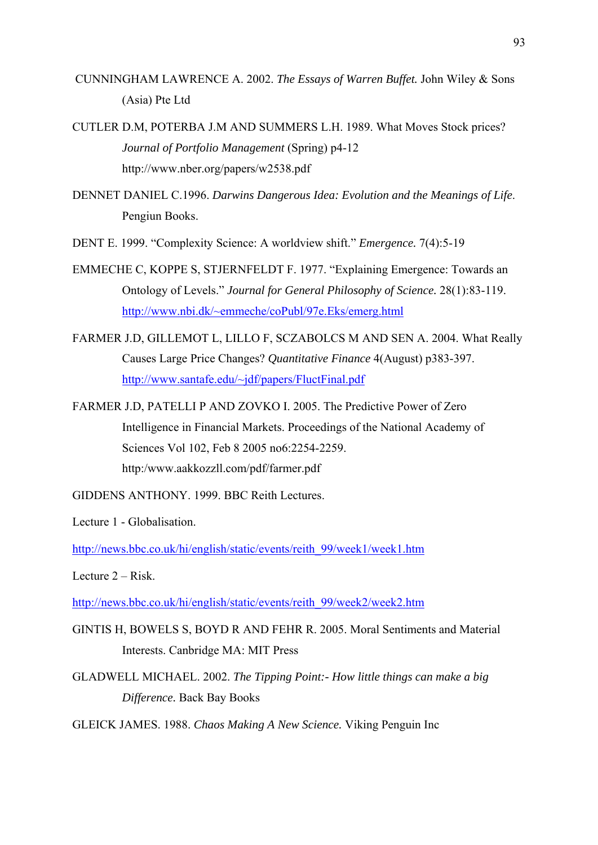- CUNNINGHAM LAWRENCE A. 2002. *The Essays of Warren Buffet.* John Wiley & Sons (Asia) Pte Ltd
- CUTLER D.M, POTERBA J.M AND SUMMERS L.H. 1989. What Moves Stock prices? *Journal of Portfolio Management* (Spring) p4-12 http://www.nber.org/papers/w2538.pdf
- DENNET DANIEL C.1996. *Darwins Dangerous Idea: Evolution and the Meanings of Life*. Pengiun Books.
- DENT E. 1999. "Complexity Science: A worldview shift." *Emergence.* 7(4):5-19
- EMMECHE C, KOPPE S, STJERNFELDT F. 1977. "Explaining Emergence: Towards an Ontology of Levels." *Journal for General Philosophy of Science.* 28(1):83-119. http://www.nbi.dk/~emmeche/coPubl/97e.Eks/emerg.html
- FARMER J.D, GILLEMOT L, LILLO F, SCZABOLCS M AND SEN A. 2004. What Really Causes Large Price Changes? *Quantitative Finance* 4(August) p383-397. http://www.santafe.edu/~jdf/papers/FluctFinal.pdf
- FARMER J.D, PATELLI P AND ZOVKO I. 2005. The Predictive Power of Zero Intelligence in Financial Markets. Proceedings of the National Academy of Sciences Vol 102, Feb 8 2005 no6:2254-2259. http:/www.aakkozzll.com/pdf/farmer.pdf
- GIDDENS ANTHONY. 1999. BBC Reith Lectures.
- Lecture 1 Globalisation.

http://news.bbc.co.uk/hi/english/static/events/reith\_99/week1/week1.htm

Lecture  $2 - Risk$ .

http://news.bbc.co.uk/hi/english/static/events/reith\_99/week2/week2.htm

- GINTIS H, BOWELS S, BOYD R AND FEHR R. 2005. Moral Sentiments and Material Interests. Canbridge MA: MIT Press
- GLADWELL MICHAEL. 2002. *The Tipping Point:- How little things can make a big Difference.* Back Bay Books

GLEICK JAMES. 1988. *Chaos Making A New Science.* Viking Penguin Inc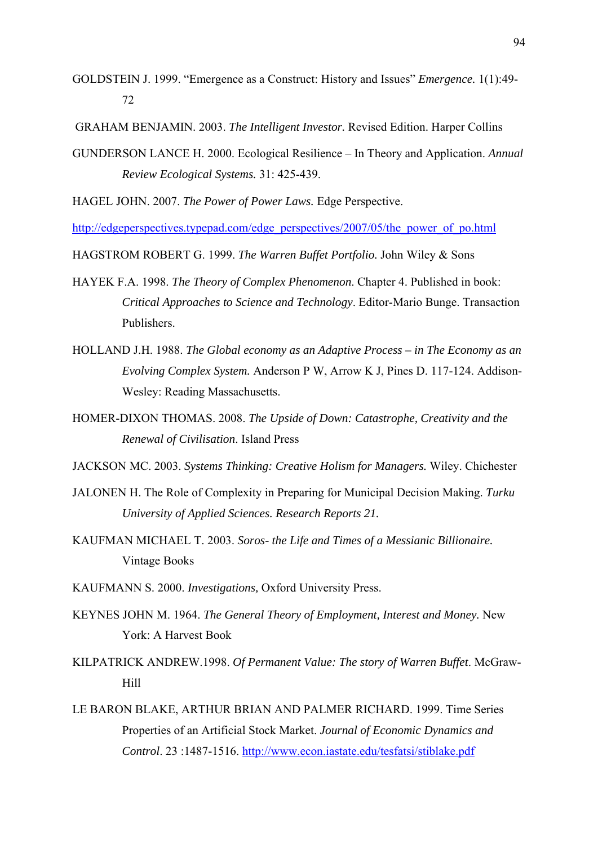GOLDSTEIN J. 1999. "Emergence as a Construct: History and Issues" *Emergence.* 1(1):49- 72

GRAHAM BENJAMIN. 2003. *The Intelligent Investor.* Revised Edition. Harper Collins

GUNDERSON LANCE H. 2000. Ecological Resilience – In Theory and Application. *Annual Review Ecological Systems.* 31: 425-439.

HAGEL JOHN. 2007. *The Power of Power Laws.* Edge Perspective.

http://edgeperspectives.typepad.com/edge\_perspectives/2007/05/the\_power\_of\_po.html

HAGSTROM ROBERT G. 1999. *The Warren Buffet Portfolio.* John Wiley & Sons

- HAYEK F.A. 1998. *The Theory of Complex Phenomenon*. Chapter 4. Published in book: *Critical Approaches to Science and Technology*. Editor-Mario Bunge. Transaction Publishers.
- HOLLAND J.H. 1988. *The Global economy as an Adaptive Process in The Economy as an Evolving Complex System.* Anderson P W, Arrow K J, Pines D. 117-124. Addison-Wesley: Reading Massachusetts.
- HOMER-DIXON THOMAS. 2008. *The Upside of Down: Catastrophe, Creativity and the Renewal of Civilisation*. Island Press

JACKSON MC. 2003. *Systems Thinking: Creative Holism for Managers.* Wiley. Chichester

- JALONEN H. The Role of Complexity in Preparing for Municipal Decision Making. *Turku University of Applied Sciences. Research Reports 21.*
- KAUFMAN MICHAEL T. 2003. *Soros- the Life and Times of a Messianic Billionaire.* Vintage Books

KAUFMANN S. 2000. *Investigations,* Oxford University Press.

- KEYNES JOHN M. 1964. *The General Theory of Employment, Interest and Money.* New York: A Harvest Book
- KILPATRICK ANDREW.1998. *Of Permanent Value: The story of Warren Buffet*. McGraw-Hill
- LE BARON BLAKE, ARTHUR BRIAN AND PALMER RICHARD. 1999. Time Series Properties of an Artificial Stock Market. *Journal of Economic Dynamics and Control*. 23 :1487-1516. http://www.econ.iastate.edu/tesfatsi/stiblake.pdf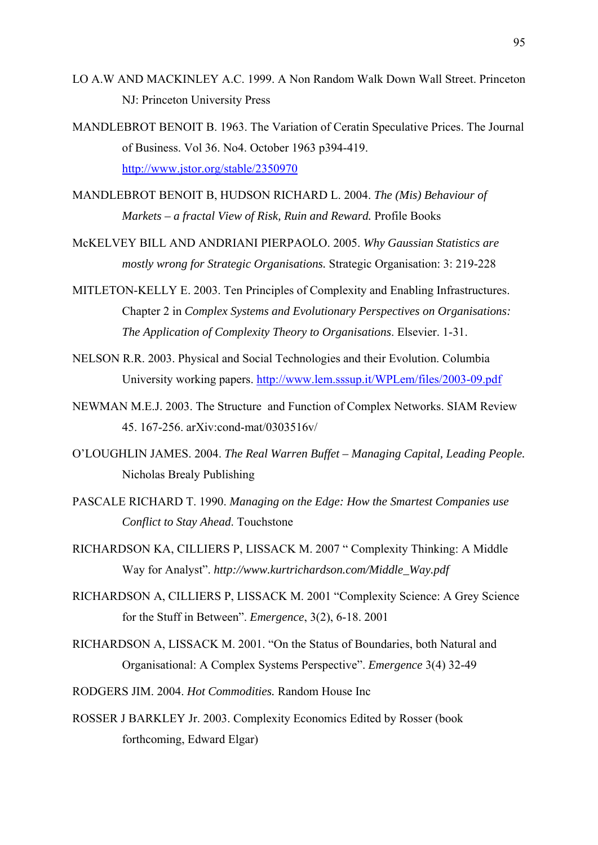- LO A.W AND MACKINLEY A.C. 1999. A Non Random Walk Down Wall Street. Princeton NJ: Princeton University Press
- MANDLEBROT BENOIT B. 1963. The Variation of Ceratin Speculative Prices. The Journal of Business. Vol 36. No4. October 1963 p394-419. http://www.jstor.org/stable/2350970

MANDLEBROT BENOIT B, HUDSON RICHARD L. 2004. *The (Mis) Behaviour of Markets – a fractal View of Risk, Ruin and Reward.* Profile Books

- McKELVEY BILL AND ANDRIANI PIERPAOLO. 2005. *Why Gaussian Statistics are mostly wrong for Strategic Organisations.* Strategic Organisation: 3: 219-228
- MITLETON-KELLY E. 2003. Ten Principles of Complexity and Enabling Infrastructures. Chapter 2 in *Complex Systems and Evolutionary Perspectives on Organisations: The Application of Complexity Theory to Organisations*. Elsevier. 1-31.
- NELSON R.R. 2003. Physical and Social Technologies and their Evolution. Columbia University working papers. http://www.lem.sssup.it/WPLem/files/2003-09.pdf
- NEWMAN M.E.J. 2003. The Structure and Function of Complex Networks. SIAM Review 45. 167-256. arXiv:cond-mat/0303516v/
- O'LOUGHLIN JAMES. 2004. *The Real Warren Buffet Managing Capital, Leading People.* Nicholas Brealy Publishing
- PASCALE RICHARD T. 1990. *Managing on the Edge: How the Smartest Companies use Conflict to Stay Ahead*. Touchstone
- RICHARDSON KA, CILLIERS P, LISSACK M. 2007 " Complexity Thinking: A Middle Way for Analyst". *http://www.kurtrichardson.com/Middle\_Way.pdf*
- RICHARDSON A, CILLIERS P, LISSACK M. 2001 "Complexity Science: A Grey Science for the Stuff in Between". *Emergence*, 3(2), 6-18. 2001
- RICHARDSON A, LISSACK M. 2001. "On the Status of Boundaries, both Natural and Organisational: A Complex Systems Perspective". *Emergence* 3(4) 32-49
- RODGERS JIM. 2004. *Hot Commodities.* Random House Inc
- ROSSER J BARKLEY Jr. 2003. Complexity Economics Edited by Rosser (book forthcoming, Edward Elgar)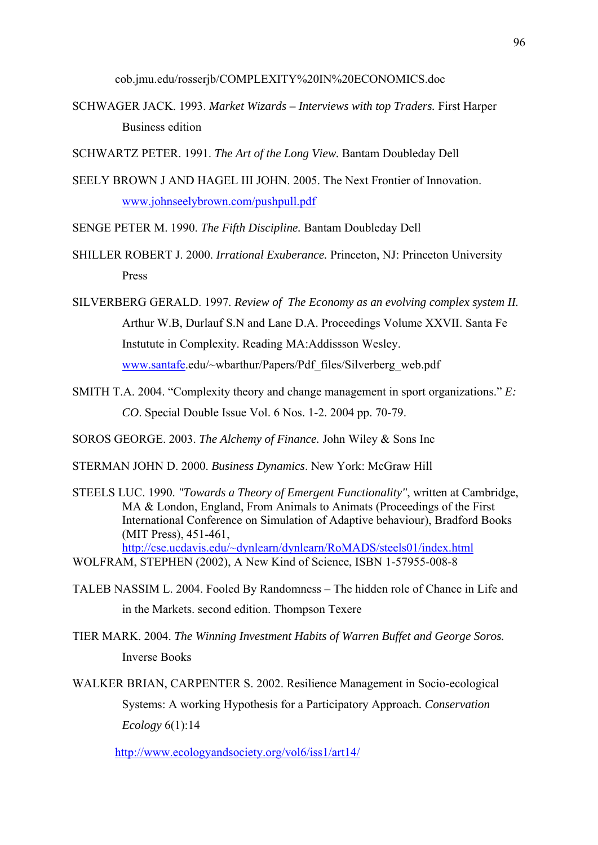cob.jmu.edu/rosserjb/COMPLEXITY%20IN%20ECONOMICS.doc

- SCHWAGER JACK. 1993. *Market Wizards Interviews with top Traders.* First Harper Business edition
- SCHWARTZ PETER. 1991. *The Art of the Long View.* Bantam Doubleday Dell
- SEELY BROWN J AND HAGEL III JOHN. 2005. The Next Frontier of Innovation. www.johnseelybrown.com/pushpull.pdf

SENGE PETER M. 1990. *The Fifth Discipline.* Bantam Doubleday Dell

- SHILLER ROBERT J. 2000. *Irrational Exuberance.* Princeton, NJ: Princeton University Press
- SILVERBERG GERALD. 1997*. Review of The Economy as an evolving complex system II.* Arthur W.B, Durlauf S.N and Lane D.A. Proceedings Volume XXVII. Santa Fe Instutute in Complexity. Reading MA:Addissson Wesley. www.santafe.edu/~wbarthur/Papers/Pdf\_files/Silverberg\_web.pdf
- SMITH T.A. 2004. "Complexity theory and change management in sport organizations." *E: CO*. Special Double Issue Vol. 6 Nos. 1-2. 2004 pp. 70-79.
- SOROS GEORGE. 2003. *The Alchemy of Finance.* John Wiley & Sons Inc
- STERMAN JOHN D. 2000. *Business Dynamics*. New York: McGraw Hill
- STEELS LUC. 1990. *"Towards a Theory of Emergent Functionality"*, written at Cambridge, MA & London, England, From Animals to Animats (Proceedings of the First International Conference on Simulation of Adaptive behaviour), Bradford Books (MIT Press), 451-461, http://cse.ucdavis.edu/~dynlearn/dynlearn/RoMADS/steels01/index.html
- WOLFRAM, STEPHEN (2002), A New Kind of Science, ISBN 1-57955-008-8
- TALEB NASSIM L. 2004. Fooled By Randomness The hidden role of Chance in Life and in the Markets. second edition. Thompson Texere
- TIER MARK. 2004. *The Winning Investment Habits of Warren Buffet and George Soros.* Inverse Books
- WALKER BRIAN, CARPENTER S. 2002. Resilience Management in Socio-ecological Systems: A working Hypothesis for a Participatory Approach*. Conservation Ecology* 6(1):14

http://www.ecologyandsociety.org/vol6/iss1/art14/